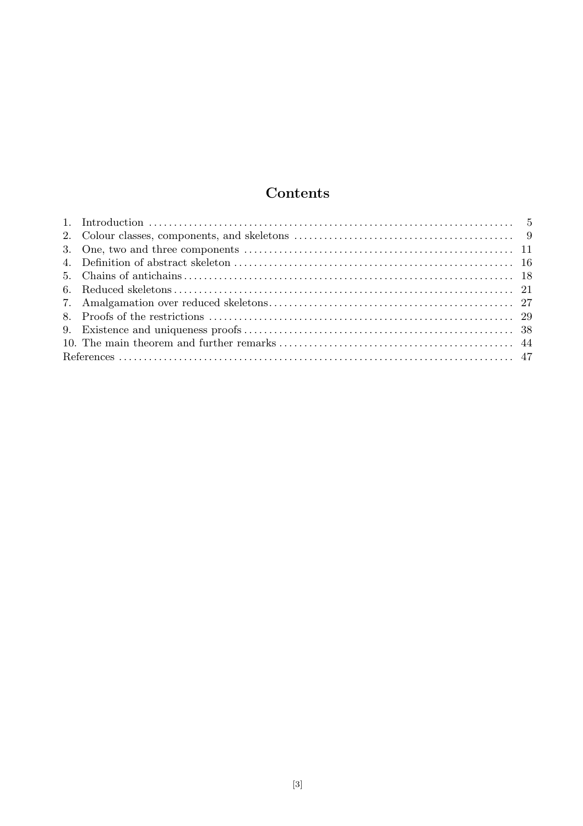# Contents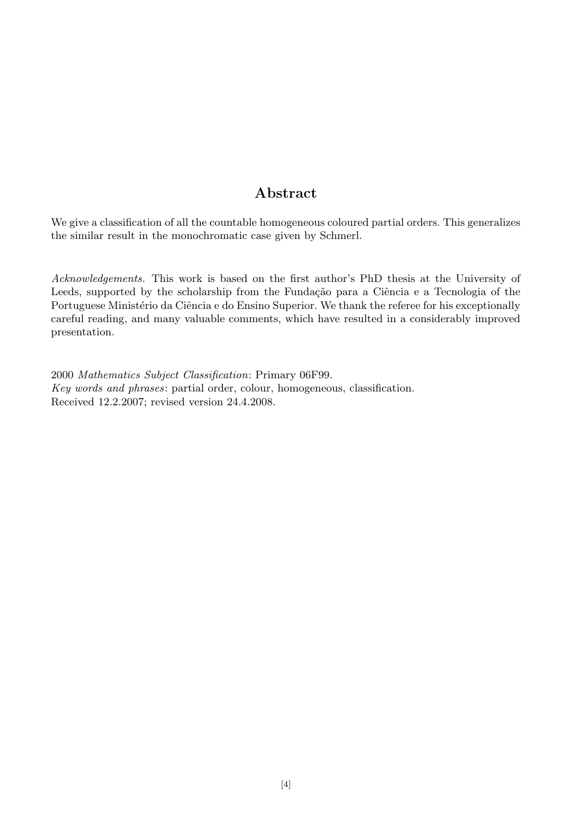## Abstract

We give a classification of all the countable homogeneous coloured partial orders. This generalizes the similar result in the monochromatic case given by Schmerl.

Acknowledgements. This work is based on the first author's PhD thesis at the University of Leeds, supported by the scholarship from the Fundação para a Ciência e a Tecnologia of the Portuguese Ministério da Ciência e do Ensino Superior. We thank the referee for his exceptionally careful reading, and many valuable comments, which have resulted in a considerably improved presentation.

2000 Mathematics Subject Classification: Primary 06F99. Key words and phrases: partial order, colour, homogeneous, classification. Received 12.2.2007; revised version 24.4.2008.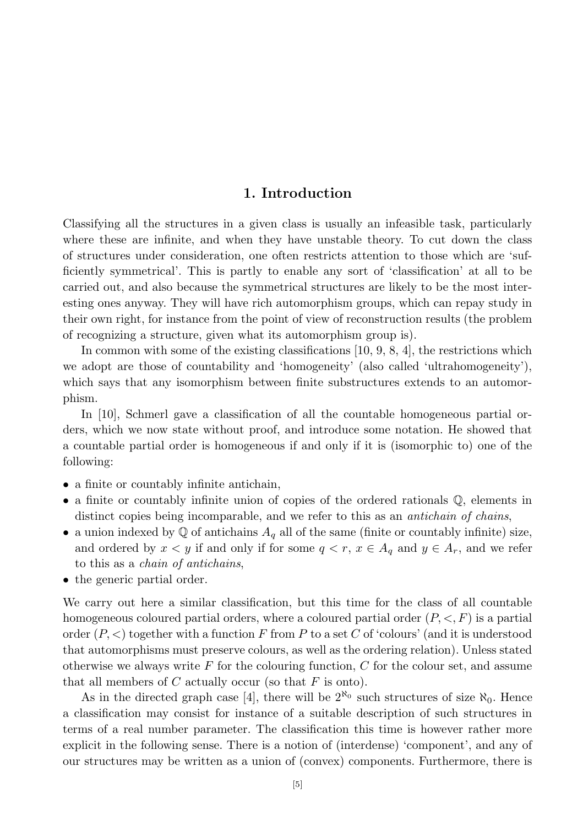## 1. Introduction

Classifying all the structures in a given class is usually an infeasible task, particularly where these are infinite, and when they have unstable theory. To cut down the class of structures under consideration, one often restricts attention to those which are 'sufficiently symmetrical'. This is partly to enable any sort of 'classification' at all to be carried out, and also because the symmetrical structures are likely to be the most interesting ones anyway. They will have rich automorphism groups, which can repay study in their own right, for instance from the point of view of reconstruction results (the problem of recognizing a structure, given what its automorphism group is).

In common with some of the existing classifications  $[10, 9, 8, 4]$ , the restrictions which we adopt are those of countability and 'homogeneity' (also called 'ultrahomogeneity'), which says that any isomorphism between finite substructures extends to an automorphism.

In [10], Schmerl gave a classification of all the countable homogeneous partial orders, which we now state without proof, and introduce some notation. He showed that a countable partial order is homogeneous if and only if it is (isomorphic to) one of the following:

- a finite or countably infinite antichain,
- a finite or countably infinite union of copies of the ordered rationals Q, elements in distinct copies being incomparable, and we refer to this as an *antichain of chains*,
- a union indexed by  $\mathbb Q$  of antichains  $A_q$  all of the same (finite or countably infinite) size, and ordered by  $x < y$  if and only if for some  $q < r$ ,  $x \in A_q$  and  $y \in A_r$ , and we refer to this as a chain of antichains,
- the generic partial order.

We carry out here a similar classification, but this time for the class of all countable homogeneous coloured partial orders, where a coloured partial order  $(P, \leq, F)$  is a partial order  $(P, \leq)$  together with a function F from P to a set C of 'colours' (and it is understood that automorphisms must preserve colours, as well as the ordering relation). Unless stated otherwise we always write  $F$  for the colouring function,  $C$  for the colour set, and assume that all members of  $C$  actually occur (so that  $F$  is onto).

As in the directed graph case [4], there will be  $2^{\aleph_0}$  such structures of size  $\aleph_0$ . Hence a classification may consist for instance of a suitable description of such structures in terms of a real number parameter. The classification this time is however rather more explicit in the following sense. There is a notion of (interdense) 'component', and any of our structures may be written as a union of (convex) components. Furthermore, there is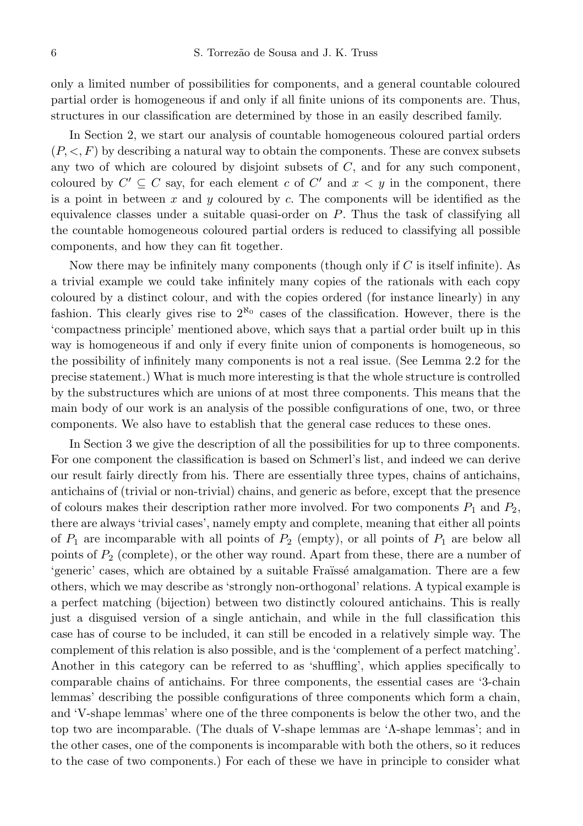only a limited number of possibilities for components, and a general countable coloured partial order is homogeneous if and only if all finite unions of its components are. Thus, structures in our classification are determined by those in an easily described family.

In Section 2, we start our analysis of countable homogeneous coloured partial orders  $(P, \langle F, F \rangle)$  by describing a natural way to obtain the components. These are convex subsets any two of which are coloured by disjoint subsets of  $C$ , and for any such component, coloured by  $C' \subseteq C$  say, for each element c of  $C'$  and  $x < y$  in the component, there is a point in between x and y coloured by c. The components will be identified as the equivalence classes under a suitable quasi-order on  $P$ . Thus the task of classifying all the countable homogeneous coloured partial orders is reduced to classifying all possible components, and how they can fit together.

Now there may be infinitely many components (though only if  $C$  is itself infinite). As a trivial example we could take infinitely many copies of the rationals with each copy coloured by a distinct colour, and with the copies ordered (for instance linearly) in any fashion. This clearly gives rise to  $2^{\kappa_0}$  cases of the classification. However, there is the 'compactness principle' mentioned above, which says that a partial order built up in this way is homogeneous if and only if every finite union of components is homogeneous, so the possibility of infinitely many components is not a real issue. (See Lemma 2.2 for the precise statement.) What is much more interesting is that the whole structure is controlled by the substructures which are unions of at most three components. This means that the main body of our work is an analysis of the possible configurations of one, two, or three components. We also have to establish that the general case reduces to these ones.

In Section 3 we give the description of all the possibilities for up to three components. For one component the classification is based on Schmerl's list, and indeed we can derive our result fairly directly from his. There are essentially three types, chains of antichains, antichains of (trivial or non-trivial) chains, and generic as before, except that the presence of colours makes their description rather more involved. For two components  $P_1$  and  $P_2$ , there are always 'trivial cases', namely empty and complete, meaning that either all points of  $P_1$  are incomparable with all points of  $P_2$  (empty), or all points of  $P_1$  are below all points of  $P_2$  (complete), or the other way round. Apart from these, there are a number of 'generic' cases, which are obtained by a suitable Fraïssé amalgamation. There are a few others, which we may describe as 'strongly non-orthogonal' relations. A typical example is a perfect matching (bijection) between two distinctly coloured antichains. This is really just a disguised version of a single antichain, and while in the full classification this case has of course to be included, it can still be encoded in a relatively simple way. The complement of this relation is also possible, and is the 'complement of a perfect matching'. Another in this category can be referred to as 'shuffling', which applies specifically to comparable chains of antichains. For three components, the essential cases are '3-chain lemmas' describing the possible configurations of three components which form a chain, and 'V-shape lemmas' where one of the three components is below the other two, and the top two are incomparable. (The duals of V-shape lemmas are 'Λ-shape lemmas'; and in the other cases, one of the components is incomparable with both the others, so it reduces to the case of two components.) For each of these we have in principle to consider what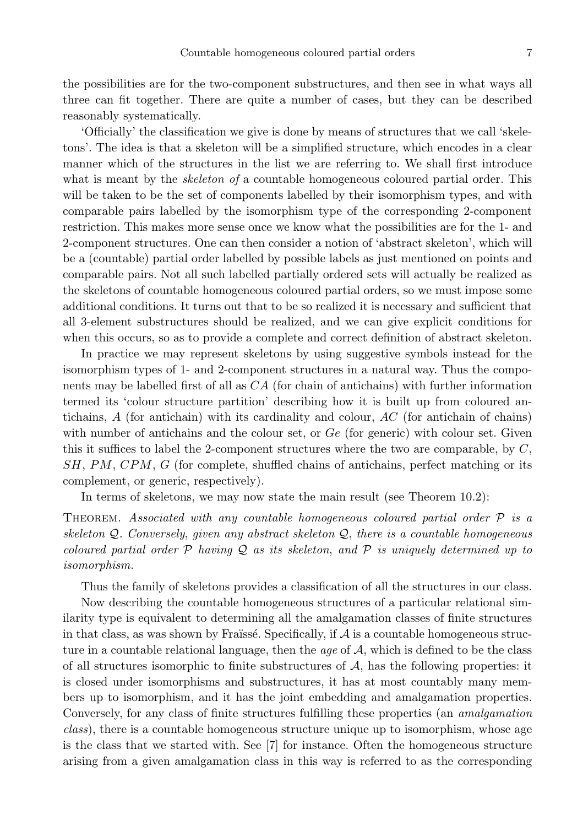the possibilities are for the two-component substructures, and then see in what ways all three can fit together. There are quite a number of cases, but they can be described reasonably systematically.

'Officially' the classification we give is done by means of structures that we call 'skeletons'. The idea is that a skeleton will be a simplified structure, which encodes in a clear manner which of the structures in the list we are referring to. We shall first introduce what is meant by the *skeleton of* a countable homogeneous coloured partial order. This will be taken to be the set of components labelled by their isomorphism types, and with comparable pairs labelled by the isomorphism type of the corresponding 2-component restriction. This makes more sense once we know what the possibilities are for the 1- and 2-component structures. One can then consider a notion of 'abstract skeleton', which will be a (countable) partial order labelled by possible labels as just mentioned on points and comparable pairs. Not all such labelled partially ordered sets will actually be realized as the skeletons of countable homogeneous coloured partial orders, so we must impose some additional conditions. It turns out that to be so realized it is necessary and sufficient that all 3-element substructures should be realized, and we can give explicit conditions for when this occurs, so as to provide a complete and correct definition of abstract skeleton.

In practice we may represent skeletons by using suggestive symbols instead for the isomorphism types of 1- and 2-component structures in a natural way. Thus the components may be labelled first of all as CA (for chain of antichains) with further information termed its 'colour structure partition' describing how it is built up from coloured antichains,  $A$  (for antichain) with its cardinality and colour,  $AC$  (for antichain of chains) with number of antichains and the colour set, or  $Ge$  (for generic) with colour set. Given this it suffices to label the 2-component structures where the two are comparable, by  $C$ , SH, PM, CPM, G (for complete, shuffled chains of antichains, perfect matching or its complement, or generic, respectively).

In terms of skeletons, we may now state the main result (see Theorem 10.2):

THEOREM. Associated with any countable homogeneous coloured partial order  $\mathcal P$  is a skeleton  $Q$ . Conversely, given any abstract skeleton  $Q$ , there is a countable homogeneous coloured partial order  $\mathcal P$  having  $\mathcal Q$  as its skeleton, and  $\mathcal P$  is uniquely determined up to isomorphism.

Thus the family of skeletons provides a classification of all the structures in our class.

Now describing the countable homogeneous structures of a particular relational similarity type is equivalent to determining all the amalgamation classes of finite structures in that class, as was shown by Fraïssé. Specifically, if  $A$  is a countable homogeneous structure in a countable relational language, then the *age* of  $A$ , which is defined to be the class of all structures isomorphic to finite substructures of  $A$ , has the following properties: it is closed under isomorphisms and substructures, it has at most countably many members up to isomorphism, and it has the joint embedding and amalgamation properties. Conversely, for any class of finite structures fulfilling these properties (an amalgamation class), there is a countable homogeneous structure unique up to isomorphism, whose age is the class that we started with. See [7] for instance. Often the homogeneous structure arising from a given amalgamation class in this way is referred to as the corresponding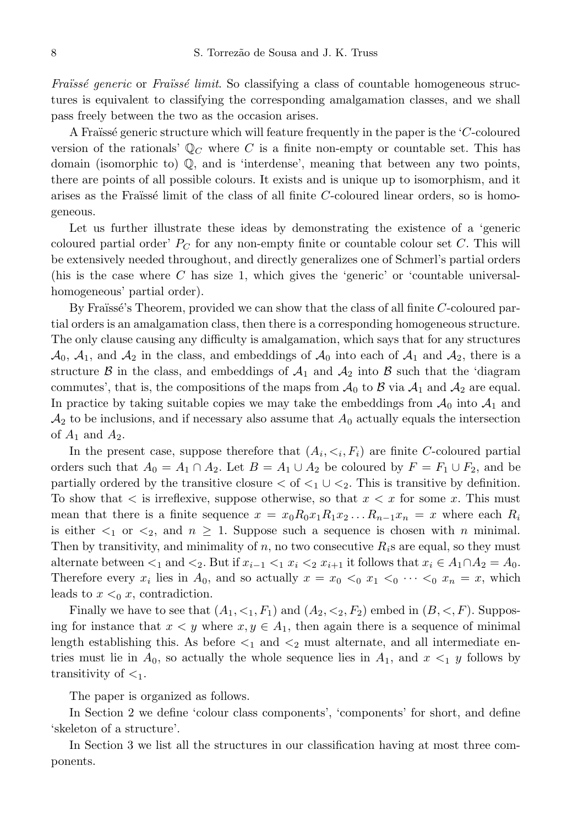Fraïssé generic or Fraïssé limit. So classifying a class of countable homogeneous structures is equivalent to classifying the corresponding amalgamation classes, and we shall pass freely between the two as the occasion arises.

A Fraïssé generic structure which will feature frequently in the paper is the  $C$ -coloured version of the rationals'  $\mathbb{Q}_C$  where C is a finite non-empty or countable set. This has domain (isomorphic to) Q, and is 'interdense', meaning that between any two points, there are points of all possible colours. It exists and is unique up to isomorphism, and it arises as the Fraïssé limit of the class of all finite  $C$ -coloured linear orders, so is homogeneous.

Let us further illustrate these ideas by demonstrating the existence of a 'generic coloured partial order'  $P_C$  for any non-empty finite or countable colour set C. This will be extensively needed throughout, and directly generalizes one of Schmerl's partial orders (his is the case where C has size 1, which gives the 'generic' or 'countable universalhomogeneous' partial order).

By Fraüssé's Theorem, provided we can show that the class of all finite  $C$ -coloured partial orders is an amalgamation class, then there is a corresponding homogeneous structure. The only clause causing any difficulty is amalgamation, which says that for any structures  $\mathcal{A}_0$ ,  $\mathcal{A}_1$ , and  $\mathcal{A}_2$  in the class, and embeddings of  $\mathcal{A}_0$  into each of  $\mathcal{A}_1$  and  $\mathcal{A}_2$ , there is a structure B in the class, and embeddings of  $A_1$  and  $A_2$  into B such that the 'diagram' commutes', that is, the compositions of the maps from  $A_0$  to B via  $A_1$  and  $A_2$  are equal. In practice by taking suitable copies we may take the embeddings from  $\mathcal{A}_0$  into  $\mathcal{A}_1$  and  $A_2$  to be inclusions, and if necessary also assume that  $A_0$  actually equals the intersection of  $A_1$  and  $A_2$ .

In the present case, suppose therefore that  $(A_i, \leq_i, F_i)$  are finite C-coloured partial orders such that  $A_0 = A_1 \cap A_2$ . Let  $B = A_1 \cup A_2$  be coloured by  $F = F_1 \cup F_2$ , and be partially ordered by the transitive closure  $\lt$  of  $\lt_1 \cup \lt_2$ . This is transitive by definition. To show that  $\lt$  is irreflexive, suppose otherwise, so that  $x \lt x$  for some x. This must mean that there is a finite sequence  $x = x_0R_0x_1R_1x_2...R_{n-1}x_n = x$  where each  $R_i$ is either  $\lt_1$  or  $\lt_2$ , and  $n \geq 1$ . Suppose such a sequence is chosen with n minimal. Then by transitivity, and minimality of n, no two consecutive  $R_i$ s are equal, so they must alternate between  $\lt_1$  and  $\lt_2$ . But if  $x_{i-1} \lt_1 x_i \lt_2 x_{i+1}$  it follows that  $x_i \in A_1 \cap A_2 = A_0$ . Therefore every  $x_i$  lies in  $A_0$ , and so actually  $x = x_0 <_0 x_1 <_0 \cdots <_0 x_n = x$ , which leads to  $x \leq_0 x$ , contradiction.

Finally we have to see that  $(A_1, \langle 1, F_1 \rangle)$  and  $(A_2, \langle 2, F_2 \rangle)$  embed in  $(B, \langle F \rangle)$ . Supposing for instance that  $x < y$  where  $x, y \in A_1$ , then again there is a sequence of minimal length establishing this. As before  $\leq_1$  and  $\leq_2$  must alternate, and all intermediate entries must lie in  $A_0$ , so actually the whole sequence lies in  $A_1$ , and  $x \leq_1 y$  follows by transitivity of  $\lt_1$ .

The paper is organized as follows.

In Section 2 we define 'colour class components', 'components' for short, and define 'skeleton of a structure'.

In Section 3 we list all the structures in our classification having at most three components.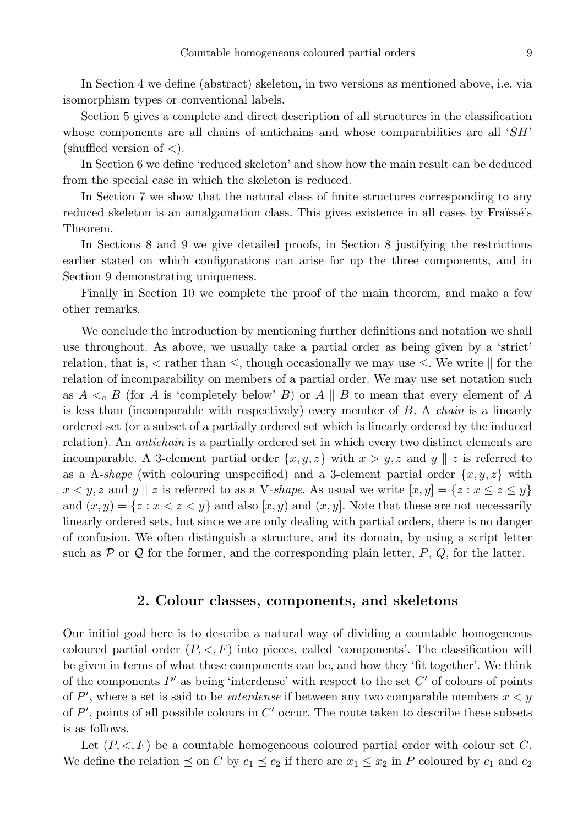In Section 4 we define (abstract) skeleton, in two versions as mentioned above, i.e. via isomorphism types or conventional labels.

Section 5 gives a complete and direct description of all structures in the classification whose components are all chains of antichains and whose comparabilities are all  $SH$ (shuffled version of  $\lt$ ).

In Section 6 we define 'reduced skeleton' and show how the main result can be deduced from the special case in which the skeleton is reduced.

In Section 7 we show that the natural class of finite structures corresponding to any reduced skeleton is an amalgamation class. This gives existence in all cases by Fraïssé's Theorem.

In Sections 8 and 9 we give detailed proofs, in Section 8 justifying the restrictions earlier stated on which configurations can arise for up the three components, and in Section 9 demonstrating uniqueness.

Finally in Section 10 we complete the proof of the main theorem, and make a few other remarks.

We conclude the introduction by mentioning further definitions and notation we shall use throughout. As above, we usually take a partial order as being given by a 'strict' relation, that is,  $\lt$  rather than  $\leq$ , though occasionally we may use  $\leq$ . We write  $\parallel$  for the relation of incomparability on members of a partial order. We may use set notation such as  $A \lt c B$  (for A is 'completely below' B) or A || B to mean that every element of A is less than (incomparable with respectively) every member of  $B$ . A *chain* is a linearly ordered set (or a subset of a partially ordered set which is linearly ordered by the induced relation). An *antichain* is a partially ordered set in which every two distinct elements are incomparable. A 3-element partial order  $\{x, y, z\}$  with  $x > y, z$  and  $y \parallel z$  is referred to as a  $\Lambda$ -shape (with colouring unspecified) and a 3-element partial order  $\{x, y, z\}$  with  $x < y, z$  and y || z is referred to as a V-shape. As usual we write  $[x, y] = \{z : x \le z \le y\}$ and  $(x, y) = \{z : x < z < y\}$  and also  $[x, y]$  and  $(x, y]$ . Note that these are not necessarily linearly ordered sets, but since we are only dealing with partial orders, there is no danger of confusion. We often distinguish a structure, and its domain, by using a script letter such as P or Q for the former, and the corresponding plain letter,  $P$ ,  $Q$ , for the latter.

### 2. Colour classes, components, and skeletons

Our initial goal here is to describe a natural way of dividing a countable homogeneous coloured partial order  $(P, \leq, F)$  into pieces, called 'components'. The classification will be given in terms of what these components can be, and how they 'fit together'. We think of the components  $P'$  as being 'interdense' with respect to the set  $C'$  of colours of points of P', where a set is said to be *interdense* if between any two comparable members  $x < y$ of  $P'$ , points of all possible colours in  $C'$  occur. The route taken to describe these subsets is as follows.

Let  $(P, \leq, F)$  be a countable homogeneous coloured partial order with colour set C. We define the relation  $\preceq$  on C by  $c_1 \preceq c_2$  if there are  $x_1 \leq x_2$  in P coloured by  $c_1$  and  $c_2$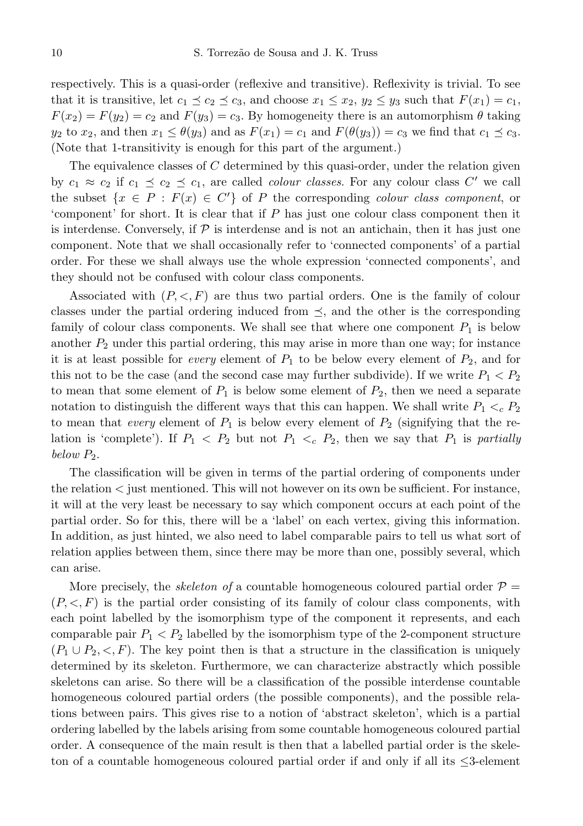respectively. This is a quasi-order (reflexive and transitive). Reflexivity is trivial. To see that it is transitive, let  $c_1 \preceq c_2 \preceq c_3$ , and choose  $x_1 \leq x_2, y_2 \leq y_3$  such that  $F(x_1) = c_1$ ,  $F(x_2) = F(y_2) = c_2$  and  $F(y_3) = c_3$ . By homogeneity there is an automorphism  $\theta$  taking  $y_2$  to  $x_2$ , and then  $x_1 \leq \theta(y_3)$  and as  $F(x_1) = c_1$  and  $F(\theta(y_3)) = c_3$  we find that  $c_1 \preceq c_3$ . (Note that 1-transitivity is enough for this part of the argument.)

The equivalence classes of  $C$  determined by this quasi-order, under the relation given by  $c_1 \approx c_2$  if  $c_1 \preceq c_2 \preceq c_1$ , are called *colour classes*. For any colour class C' we call the subset  $\{x \in P : F(x) \in C'\}$  of P the corresponding *colour class component*, or 'component' for short. It is clear that if P has just one colour class component then it is interdense. Conversely, if  $P$  is interdense and is not an antichain, then it has just one component. Note that we shall occasionally refer to 'connected components' of a partial order. For these we shall always use the whole expression 'connected components', and they should not be confused with colour class components.

Associated with  $(P, \langle, F \rangle)$  are thus two partial orders. One is the family of colour classes under the partial ordering induced from  $\preceq$ , and the other is the corresponding family of colour class components. We shall see that where one component  $P_1$  is below another  $P_2$  under this partial ordering, this may arise in more than one way; for instance it is at least possible for *every* element of  $P_1$  to be below every element of  $P_2$ , and for this not to be the case (and the second case may further subdivide). If we write  $P_1 < P_2$ to mean that some element of  $P_1$  is below some element of  $P_2$ , then we need a separate notation to distinguish the different ways that this can happen. We shall write  $P_1 \lt_c P_2$ to mean that every element of  $P_1$  is below every element of  $P_2$  (signifying that the relation is 'complete'). If  $P_1 \nvert P_2$  but not  $P_1 \nvert P_2$ , then we say that  $P_1$  is partially below  $P_2$ .

The classification will be given in terms of the partial ordering of components under the relation < just mentioned. This will not however on its own be sufficient. For instance, it will at the very least be necessary to say which component occurs at each point of the partial order. So for this, there will be a 'label' on each vertex, giving this information. In addition, as just hinted, we also need to label comparable pairs to tell us what sort of relation applies between them, since there may be more than one, possibly several, which can arise.

More precisely, the *skeleton of* a countable homogeneous coloured partial order  $\mathcal{P} =$  $(P, \leq, F)$  is the partial order consisting of its family of colour class components, with each point labelled by the isomorphism type of the component it represents, and each comparable pair  $P_1 < P_2$  labelled by the isomorphism type of the 2-component structure  $(P_1 \cup P_2, \langle F \rangle)$ . The key point then is that a structure in the classification is uniquely determined by its skeleton. Furthermore, we can characterize abstractly which possible skeletons can arise. So there will be a classification of the possible interdense countable homogeneous coloured partial orders (the possible components), and the possible relations between pairs. This gives rise to a notion of 'abstract skeleton', which is a partial ordering labelled by the labels arising from some countable homogeneous coloured partial order. A consequence of the main result is then that a labelled partial order is the skeleton of a countable homogeneous coloured partial order if and only if all its ≤3-element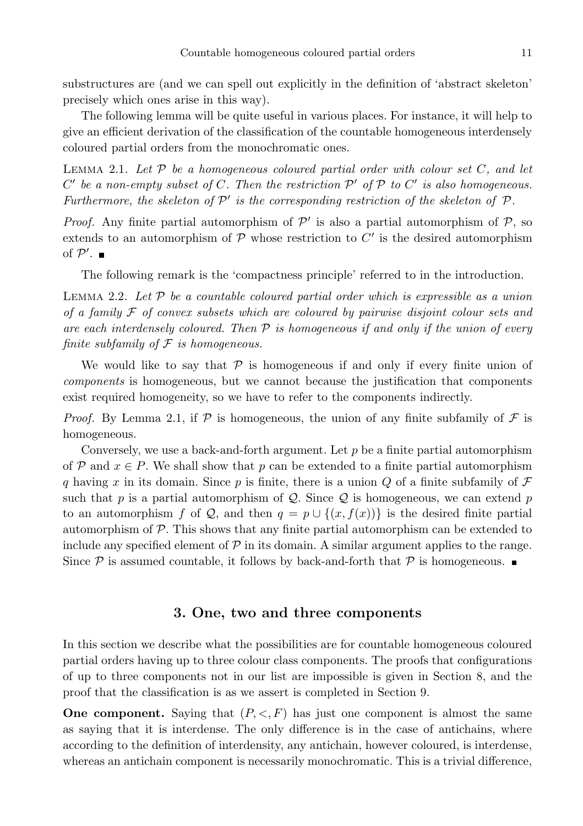substructures are (and we can spell out explicitly in the definition of 'abstract skeleton' precisely which ones arise in this way).

The following lemma will be quite useful in various places. For instance, it will help to give an efficient derivation of the classification of the countable homogeneous interdensely coloured partial orders from the monochromatic ones.

LEMMA 2.1. Let  $\mathcal P$  be a homogeneous coloured partial order with colour set  $C$ , and let  $C'$  be a non-empty subset of  $C$ . Then the restriction  $\mathcal{P}'$  of  $\mathcal{P}$  to  $C'$  is also homogeneous. Furthermore, the skeleton of  $\mathcal{P}'$  is the corresponding restriction of the skeleton of  $\mathcal{P}$ .

*Proof.* Any finite partial automorphism of  $\mathcal{P}'$  is also a partial automorphism of  $\mathcal{P}$ , so extends to an automorphism of  $P$  whose restriction to  $C'$  is the desired automorphism of  $\mathcal{P}'$ .

The following remark is the 'compactness principle' referred to in the introduction.

LEMMA 2.2. Let  $P$  be a countable coloured partial order which is expressible as a union of a family  $\mathcal F$  of convex subsets which are coloured by pairwise disjoint colour sets and are each interdensely coloured. Then  $P$  is homogeneous if and only if the union of every finite subfamily of  $\mathcal F$  is homogeneous.

We would like to say that  $P$  is homogeneous if and only if every finite union of components is homogeneous, but we cannot because the justification that components exist required homogeneity, so we have to refer to the components indirectly.

*Proof.* By Lemma 2.1, if  $P$  is homogeneous, the union of any finite subfamily of  $\mathcal F$  is homogeneous.

Conversely, we use a back-and-forth argument. Let  $p$  be a finite partial automorphism of P and  $x \in P$ . We shall show that p can be extended to a finite partial automorphism q having x in its domain. Since p is finite, there is a union Q of a finite subfamily of  $\mathcal F$ such that p is a partial automorphism of Q. Since Q is homogeneous, we can extend p to an automorphism f of Q, and then  $q = p \cup \{(x, f(x))\}$  is the desired finite partial automorphism of  $P$ . This shows that any finite partial automorphism can be extended to include any specified element of  $\mathcal P$  in its domain. A similar argument applies to the range. Since  $P$  is assumed countable, it follows by back-and-forth that  $P$  is homogeneous.

#### 3. One, two and three components

In this section we describe what the possibilities are for countable homogeneous coloured partial orders having up to three colour class components. The proofs that configurations of up to three components not in our list are impossible is given in Section 8, and the proof that the classification is as we assert is completed in Section 9.

**One component.** Saying that  $(P, \langle, F \rangle)$  has just one component is almost the same as saying that it is interdense. The only difference is in the case of antichains, where according to the definition of interdensity, any antichain, however coloured, is interdense, whereas an antichain component is necessarily monochromatic. This is a trivial difference,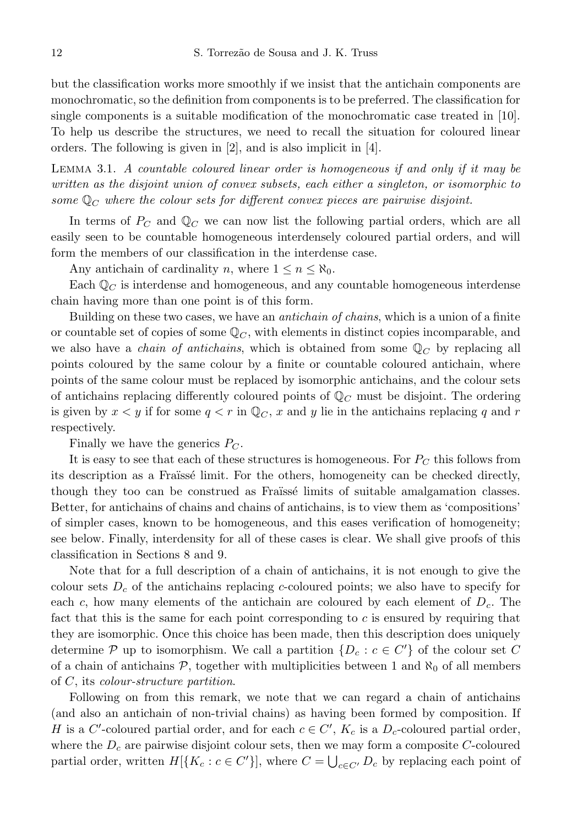but the classification works more smoothly if we insist that the antichain components are monochromatic, so the definition from components is to be preferred. The classification for single components is a suitable modification of the monochromatic case treated in [10]. To help us describe the structures, we need to recall the situation for coloured linear orders. The following is given in [2], and is also implicit in [4].

Lemma 3.1. A countable coloured linear order is homogeneous if and only if it may be written as the disjoint union of convex subsets, each either a singleton, or isomorphic to some  $\mathbb{Q}_C$  where the colour sets for different convex pieces are pairwise disjoint.

In terms of  $P_{C}$  and  $\mathbb{Q}_{C}$  we can now list the following partial orders, which are all easily seen to be countable homogeneous interdensely coloured partial orders, and will form the members of our classification in the interdense case.

Any antichain of cardinality n, where  $1 \le n \le \aleph_0$ .

Each  $\mathbb{Q}_C$  is interdense and homogeneous, and any countable homogeneous interdense chain having more than one point is of this form.

Building on these two cases, we have an *antichain of chains*, which is a union of a finite or countable set of copies of some  $\mathbb{Q}_C$ , with elements in distinct copies incomparable, and we also have a *chain of antichains*, which is obtained from some  $\mathbb{Q}_C$  by replacing all points coloured by the same colour by a finite or countable coloured antichain, where points of the same colour must be replaced by isomorphic antichains, and the colour sets of antichains replacing differently coloured points of  $\mathbb{Q}_C$  must be disjoint. The ordering is given by  $x < y$  if for some  $q < r$  in  $\mathbb{Q}_C$ , x and y lie in the antichains replacing q and r respectively.

Finally we have the generics  $P_C$ .

It is easy to see that each of these structures is homogeneous. For  $P_C$  this follows from its description as a Fraïssé limit. For the others, homogeneity can be checked directly, though they too can be construed as Fraïssé limits of suitable amalgamation classes. Better, for antichains of chains and chains of antichains, is to view them as 'compositions' of simpler cases, known to be homogeneous, and this eases verification of homogeneity; see below. Finally, interdensity for all of these cases is clear. We shall give proofs of this classification in Sections 8 and 9.

Note that for a full description of a chain of antichains, it is not enough to give the colour sets  $D<sub>c</sub>$  of the antichains replacing c-coloured points; we also have to specify for each c, how many elements of the antichain are coloured by each element of  $D<sub>c</sub>$ . The fact that this is the same for each point corresponding to c is ensured by requiring that they are isomorphic. Once this choice has been made, then this description does uniquely determine  $P$  up to isomorphism. We call a partition  $\{D_c : c \in C'\}$  of the colour set C of a chain of antichains  $P$ , together with multiplicities between 1 and  $\aleph_0$  of all members of C, its colour-structure partition.

Following on from this remark, we note that we can regard a chain of antichains (and also an antichain of non-trivial chains) as having been formed by composition. If H is a C'-coloured partial order, and for each  $c \in C'$ ,  $K_c$  is a  $D_c$ -coloured partial order, where the  $D_c$  are pairwise disjoint colour sets, then we may form a composite C-coloured partial order, written  $H[\{K_c : c \in C'\}]$ , where  $C = \bigcup_{c \in C'} D_c$  by replacing each point of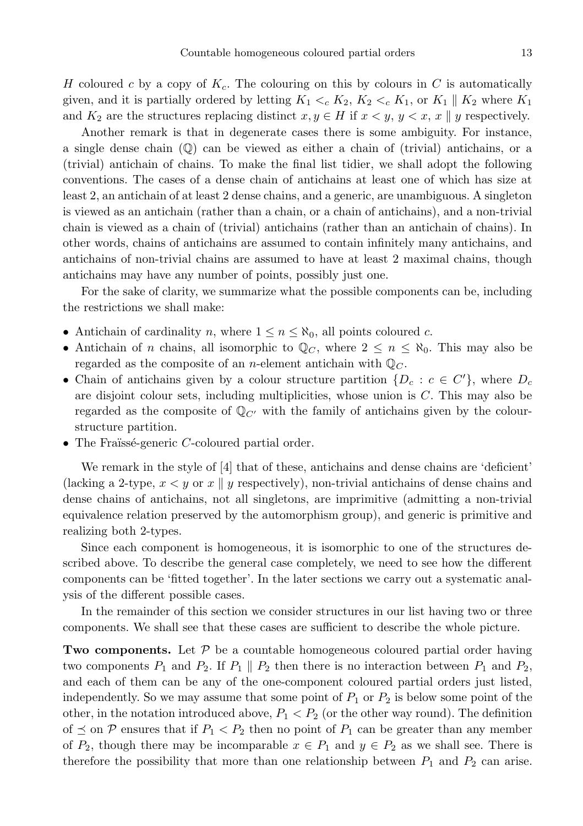H coloured c by a copy of  $K_c$ . The colouring on this by colours in C is automatically given, and it is partially ordered by letting  $K_1 \lt c_K K_2$ ,  $K_2 \lt c_K K_1$ , or  $K_1 \parallel K_2$  where  $K_1$ and  $K_2$  are the structures replacing distinct  $x, y \in H$  if  $x < y, y < x, x \parallel y$  respectively.

Another remark is that in degenerate cases there is some ambiguity. For instance, a single dense chain (Q) can be viewed as either a chain of (trivial) antichains, or a (trivial) antichain of chains. To make the final list tidier, we shall adopt the following conventions. The cases of a dense chain of antichains at least one of which has size at least 2, an antichain of at least 2 dense chains, and a generic, are unambiguous. A singleton is viewed as an antichain (rather than a chain, or a chain of antichains), and a non-trivial chain is viewed as a chain of (trivial) antichains (rather than an antichain of chains). In other words, chains of antichains are assumed to contain infinitely many antichains, and antichains of non-trivial chains are assumed to have at least 2 maximal chains, though antichains may have any number of points, possibly just one.

For the sake of clarity, we summarize what the possible components can be, including the restrictions we shall make:

- Antichain of cardinality n, where  $1 \leq n \leq \aleph_0$ , all points coloured c.
- Antichain of n chains, all isomorphic to  $\mathbb{Q}_C$ , where  $2 \leq n \leq \aleph_0$ . This may also be regarded as the composite of an *n*-element antichain with  $\mathbb{Q}_C$ .
- Chain of antichains given by a colour structure partition  $\{D_c : c \in C'\}$ , where  $D_c$ are disjoint colour sets, including multiplicities, whose union is C. This may also be regarded as the composite of  $\mathbb{Q}_{C'}$  with the family of antichains given by the colourstructure partition.
- The Fraïssé-generic  $C$ -coloured partial order.

We remark in the style of  $|4|$  that of these, antichains and dense chains are 'deficient' (lacking a 2-type,  $x < y$  or x || y respectively), non-trivial antichains of dense chains and dense chains of antichains, not all singletons, are imprimitive (admitting a non-trivial equivalence relation preserved by the automorphism group), and generic is primitive and realizing both 2-types.

Since each component is homogeneous, it is isomorphic to one of the structures described above. To describe the general case completely, we need to see how the different components can be 'fitted together'. In the later sections we carry out a systematic analysis of the different possible cases.

In the remainder of this section we consider structures in our list having two or three components. We shall see that these cases are sufficient to describe the whole picture.

**Two components.** Let  $P$  be a countable homogeneous coloured partial order having two components  $P_1$  and  $P_2$ . If  $P_1 \parallel P_2$  then there is no interaction between  $P_1$  and  $P_2$ , and each of them can be any of the one-component coloured partial orders just listed, independently. So we may assume that some point of  $P_1$  or  $P_2$  is below some point of the other, in the notation introduced above,  $P_1 < P_2$  (or the other way round). The definition of  $\preceq$  on P ensures that if  $P_1 < P_2$  then no point of  $P_1$  can be greater than any member of  $P_2$ , though there may be incomparable  $x \in P_1$  and  $y \in P_2$  as we shall see. There is therefore the possibility that more than one relationship between  $P_1$  and  $P_2$  can arise.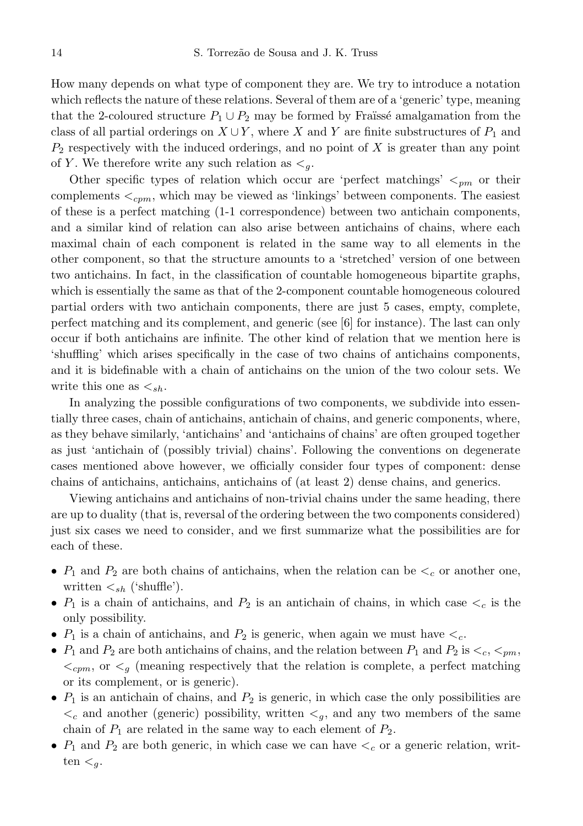How many depends on what type of component they are. We try to introduce a notation which reflects the nature of these relations. Several of them are of a 'generic' type, meaning that the 2-coloured structure  $P_1 \cup P_2$  may be formed by Fraüssé amalgamation from the class of all partial orderings on  $X \cup Y$ , where X and Y are finite substructures of  $P_1$  and  $P_2$  respectively with the induced orderings, and no point of  $X$  is greater than any point of Y. We therefore write any such relation as  $\lt_q$ .

Other specific types of relation which occur are 'perfect matchings'  $\lt_{pm}$  or their complements  $\lt_{cpm}$ , which may be viewed as 'linkings' between components. The easiest of these is a perfect matching (1-1 correspondence) between two antichain components, and a similar kind of relation can also arise between antichains of chains, where each maximal chain of each component is related in the same way to all elements in the other component, so that the structure amounts to a 'stretched' version of one between two antichains. In fact, in the classification of countable homogeneous bipartite graphs, which is essentially the same as that of the 2-component countable homogeneous coloured partial orders with two antichain components, there are just 5 cases, empty, complete, perfect matching and its complement, and generic (see [6] for instance). The last can only occur if both antichains are infinite. The other kind of relation that we mention here is 'shuffling' which arises specifically in the case of two chains of antichains components, and it is bidefinable with a chain of antichains on the union of the two colour sets. We write this one as  $\lt_{sh}$ .

In analyzing the possible configurations of two components, we subdivide into essentially three cases, chain of antichains, antichain of chains, and generic components, where, as they behave similarly, 'antichains' and 'antichains of chains' are often grouped together as just 'antichain of (possibly trivial) chains'. Following the conventions on degenerate cases mentioned above however, we officially consider four types of component: dense chains of antichains, antichains, antichains of (at least 2) dense chains, and generics.

Viewing antichains and antichains of non-trivial chains under the same heading, there are up to duality (that is, reversal of the ordering between the two components considered) just six cases we need to consider, and we first summarize what the possibilities are for each of these.

- $P_1$  and  $P_2$  are both chains of antichains, when the relation can be  $\lt_c$  or another one, written  $\lt_{sh}$  ('shuffle').
- $P_1$  is a chain of antichains, and  $P_2$  is an antichain of chains, in which case  $\lt_c$  is the only possibility.
- $P_1$  is a chain of antichains, and  $P_2$  is generic, when again we must have  $\lt_c$ .
- $P_1$  and  $P_2$  are both antichains of chains, and the relation between  $P_1$  and  $P_2$  is  $\lt_c$ ,  $\lt_{pm}$ ,  $\langle z_{cpm}$ , or  $\langle q \rangle$  (meaning respectively that the relation is complete, a perfect matching or its complement, or is generic).
- $P_1$  is an antichain of chains, and  $P_2$  is generic, in which case the only possibilities are  $\lt_c$  and another (generic) possibility, written  $\lt_g$ , and any two members of the same chain of  $P_1$  are related in the same way to each element of  $P_2$ .
- $P_1$  and  $P_2$  are both generic, in which case we can have  $\lt_c$  or a generic relation, written  $\lt_q$ .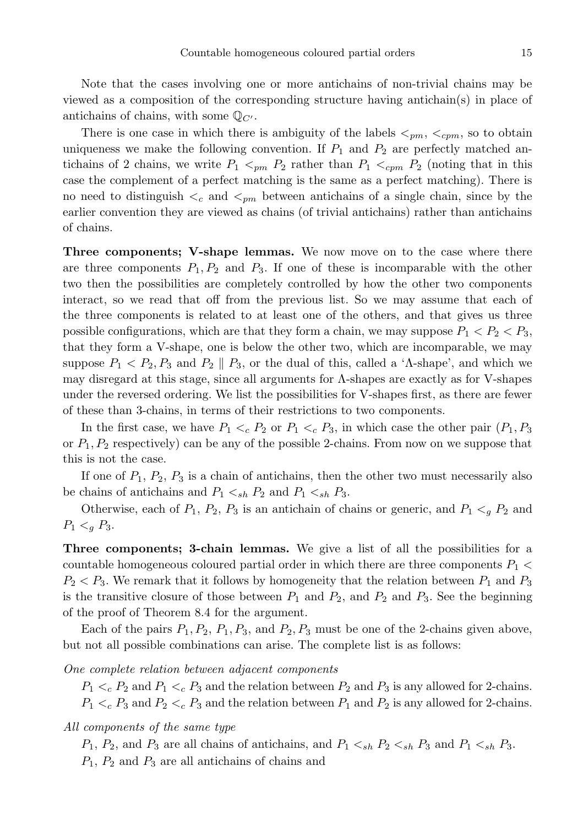Note that the cases involving one or more antichains of non-trivial chains may be viewed as a composition of the corresponding structure having antichain(s) in place of antichains of chains, with some  $\mathbb{Q}_{C}$ .

There is one case in which there is ambiguity of the labels  $\langle_{pm}, \langle_{cpm}, \rangle$  so to obtain uniqueness we make the following convention. If  $P_1$  and  $P_2$  are perfectly matched antichains of 2 chains, we write  $P_1 \leq_{pm} P_2$  rather than  $P_1 \leq_{cm} P_2$  (noting that in this case the complement of a perfect matching is the same as a perfect matching). There is no need to distinguish  $\lt_c$  and  $\lt_{pm}$  between antichains of a single chain, since by the earlier convention they are viewed as chains (of trivial antichains) rather than antichains of chains.

Three components; V-shape lemmas. We now move on to the case where there are three components  $P_1, P_2$  and  $P_3$ . If one of these is incomparable with the other two then the possibilities are completely controlled by how the other two components interact, so we read that off from the previous list. So we may assume that each of the three components is related to at least one of the others, and that gives us three possible configurations, which are that they form a chain, we may suppose  $P_1 < P_2 < P_3$ , that they form a V-shape, one is below the other two, which are incomparable, we may suppose  $P_1 < P_2, P_3$  and  $P_2 \parallel P_3$ , or the dual of this, called a 'Λ-shape', and which we may disregard at this stage, since all arguments for Λ-shapes are exactly as for V-shapes under the reversed ordering. We list the possibilities for V-shapes first, as there are fewer of these than 3-chains, in terms of their restrictions to two components.

In the first case, we have  $P_1 \lt_c P_2$  or  $P_1 \lt_c P_3$ , in which case the other pair  $(P_1, P_3)$ or  $P_1, P_2$  respectively) can be any of the possible 2-chains. From now on we suppose that this is not the case.

If one of  $P_1$ ,  $P_2$ ,  $P_3$  is a chain of antichains, then the other two must necessarily also be chains of antichains and  $P_1 \lt_{sh} P_2$  and  $P_1 \lt_{sh} P_3$ .

Otherwise, each of  $P_1$ ,  $P_2$ ,  $P_3$  is an antichain of chains or generic, and  $P_1 \lt q P_2$  and  $P_1 <_{q} P_3$ .

Three components; 3-chain lemmas. We give a list of all the possibilities for a countable homogeneous coloured partial order in which there are three components  $P_1$  <  $P_2 < P_3$ . We remark that it follows by homogeneity that the relation between  $P_1$  and  $P_3$ is the transitive closure of those between  $P_1$  and  $P_2$ , and  $P_3$ . See the beginning of the proof of Theorem 8.4 for the argument.

Each of the pairs  $P_1, P_2, P_1, P_3$ , and  $P_2, P_3$  must be one of the 2-chains given above, but not all possible combinations can arise. The complete list is as follows:

#### One complete relation between adjacent components

 $P_1 \lt_c P_2$  and  $P_1 \lt_c P_3$  and the relation between  $P_2$  and  $P_3$  is any allowed for 2-chains.  $P_1 \lt_c P_3$  and  $P_2 \lt_c P_3$  and the relation between  $P_1$  and  $P_2$  is any allowed for 2-chains.

#### All components of the same type

 $P_1$ ,  $P_2$ , and  $P_3$  are all chains of antichains, and  $P_1 \lt_{sh} P_2 \lt_{sh} P_3$  and  $P_1 \lt_{sh} P_3$ .  $P_1$ ,  $P_2$  and  $P_3$  are all antichains of chains and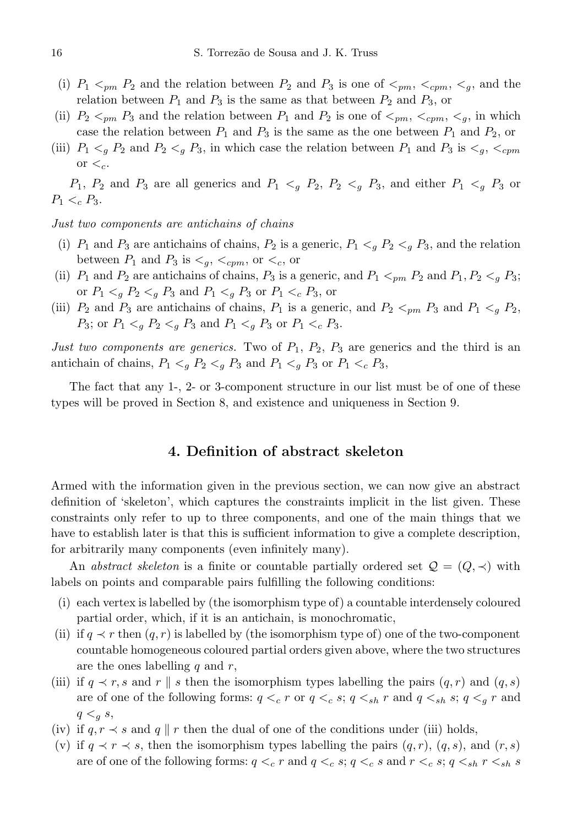- (i)  $P_1 \le_{pm} P_2$  and the relation between  $P_2$  and  $P_3$  is one of  $\le_{pm} \le_{cpm} \le_{g}$ , and the relation between  $P_1$  and  $P_3$  is the same as that between  $P_2$  and  $P_3$ , or
- (ii)  $P_2 \leq_{pm} P_3$  and the relation between  $P_1$  and  $P_2$  is one of  $\leq_{pm}$ ,  $\leq_{cpm}$ ,  $\leq_q$ , in which case the relation between  $P_1$  and  $P_3$  is the same as the one between  $P_1$  and  $P_2$ , or
- (iii)  $P_1 \lt q P_2$  and  $P_2 \lt q P_3$ , in which case the relation between  $P_1$  and  $P_3$  is  $\lt q$ ,  $\lt c_{cpm}$ or  $\lt_c$ .

 $P_1, P_2$  and  $P_3$  are all generics and  $P_1 \leq_q P_2$ ,  $P_2 \leq_q P_3$ , and either  $P_1 \leq_q P_3$  or  $P_1 <_c P_3$ .

Just two components are antichains of chains

- (i)  $P_1$  and  $P_3$  are antichains of chains,  $P_2$  is a generic,  $P_1 \lt q P_2 \lt q P_3$ , and the relation between  $P_1$  and  $P_3$  is  $\lt_{q}$ ,  $\lt_{cpm}$ , or  $\lt_{c}$ , or
- (ii)  $P_1$  and  $P_2$  are antichains of chains,  $P_3$  is a generic, and  $P_1 <_{pm} P_2$  and  $P_1, P_2 <_{q} P_3$ ; or  $P_1 \lt_{q} P_2 \lt_{q} P_3$  and  $P_1 \lt_{q} P_3$  or  $P_1 \lt_{q} P_3$ , or
- (iii)  $P_2$  and  $P_3$  are antichains of chains,  $P_1$  is a generic, and  $P_2 <_{pm} P_3$  and  $P_1 <_{q} P_2$ ,  $P_3$ ; or  $P_1 \lt_{q} P_2 \lt_{q} P_3$  and  $P_1 \lt_{q} P_3$  or  $P_1 \lt_{q} P_3$ .

Just two components are generics. Two of  $P_1$ ,  $P_2$ ,  $P_3$  are generics and the third is an antichain of chains,  $P_1 \lt_g P_2 \lt_g P_3$  and  $P_1 \lt_g P_3$  or  $P_1 \lt_c P_3$ ,

The fact that any 1-, 2- or 3-component structure in our list must be of one of these types will be proved in Section 8, and existence and uniqueness in Section 9.

## 4. Definition of abstract skeleton

Armed with the information given in the previous section, we can now give an abstract definition of 'skeleton', which captures the constraints implicit in the list given. These constraints only refer to up to three components, and one of the main things that we have to establish later is that this is sufficient information to give a complete description, for arbitrarily many components (even infinitely many).

An abstract skeleton is a finite or countable partially ordered set  $\mathcal{Q} = (Q, \prec)$  with labels on points and comparable pairs fulfilling the following conditions:

- (i) each vertex is labelled by (the isomorphism type of) a countable interdensely coloured partial order, which, if it is an antichain, is monochromatic,
- (ii) if  $q \prec r$  then  $(q, r)$  is labelled by (the isomorphism type of) one of the two-component countable homogeneous coloured partial orders given above, where the two structures are the ones labelling  $q$  and  $r$ ,
- (iii) if  $q \prec r$ , s and r || s then the isomorphism types labelling the pairs  $(q, r)$  and  $(q, s)$ are of one of the following forms:  $q <_{c} r$  or  $q <_{c} s$ ;  $q <_{sh} r$  and  $q <_{sh} s$ ;  $q <_{g} r$  and  $q \lt_q s$ ,
- (iv) if  $q, r \prec s$  and  $q \parallel r$  then the dual of one of the conditions under (iii) holds,
- (v) if  $q \prec r \prec s$ , then the isomorphism types labelling the pairs  $(q, r)$ ,  $(q, s)$ , and  $(r, s)$ are of one of the following forms:  $q <sub>c</sub> r$  and  $q <sub>c</sub> s$ ;  $q <sub>c</sub> s$  and  $r <sub>c</sub> s$ ;  $q <_{sh} r <_{sh} s$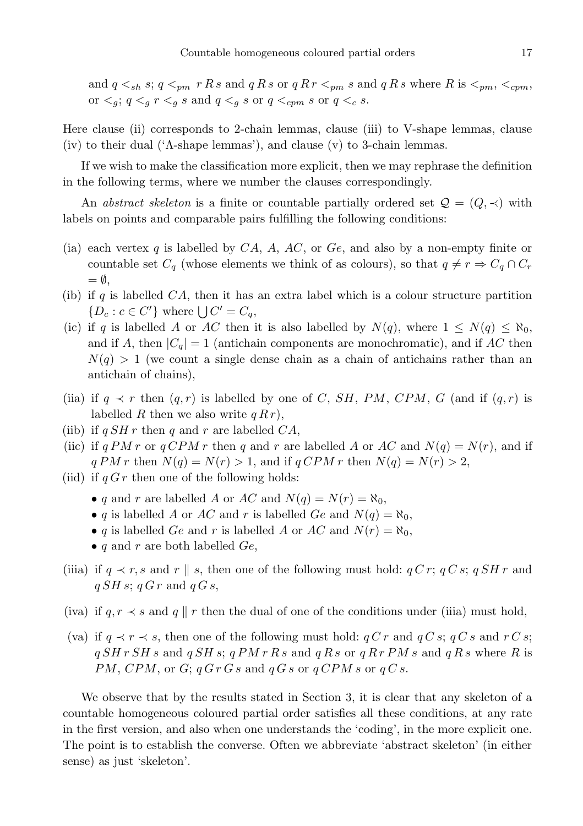and  $q \leq_{sh} s$ ;  $q \leq_{pm} r R s$  and  $q R s$  or  $q R r \leq_{pm} s$  and  $q R s$  where R is  $\leq_{pm}$ ,  $\leq_{cpm}$ , or  $\langle g; q \rangle_{q}$  r  $\langle g; g \rangle_{q}$  s and  $q \langle g; g \rangle_{q}$  s or  $q \langle g; g \rangle_{q}$ 

Here clause (ii) corresponds to 2-chain lemmas, clause (iii) to V-shape lemmas, clause (iv) to their dual ('Λ-shape lemmas'), and clause (v) to 3-chain lemmas.

If we wish to make the classification more explicit, then we may rephrase the definition in the following terms, where we number the clauses correspondingly.

An abstract skeleton is a finite or countable partially ordered set  $\mathcal{Q} = (Q, \prec)$  with labels on points and comparable pairs fulfilling the following conditions:

- (ia) each vertex q is labelled by  $CA, A, AC$ , or  $Ge$ , and also by a non-empty finite or countable set  $C_q$  (whose elements we think of as colours), so that  $q \neq r \Rightarrow C_q \cap C_r$  $= \emptyset$ ,
- (ib) if q is labelled  $CA$ , then it has an extra label which is a colour structure partition  $\{D_c : c \in C'\}$  where  $\bigcup C' = C_q$ ,
- (ic) if q is labelled A or AC then it is also labelled by  $N(q)$ , where  $1 \leq N(q) \leq \aleph_0$ , and if A, then  $|C_q| = 1$  (antichain components are monochromatic), and if AC then  $N(q) > 1$  (we count a single dense chain as a chain of antichains rather than an antichain of chains),
- (iia) if  $q \prec r$  then  $(q, r)$  is labelled by one of C, SH, PM, CPM, G (and if  $(q, r)$  is labelled R then we also write  $q R r$ ),
- (iib) if  $q SH r$  then q and r are labelled  $CA$ ,
- (iic) if q PM r or q CPM r then q and r are labelled A or AC and  $N(q) = N(r)$ , and if  $q PM r$  then  $N(q) = N(r) > 1$ , and if  $q CPM r$  then  $N(q) = N(r) > 2$ ,
- (iid) if  $q G r$  then one of the following holds:
	- q and r are labelled A or AC and  $N(q) = N(r) = \aleph_0$ ,
	- q is labelled A or AC and r is labelled Ge and  $N(q) = \aleph_0$ ,
	- q is labelled Ge and r is labelled A or AC and  $N(r) = \aleph_0$ ,
	- q and r are both labelled  $Ge$ ,
- (iiia) if  $q \prec r$ , s and r || s, then one of the following must hold:  $q C r$ ;  $q C s$ ;  $q S H r$  and  $q SH s; q G r$  and  $q G s$ ,
- (iva) if  $q, r \prec s$  and  $q \parallel r$  then the dual of one of the conditions under (iiia) must hold,
- (va) if  $q \prec r \prec s$ , then one of the following must hold:  $q C r$  and  $q C s$ ;  $q C s$  and  $r C s$ ;  $q SH r SH s$  and  $q SH s$ ;  $q PM r R s$  and  $q R s$  or  $q R r PM s$  and  $q R s$  where R is PM, CPM, or G;  $qG r G s$  and  $qG s$  or  $qC P M s$  or  $qC s$ .

We observe that by the results stated in Section 3, it is clear that any skeleton of a countable homogeneous coloured partial order satisfies all these conditions, at any rate in the first version, and also when one understands the 'coding', in the more explicit one. The point is to establish the converse. Often we abbreviate 'abstract skeleton' (in either sense) as just 'skeleton'.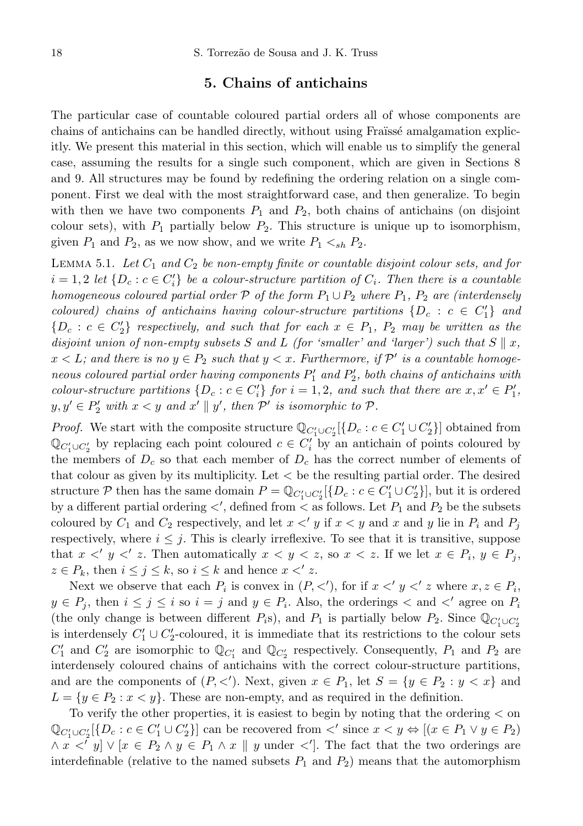## 5. Chains of antichains

The particular case of countable coloured partial orders all of whose components are chains of antichains can be handled directly, without using Fraïssé amalgamation explicitly. We present this material in this section, which will enable us to simplify the general case, assuming the results for a single such component, which are given in Sections 8 and 9. All structures may be found by redefining the ordering relation on a single component. First we deal with the most straightforward case, and then generalize. To begin with then we have two components  $P_1$  and  $P_2$ , both chains of antichains (on disjoint colour sets), with  $P_1$  partially below  $P_2$ . This structure is unique up to isomorphism, given  $P_1$  and  $P_2$ , as we now show, and we write  $P_1 \lt_{sh} P_2$ .

LEMMA 5.1. Let  $C_1$  and  $C_2$  be non-empty finite or countable disjoint colour sets, and for  $i = 1, 2$  let  $\{D_c : c \in C'_i\}$  be a colour-structure partition of  $C_i$ . Then there is a countable homogeneous coloured partial order P of the form  $P_1 \cup P_2$  where  $P_1$ ,  $P_2$  are (interdensely coloured) chains of antichains having colour-structure partitions  $\{D_c : c \in C_1'\}$  and  ${D<sub>c</sub> : c \in C'_2}$  respectively, and such that for each  $x \in P_1$ ,  $P_2$  may be written as the disjoint union of non-empty subsets S and L (for 'smaller' and 'larger') such that  $S \parallel x$ ,  $x < L$ ; and there is no  $y \in P_2$  such that  $y < x$ . Furthermore, if  $\mathcal{P}'$  is a countable homogeneous coloured partial order having components  $P_1'$  and  $P_2'$ , both chains of antichains with colour-structure partitions  $\{D_c : c \in C_i'\}$  for  $i = 1, 2$ , and such that there are  $x, x' \in P'_1$ ,  $y, y' \in P'_2$  with  $x < y$  and  $x' \parallel y'$ , then  $\mathcal{P}'$  is isomorphic to  $\mathcal{P}'$ .

*Proof.* We start with the composite structure  $\mathbb{Q}_{C_1' \cup C_2'}[\{D_c : c \in C_1' \cup C_2'\}]$  obtained from  $\mathbb{Q}_{C_1' \cup C_2'}$  by replacing each point coloured  $c \in C_i'$  by an antichain of points coloured by the members of  $D_c$  so that each member of  $D_c$  has the correct number of elements of that colour as given by its multiplicity. Let  $\lt$  be the resulting partial order. The desired structure P then has the same domain  $P = \mathbb{Q}_{C_1' \cup C_2'}[\{D_c : c \in C_1' \cup C_2'\}]$ , but it is ordered by a different partial ordering  $\lt'$ , defined from  $\lt$  as follows. Let  $P_1$  and  $P_2$  be the subsets coloured by  $C_1$  and  $C_2$  respectively, and let  $x < y$  if  $x < y$  and x and y lie in  $P_i$  and  $P_j$ respectively, where  $i \leq j$ . This is clearly irreflexive. To see that it is transitive, suppose that  $x <' y <' z$ . Then automatically  $x < y < z$ , so  $x < z$ . If we let  $x \in P_i$ ,  $y \in P_j$ ,  $z \in P_k$ , then  $i \leq j \leq k$ , so  $i \leq k$  and hence  $x \leq' z$ .

Next we observe that each  $P_i$  is convex in  $(P, \langle \cdot \rangle)$ , for if  $x \langle y \langle z \rangle$  where  $x, z \in P_i$ ,  $y \in P_j$ , then  $i \leq j \leq i$  so  $i = j$  and  $y \in P_i$ . Also, the orderings  $\lt$  and  $\lt'$  agree on  $P_i$ (the only change is between different  $P_i$ s), and  $P_1$  is partially below  $P_2$ . Since  $\mathbb{Q}_{C_1' \cup C_2'}$ is interdensely  $C_1' \cup C_2'$ -coloured, it is immediate that its restrictions to the colour sets  $C'_1$  and  $C'_2$  are isomorphic to  $\mathbb{Q}_{C'_1}$  and  $\mathbb{Q}_{C'_2}$  respectively. Consequently,  $P_1$  and  $P_2$  are interdensely coloured chains of antichains with the correct colour-structure partitions, and are the components of  $(P, \langle \rangle)$ . Next, given  $x \in P_1$ , let  $S = \{y \in P_2 : y < x\}$  and  $L = \{y \in P_2 : x < y\}.$  These are non-empty, and as required in the definition.

To verify the other properties, it is easiest to begin by noting that the ordering < on  $\mathbb{Q}_{C_1' \cup C_2'}[\{D_c : c \in C_1' \cup C_2'\}]$  can be recovered from  $\langle v \rangle$  since  $x \langle y \Leftrightarrow [(x \in P_1 \lor y \in P_2)]$  $\wedge x \leq y$   $\vee$   $[x \in P_2 \wedge y \in P_1 \wedge x \parallel y$  under  $\leq'$ . The fact that the two orderings are interdefinable (relative to the named subsets  $P_1$  and  $P_2$ ) means that the automorphism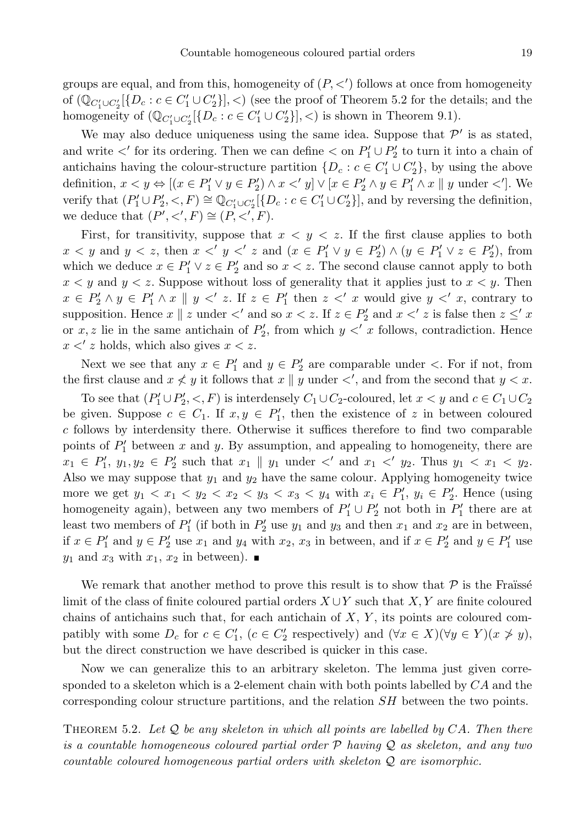groups are equal, and from this, homogeneity of  $(P, \lt')$  follows at once from homogeneity of  $(\mathbb{Q}_{C_1' \cup C_2'}[\{D_c : c \in C_1' \cup C_2'\}], \lt)$  (see the proof of Theorem 5.2 for the details; and the homogeneity of  $(\mathbb{Q}_{C_1' \cup C_2'}[\{D_c : c \in C_1' \cup C_2'\}],$  is shown in Theorem 9.1).

We may also deduce uniqueness using the same idea. Suppose that  $\mathcal{P}'$  is as stated, and write  $\lt'$  for its ordering. Then we can define  $\lt$  on  $P'_1 \cup P'_2$  to turn it into a chain of antichains having the colour-structure partition  $\{D_c : c \in C'_1 \cup C'_2\}$ , by using the above definition,  $x < y \Leftrightarrow [(x \in P'_1 \lor y \in P'_2) \land x <' y] \lor [x \in P'_2 \land y \in P'_1 \land x \parallel y \text{ under } \langle'.].$  We verify that  $(P'_1 \cup P'_2, \langle , F \rangle \cong \mathbb{Q}_{C'_1 \cup C'_2}[\{D_c : c \in C'_1 \cup C'_2\}],$  and by reversing the definition, we deduce that  $(P', \langle', F) \cong (P, \langle', F)$ .

First, for transitivity, suppose that  $x < y < z$ . If the first clause applies to both  $x < y$  and  $y < z$ , then  $x <' y <' z$  and  $(x \in P'_1 \lor y \in P'_2) \land (y \in P'_1 \lor z \in P'_2)$ , from which we deduce  $x \in P'_1 \vee z \in P'_2$  and so  $x < z$ . The second clause cannot apply to both  $x < y$  and  $y < z$ . Suppose without loss of generality that it applies just to  $x < y$ . Then  $x \in P'_1 \wedge y \in P'_1 \wedge x \parallel y \leq' z$ . If  $z \in P'_1$  then  $z \leq' x$  would give  $y \leq' x$ , contrary to supposition. Hence  $x \parallel z$  under  $\lt'$  and so  $x \lt z$ . If  $z \in P'_2$  and  $x \lt' z$  is false then  $z \leq' x$ or x, z lie in the same antichain of  $P'_2$ , from which  $y < x$  follows, contradiction. Hence  $x < z$  holds, which also gives  $x < z$ .

Next we see that any  $x \in P'_1$  and  $y \in P'_2$  are comparable under  $\lt$ . For if not, from the first clause and  $x \nless y$  it follows that  $x \parallel y$  under  $\lt'$ , and from the second that  $y \lt x$ .

To see that  $(P'_1 \cup P'_2, \langle F \rangle)$  is interdensely  $C_1 \cup C_2$ -coloured, let  $x \langle y \rangle$  and  $c \in C_1 \cup C_2$ be given. Suppose  $c \in C_1$ . If  $x, y \in P'_1$ , then the existence of z in between coloured c follows by interdensity there. Otherwise it suffices therefore to find two comparable points of  $P'_1$  between x and y. By assumption, and appealing to homogeneity, there are  $x_1 \in P'_1, y_1, y_2 \in P'_2$  such that  $x_1 \parallel y_1$  under  $\lt'$  and  $x_1 \lt' y_2$ . Thus  $y_1 \lt x_1 \lt y_2$ . Also we may suppose that  $y_1$  and  $y_2$  have the same colour. Applying homogeneity twice more we get  $y_1 < x_1 < y_2 < x_2 < y_3 < x_3 < y_4$  with  $x_i \in P'_1$ ,  $y_i \in P'_2$ . Hence (using homogeneity again), between any two members of  $P'_1 \cup P'_2$  not both in  $P'_1$  there are at least two members of  $P'_1$  (if both in  $P'_2$  use  $y_1$  and  $y_3$  and then  $x_1$  and  $x_2$  are in between, if  $x \in P'_1$  and  $y \in P'_2$  use  $x_1$  and  $y_4$  with  $x_2, x_3$  in between, and if  $x \in P'_2$  and  $y \in P'_1$  use  $y_1$  and  $x_3$  with  $x_1, x_2$  in between).

We remark that another method to prove this result is to show that  $P$  is the Fraüsse limit of the class of finite coloured partial orders  $X \cup Y$  such that  $X, Y$  are finite coloured chains of antichains such that, for each antichain of  $X, Y$ , its points are coloured compatibly with some  $D_c$  for  $c \in C'_1$ ,  $(c \in C'_2$  respectively) and  $(\forall x \in X)(\forall y \in Y)(x \not> y)$ , but the direct construction we have described is quicker in this case.

Now we can generalize this to an arbitrary skeleton. The lemma just given corresponded to a skeleton which is a 2-element chain with both points labelled by  $CA$  and the corresponding colour structure partitions, and the relation SH between the two points.

THEOREM 5.2. Let  $Q$  be any skeleton in which all points are labelled by CA. Then there is a countable homogeneous coloured partial order P having Q as skeleton, and any two countable coloured homogeneous partial orders with skeleton Q are isomorphic.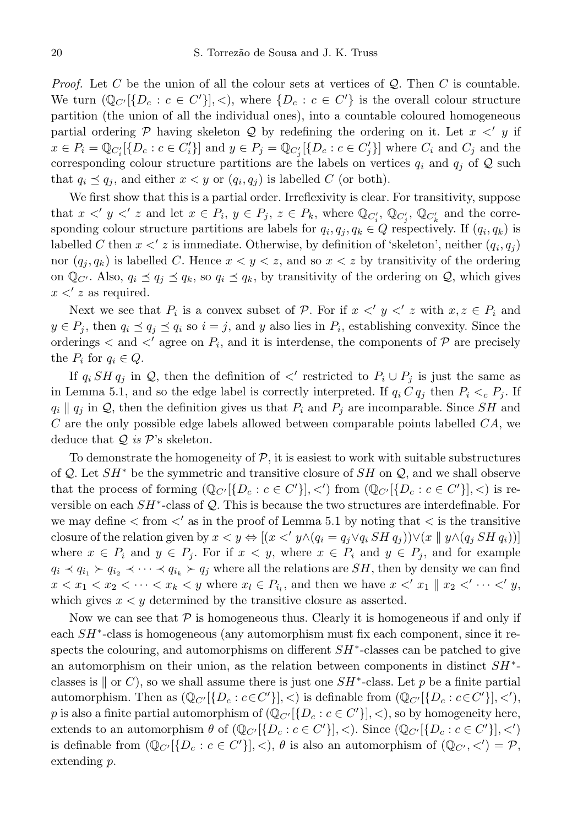*Proof.* Let C be the union of all the colour sets at vertices of  $Q$ . Then C is countable. We turn  $(\mathbb{Q}_{C'}[\{D_c : c \in C'\}], \lt),$  where  $\{D_c : c \in C'\}$  is the overall colour structure partition (the union of all the individual ones), into a countable coloured homogeneous partial ordering  $P$  having skeleton  $Q$  by redefining the ordering on it. Let  $x \leq y$  if  $x \in P_i = \mathbb{Q}_{C_i'}[\{D_c : c \in C_i'\}]$  and  $y \in P_j = \mathbb{Q}_{C_j'}[\{D_c : c \in C_j'\}]$  where  $C_i$  and  $C_j$  and the corresponding colour structure partitions are the labels on vertices  $q_i$  and  $q_j$  of Q such that  $q_i \preceq q_j$ , and either  $x < y$  or  $(q_i, q_j)$  is labelled C (or both).

We first show that this is a partial order. Irreflexivity is clear. For transitivity, suppose that  $x \leq' y \leq' z$  and let  $x \in P_i$ ,  $y \in P_j$ ,  $z \in P_k$ , where  $\mathbb{Q}_{C_i'}$ ,  $\mathbb{Q}_{C_j'}$ ,  $\mathbb{Q}_{C_k'}$  and the corresponding colour structure partitions are labels for  $q_i, q_j, q_k \in Q$  respectively. If  $(q_i, q_k)$  is labelled C then  $x < z$  is immediate. Otherwise, by definition of 'skeleton', neither  $(q_i, q_j)$ nor  $(q_i, q_k)$  is labelled C. Hence  $x < y < z$ , and so  $x < z$  by transitivity of the ordering on  $\mathbb{Q}_{C'}$ . Also,  $q_i \preceq q_j \preceq q_k$ , so  $q_i \preceq q_k$ , by transitivity of the ordering on  $\mathcal{Q}$ , which gives  $x < z$  as required.

Next we see that  $P_i$  is a convex subset of  $P$ . For if  $x \leq y \leq z$  with  $x, z \in P_i$  and  $y \in P_j$ , then  $q_i \preceq q_j \preceq q_i$  so  $i = j$ , and y also lies in  $P_i$ , establishing convexity. Since the orderings  $\lt$  and  $\lt'$  agree on  $P_i$ , and it is interdense, the components of  $P$  are precisely the  $P_i$  for  $q_i \in Q$ .

If  $q_i$  SH  $q_j$  in Q, then the definition of  $\langle$  restricted to  $P_i \cup P_j$  is just the same as in Lemma 5.1, and so the edge label is correctly interpreted. If  $q_i C q_j$  then  $P_i \lt_c P_j$ . If  $q_i \parallel q_j$  in Q, then the definition gives us that  $P_i$  and  $P_j$  are incomparable. Since SH and  $C$  are the only possible edge labels allowed between comparable points labelled  $CA$ , we deduce that  $Q$  is  $\mathcal{P}$ 's skeleton.

To demonstrate the homogeneity of  $P$ , it is easiest to work with suitable substructures of Q. Let  $SH^*$  be the symmetric and transitive closure of  $SH$  on Q, and we shall observe that the process of forming  $(\mathbb{Q}_{C'}[\{D_c : c \in C'\}], \lt')$  from  $(\mathbb{Q}_{C'}[\{D_c : c \in C'\}], \lt)$  is reversible on each  $SH^*$ -class of  $\mathcal Q$ . This is because the two structures are interdefinable. For we may define  $\lt$  from  $\lt'$  as in the proof of Lemma 5.1 by noting that  $\lt$  is the transitive closure of the relation given by  $x < y \Leftrightarrow [(x <' y \wedge (q_i = q_j \vee q_i SH q_j)) \vee (x \parallel y \wedge (q_j SH q_i))]$ where  $x \in P_i$  and  $y \in P_j$ . For if  $x < y$ , where  $x \in P_i$  and  $y \in P_j$ , and for example  $q_i \lt q_{i_1} \lt q_{i_2} \lt \cdots \lt q_{i_k} \lt q_j$  where all the relations are  $SH$ , then by density we can find  $x < x_1 < x_2 < \cdots < x_k < y$  where  $x_l \in P_{i_l}$ , and then we have  $x < x_1 \parallel x_2 < \cdots < y_j$ which gives  $x < y$  determined by the transitive closure as asserted.

Now we can see that  $P$  is homogeneous thus. Clearly it is homogeneous if and only if each SH<sup>∗</sup> -class is homogeneous (any automorphism must fix each component, since it respects the colouring, and automorphisms on different  $SH^*$ -classes can be patched to give an automorphism on their union, as the relation between components in distinct  $SH^*$ classes is  $\parallel$  or C), so we shall assume there is just one  $SH^*$ -class. Let p be a finite partial automorphism. Then as  $(\mathbb{Q}_{C'}[\{D_c : c \in C'\}], <)$  is definable from  $(\mathbb{Q}_{C'}[\{D_c : c \in C'\}], <')$ , p is also a finite partial automorphism of  $(\mathbb{Q}_{C'}[\{D_c : c \in C'\}], <)$ , so by homogeneity here, extends to an automorphism  $\theta$  of  $(\mathbb{Q}_{C'}[\{D_c : c \in C'\}], \leq)$ . Since  $(\mathbb{Q}_{C'}[\{D_c : c \in C'\}], \leq')$ is definable from  $(\mathbb{Q}_{C'}[\{D_c : c \in C'\}], \lt), \theta$  is also an automorphism of  $(\mathbb{Q}_{C'}, \lt') = \mathcal{P},$ extending p.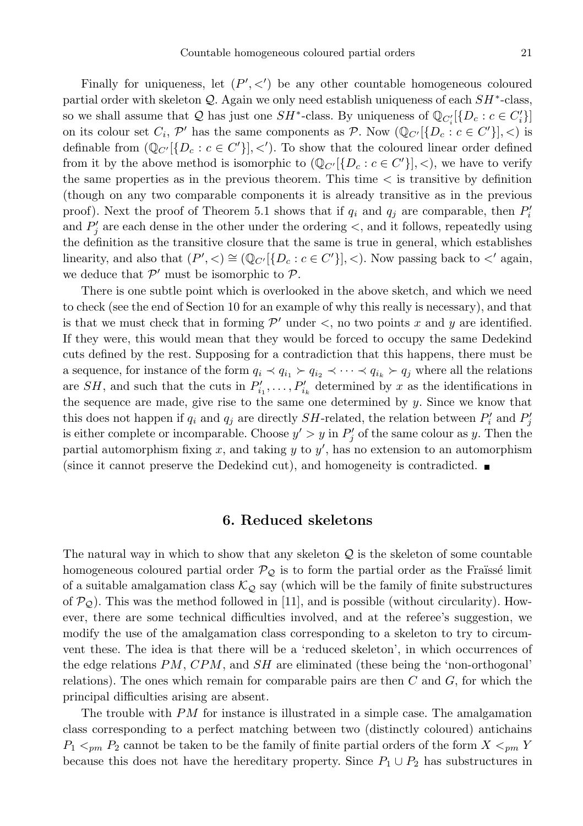Finally for uniqueness, let  $(P', \leq')$  be any other countable homogeneous coloured partial order with skeleton  $Q$ . Again we only need establish uniqueness of each  $SH^*$ -class, so we shall assume that Q has just one  $SH^*$ -class. By uniqueness of  $\mathbb{Q}_{C_i'}[\{D_c : c \in C_i'\}]$ on its colour set  $C_i$ ,  $\mathcal{P}'$  has the same components as  $\mathcal{P}$ . Now  $(\mathbb{Q}_{C'}[\{D_c : c \in C'\}], <)$  is definable from  $(\mathbb{Q}_{C'}[\{D_c : c \in C'\}], \lt')$ . To show that the coloured linear order defined from it by the above method is isomorphic to  $(\mathbb{Q}_{C'}[\{D_c : c \in C'\}], \leq),$  we have to verify the same properties as in the previous theorem. This time < is transitive by definition (though on any two comparable components it is already transitive as in the previous proof). Next the proof of Theorem 5.1 shows that if  $q_i$  and  $q_j$  are comparable, then  $P'_i$ and  $P'_{j}$  are each dense in the other under the ordering  $\lt$ , and it follows, repeatedly using the definition as the transitive closure that the same is true in general, which establishes linearity, and also that  $(P', <) \cong (\mathbb{Q}_{C'}[\{D_c : c \in C'\}], <)$ . Now passing back to  $\lt'$  again, we deduce that  $\mathcal{P}'$  must be isomorphic to  $\mathcal{P}$ .

There is one subtle point which is overlooked in the above sketch, and which we need to check (see the end of Section 10 for an example of why this really is necessary), and that is that we must check that in forming  $\mathcal{P}'$  under  $\lt$ , no two points x and y are identified. If they were, this would mean that they would be forced to occupy the same Dedekind cuts defined by the rest. Supposing for a contradiction that this happens, there must be a sequence, for instance of the form  $q_i \prec q_{i_1} \succ q_{i_2} \prec \cdots \prec q_{i_k} \succ q_j$  where all the relations are SH, and such that the cuts in  $P'_{i_1}, \ldots, P'_{i_k}$  determined by x as the identifications in the sequence are made, give rise to the same one determined by  $y$ . Since we know that this does not happen if  $q_i$  and  $q_j$  are directly  $SH$ -related, the relation between  $P'_i$  and  $P'_j$ is either complete or incomparable. Choose  $y' > y$  in  $P'_j$  of the same colour as y. Then the partial automorphism fixing x, and taking y to  $y'$ , has no extension to an automorphism (since it cannot preserve the Dedekind cut), and homogeneity is contradicted.

### 6. Reduced skeletons

The natural way in which to show that any skeleton  $\mathcal Q$  is the skeleton of some countable homogeneous coloured partial order  $\mathcal{P}_{\mathcal{Q}}$  is to form the partial order as the Fraüssé limit of a suitable amalgamation class  $\mathcal{K}_{\mathcal{Q}}$  say (which will be the family of finite substructures of  $\mathcal{P}_{\mathcal{Q}}$ ). This was the method followed in [11], and is possible (without circularity). However, there are some technical difficulties involved, and at the referee's suggestion, we modify the use of the amalgamation class corresponding to a skeleton to try to circumvent these. The idea is that there will be a 'reduced skeleton', in which occurrences of the edge relations PM, CPM, and SH are eliminated (these being the 'non-orthogonal' relations). The ones which remain for comparable pairs are then  $C$  and  $G$ , for which the principal difficulties arising are absent.

The trouble with PM for instance is illustrated in a simple case. The amalgamation class corresponding to a perfect matching between two (distinctly coloured) antichains  $P_1 \leq_{pm} P_2$  cannot be taken to be the family of finite partial orders of the form  $X \leq_{pm} Y$ because this does not have the hereditary property. Since  $P_1 \cup P_2$  has substructures in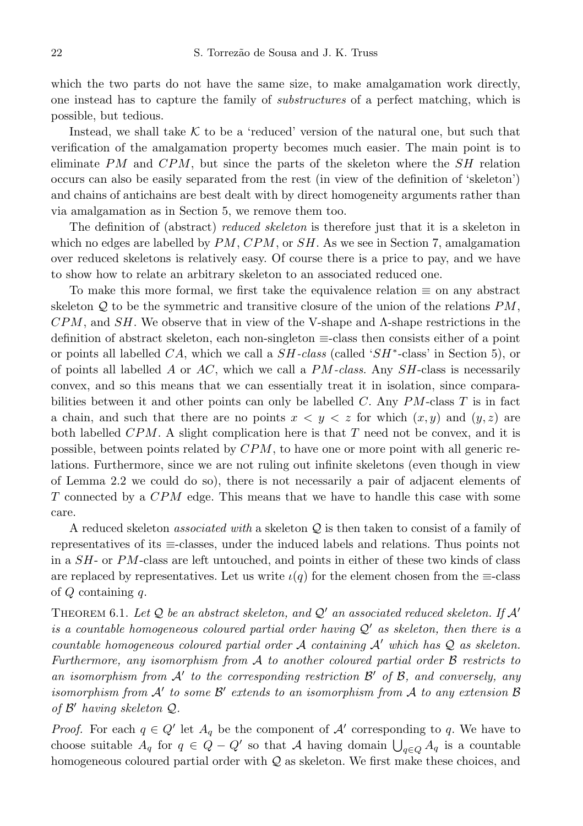which the two parts do not have the same size, to make amalgamation work directly, one instead has to capture the family of substructures of a perfect matching, which is possible, but tedious.

Instead, we shall take  $K$  to be a 'reduced' version of the natural one, but such that verification of the amalgamation property becomes much easier. The main point is to eliminate  $PM$  and  $CPM$ , but since the parts of the skeleton where the  $SH$  relation occurs can also be easily separated from the rest (in view of the definition of 'skeleton') and chains of antichains are best dealt with by direct homogeneity arguments rather than via amalgamation as in Section 5, we remove them too.

The definition of (abstract) reduced skeleton is therefore just that it is a skeleton in which no edges are labelled by  $PM$ ,  $CPM$ , or  $SH$ . As we see in Section 7, amalgamation over reduced skeletons is relatively easy. Of course there is a price to pay, and we have to show how to relate an arbitrary skeleton to an associated reduced one.

To make this more formal, we first take the equivalence relation  $\equiv$  on any abstract skeleton  $Q$  to be the symmetric and transitive closure of the union of the relations  $PM$ ,  $CPM$ , and  $SH$ . We observe that in view of the V-shape and  $\Lambda$ -shape restrictions in the definition of abstract skeleton, each non-singleton ≡-class then consists either of a point or points all labelled  $CA$ , which we call a  $SH$ -class (called ' $SH^*$ -class' in Section 5), or of points all labelled A or  $AC$ , which we call a  $PM$ -class. Any  $SH$ -class is necessarily convex, and so this means that we can essentially treat it in isolation, since comparabilities between it and other points can only be labelled C. Any  $PM$ -class T is in fact a chain, and such that there are no points  $x < y < z$  for which  $(x, y)$  and  $(y, z)$  are both labelled  $CPM$ . A slight complication here is that T need not be convex, and it is possible, between points related by CPM, to have one or more point with all generic relations. Furthermore, since we are not ruling out infinite skeletons (even though in view of Lemma 2.2 we could do so), there is not necessarily a pair of adjacent elements of T connected by a CPM edge. This means that we have to handle this case with some care.

A reduced skeleton *associated with* a skeleton  $Q$  is then taken to consist of a family of representatives of its ≡-classes, under the induced labels and relations. Thus points not in a SH- or PM-class are left untouched, and points in either of these two kinds of class are replaced by representatives. Let us write  $\iota(q)$  for the element chosen from the  $\equiv$ -class of  $Q$  containing  $q$ .

THEOREM 6.1. Let Q be an abstract skeleton, and Q' an associated reduced skeleton. If  $\mathcal{A}'$ is a countable homogeneous coloured partial order having  $\mathcal{Q}'$  as skeleton, then there is a countable homogeneous coloured partial order A containing  $A'$  which has  $\mathcal Q$  as skeleton. Furthermore, any isomorphism from  $A$  to another coloured partial order  $B$  restricts to an isomorphism from  $\mathcal{A}'$  to the corresponding restriction  $\mathcal{B}'$  of  $\mathcal{B}$ , and conversely, any isomorphism from  $\mathcal{A}'$  to some  $\mathcal{B}'$  extends to an isomorphism from  $\mathcal A$  to any extension  $\mathcal B$ of  $\mathcal{B}'$  having skeleton  $\mathcal{Q}$ .

*Proof.* For each  $q \in Q'$  let  $A_q$  be the component of  $A'$  corresponding to q. We have to choose suitable  $A_q$  for  $q \in Q - Q'$  so that A having domain  $\bigcup_{q \in Q} A_q$  is a countable homogeneous coloured partial order with  $Q$  as skeleton. We first make these choices, and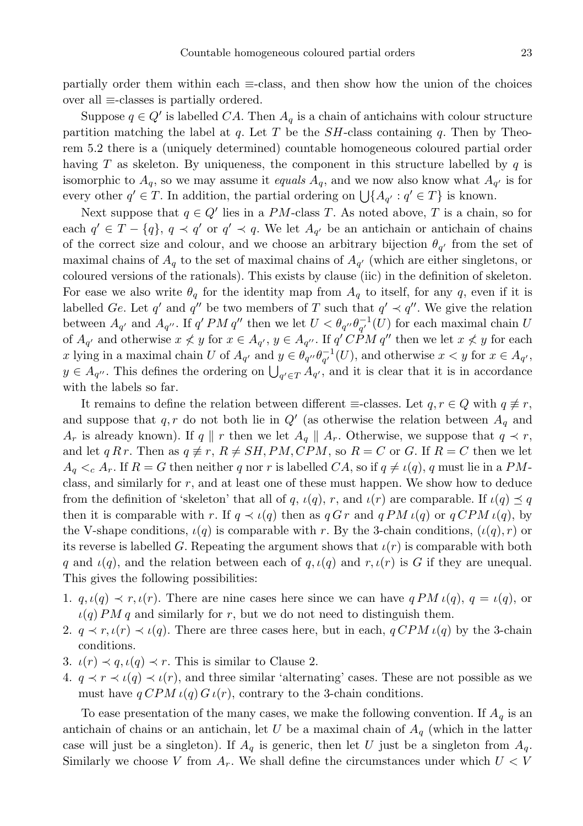partially order them within each  $\equiv$ -class, and then show how the union of the choices over all ≡-classes is partially ordered.

Suppose  $q \in Q'$  is labelled  $CA$ . Then  $A_q$  is a chain of antichains with colour structure partition matching the label at q. Let T be the  $SH$ -class containing q. Then by Theorem 5.2 there is a (uniquely determined) countable homogeneous coloured partial order having T as skeleton. By uniqueness, the component in this structure labelled by  $q$  is isomorphic to  $A_q$ , so we may assume it *equals*  $A_q$ , and we now also know what  $A_{q'}$  is for every other  $q' \in T$ . In addition, the partial ordering on  $\bigcup \{A_{q'} : q' \in T\}$  is known.

Next suppose that  $q \in Q'$  lies in a PM-class T. As noted above, T is a chain, so for each  $q' \in T - \{q\}$ ,  $q \prec q'$  or  $q' \prec q$ . We let  $A_{q'}$  be an antichain or antichain of chains of the correct size and colour, and we choose an arbitrary bijection  $\theta_{q'}$  from the set of maximal chains of  $A_q$  to the set of maximal chains of  $A_{q'}$  (which are either singletons, or coloured versions of the rationals). This exists by clause (iic) in the definition of skeleton. For ease we also write  $\theta_q$  for the identity map from  $A_q$  to itself, for any q, even if it is labelled Ge. Let q' and q'' be two members of T such that  $q' \prec q''$ . We give the relation between  $A_{q'}$  and  $A_{q''}$ . If  $q'PM q''$  then we let  $U < \theta_{q''} \theta_{q'}^{-1}(U)$  for each maximal chain U of  $A_{q'}$  and otherwise  $x \nless y$  for  $x \in A_{q'}$ ,  $y \in A_{q''}$ . If  $q' CPM q''$  then we let  $x \nless y$  for each x lying in a maximal chain U of  $A_{q'}$  and  $y \in \theta_{q''} \theta_{q'}^{-1}(U)$ , and otherwise  $x < y$  for  $x \in A_{q'}$ ,  $y \in A_{q''}$ . This defines the ordering on  $\bigcup_{q' \in T} A_{q'}$ , and it is clear that it is in accordance with the labels so far.

It remains to define the relation between different  $\equiv$ -classes. Let  $q, r \in Q$  with  $q \not\equiv r$ , and suppose that  $q, r$  do not both lie in  $Q'$  (as otherwise the relation between  $A_q$  and  $A_r$  is already known). If q || r then we let  $A_q$  ||  $A_r$ . Otherwise, we suppose that  $q \prec r$ , and let q R r. Then as  $q \neq r$ ,  $R \neq SH$ ,  $PM$ ,  $CPM$ , so  $R = C$  or G. If  $R = C$  then we let  $A_q \lt_c A_r$ . If  $R = G$  then neither q nor r is labelled  $CA$ , so if  $q \neq \iota(q)$ , q must lie in a PMclass, and similarly for r, and at least one of these must happen. We show how to deduce from the definition of 'skeleton' that all of q,  $\iota(q)$ , r, and  $\iota(r)$  are comparable. If  $\iota(q) \preceq q$ then it is comparable with r. If  $q \prec \iota(q)$  then as  $q G r$  and  $q PM \iota(q)$  or  $q CPM \iota(q)$ , by the V-shape conditions,  $\iota(q)$  is comparable with r. By the 3-chain conditions,  $(\iota(q), r)$  or its reverse is labelled G. Repeating the argument shows that  $\iota(r)$  is comparable with both q and  $\iota(q)$ , and the relation between each of  $q, \iota(q)$  and  $r, \iota(r)$  is G if they are unequal. This gives the following possibilities:

- 1.  $q, \iota(q) \prec r, \iota(r)$ . There are nine cases here since we can have  $qPM \iota(q), q = \iota(q)$ , or  $\iota(q) PM q$  and similarly for r, but we do not need to distinguish them.
- 2.  $q \prec r, \iota(r) \prec \iota(q)$ . There are three cases here, but in each,  $q CPM \iota(q)$  by the 3-chain conditions.
- 3.  $\iota(r) \prec q$ ,  $\iota(q) \prec r$ . This is similar to Clause 2.
- 4.  $q \prec r \prec \iota(q) \prec \iota(r)$ , and three similar 'alternating' cases. These are not possible as we must have  $q CPM \iota(q) G \iota(r)$ , contrary to the 3-chain conditions.

To ease presentation of the many cases, we make the following convention. If  $A_q$  is an antichain of chains or an antichain, let U be a maximal chain of  $A_q$  (which in the latter case will just be a singleton). If  $A_q$  is generic, then let U just be a singleton from  $A_q$ . Similarly we choose V from  $A_r$ . We shall define the circumstances under which  $U < V$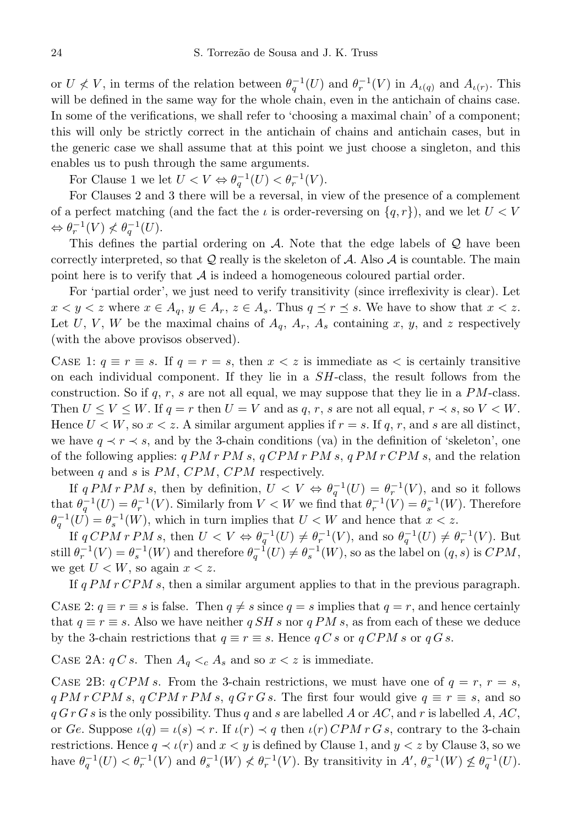or  $U \nless V$ , in terms of the relation between  $\theta_q^{-1}(U)$  and  $\theta_r^{-1}(V)$  in  $A_{\iota(q)}$  and  $A_{\iota(r)}$ . This will be defined in the same way for the whole chain, even in the antichain of chains case. In some of the verifications, we shall refer to 'choosing a maximal chain' of a component; this will only be strictly correct in the antichain of chains and antichain cases, but in the generic case we shall assume that at this point we just choose a singleton, and this enables us to push through the same arguments.

For Clause 1 we let  $U < V \Leftrightarrow \theta_q^{-1}(U) < \theta_r^{-1}(V)$ .

For Clauses 2 and 3 there will be a reversal, in view of the presence of a complement of a perfect matching (and the fact the  $\iota$  is order-reversing on  $\{q, r\}$ ), and we let  $U < V$  $\Leftrightarrow \theta_r^{-1}(V) \nless \theta_q^{-1}(U).$ 

This defines the partial ordering on  $A$ . Note that the edge labels of  $Q$  have been correctly interpreted, so that  $Q$  really is the skeleton of  $A$ . Also  $A$  is countable. The main point here is to verify that  $A$  is indeed a homogeneous coloured partial order.

For 'partial order', we just need to verify transitivity (since irreflexivity is clear). Let  $x < y < z$  where  $x \in A_q$ ,  $y \in A_r$ ,  $z \in A_s$ . Thus  $q \preceq r \preceq s$ . We have to show that  $x < z$ . Let U, V, W be the maximal chains of  $A_q$ ,  $A_r$ ,  $A_s$  containing x, y, and z respectively (with the above provisos observed).

CASE 1:  $q \equiv r \equiv s$ . If  $q = r = s$ , then  $x < z$  is immediate as  $\lt$  is certainly transitive on each individual component. If they lie in a SH-class, the result follows from the construction. So if  $q, r, s$  are not all equal, we may suppose that they lie in a PM-class. Then  $U \leq V \leq W$ . If  $q = r$  then  $U = V$  and as q, r, s are not all equal,  $r \prec s$ , so  $V \leq W$ . Hence  $U < W$ , so  $x < z$ . A similar argument applies if  $r = s$ . If q, r, and s are all distinct, we have  $q \prec r \prec s$ , and by the 3-chain conditions (va) in the definition of 'skeleton', one of the following applies:  $q PM r PM s, q CPM r PM s, q PM r CPM s$ , and the relation between  $q$  and  $s$  is  $PM$ ,  $CPM$ ,  $CPM$  respectively.

If  $qPM rPM s$ , then by definition,  $U < V \Leftrightarrow \theta_q^{-1}(U) = \theta_r^{-1}(V)$ , and so it follows that  $\theta_q^{-1}(U) = \theta_r^{-1}(V)$ . Similarly from  $V < W$  we find that  $\theta_r^{-1}(V) = \theta_s^{-1}(W)$ . Therefore  $\theta_q^{-1}(U) = \theta_s^{-1}(W)$ , which in turn implies that  $U < W$  and hence that  $x < z$ .

If  $qCPMrPM s$ , then  $U < V \Leftrightarrow \theta_q^{-1}(U) \neq \theta_r^{-1}(V)$ , and so  $\theta_q^{-1}(U) \neq \theta_r^{-1}(V)$ . But still  $\theta_r^{-1}(V) = \theta_s^{-1}(W)$  and therefore  $\theta_q^{-1}(U) \neq \theta_s^{-1}(W)$ , so as the label on  $(q, s)$  is  $CPM$ , we get  $U < W$ , so again  $x < z$ .

If  $q PM r CPM s$ , then a similar argument applies to that in the previous paragraph.

CASE 2:  $q \equiv r \equiv s$  is false. Then  $q \neq s$  since  $q = s$  implies that  $q = r$ , and hence certainly that  $q \equiv r \equiv s$ . Also we have neither  $q SH s$  nor  $q PM s$ , as from each of these we deduce by the 3-chain restrictions that  $q \equiv r \equiv s$ . Hence  $q C s$  or  $q C P M s$  or  $q G s$ .

CASE 2A:  $qC s$ . Then  $A_q \lt_c A_s$  and so  $x \lt z$  is immediate.

CASE 2B:  $qCPM s$ . From the 3-chain restrictions, we must have one of  $q = r, r = s$ ,  $q PM r CPM s$ ,  $q CPM r PM s$ ,  $q G r G s$ . The first four would give  $q \equiv r \equiv s$ , and so  $q G r G s$  is the only possibility. Thus q and s are labelled A or AC, and r is labelled A, AC, or Ge. Suppose  $\iota(q) = \iota(s) \prec r$ . If  $\iota(r) \prec q$  then  $\iota(r)$  CPM r G s, contrary to the 3-chain restrictions. Hence  $q \prec \iota(r)$  and  $x < y$  is defined by Clause 1, and  $y < z$  by Clause 3, so we have  $\theta_q^{-1}(U) < \theta_r^{-1}(V)$  and  $\theta_s^{-1}(W) \nless \theta_r^{-1}(V)$ . By transitivity in  $A', \theta_s^{-1}(W) \nless \theta_q^{-1}(U)$ .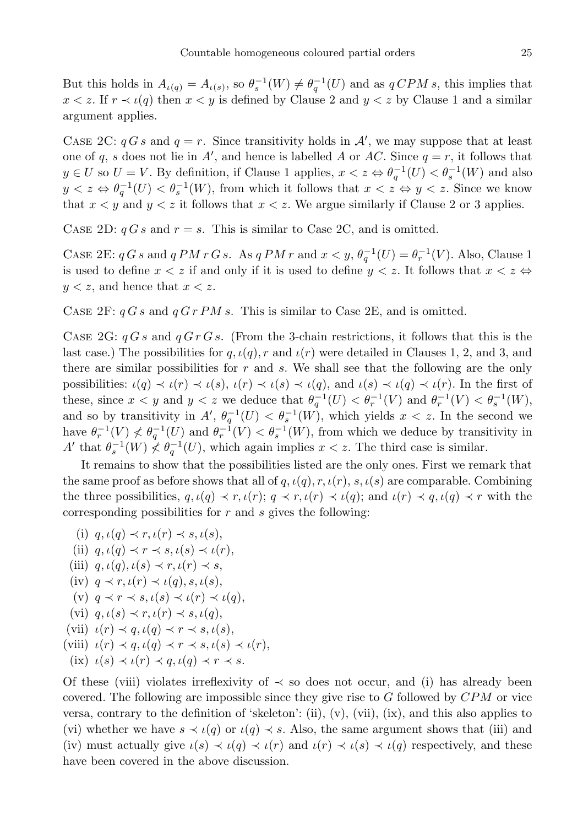But this holds in  $A_{\iota(q)} = A_{\iota(s)}$ , so  $\theta_s^{-1}(W) \neq \theta_q^{-1}(U)$  and as  $q \text{CPM } s$ , this implies that  $x < z$ . If  $r \prec \iota(q)$  then  $x < y$  is defined by Clause 2 and  $y < z$  by Clause 1 and a similar argument applies.

CASE 2C:  $qGs$  and  $q = r$ . Since transitivity holds in  $\mathcal{A}'$ , we may suppose that at least one of q, s does not lie in A', and hence is labelled A or AC. Since  $q = r$ , it follows that  $y \in U$  so  $U = V$ . By definition, if Clause 1 applies,  $x < z \Leftrightarrow \theta_q^{-1}(U) < \theta_s^{-1}(W)$  and also  $y < z \Leftrightarrow \theta_q^{-1}(U) < \theta_s^{-1}(W)$ , from which it follows that  $x < z \Leftrightarrow y < z$ . Since we know that  $x < y$  and  $y < z$  it follows that  $x < z$ . We argue similarly if Clause 2 or 3 applies.

CASE 2D:  $qG s$  and  $r = s$ . This is similar to Case 2C, and is omitted.

CASE 2E:  $q G s$  and  $q PM r G s$ . As  $q PM r$  and  $x < y$ ,  $\theta_q^{-1}(U) = \theta_r^{-1}(V)$ . Also, Clause 1 is used to define  $x < z$  if and only if it is used to define  $y < z$ . It follows that  $x < z \Leftrightarrow$  $y < z$ , and hence that  $x < z$ .

CASE 2F:  $qGs$  and  $qGrPMs$ . This is similar to Case 2E, and is omitted.

CASE 2G:  $qGs$  and  $qGrGs$ . (From the 3-chain restrictions, it follows that this is the last case.) The possibilities for  $q, \iota(q), r$  and  $\iota(r)$  were detailed in Clauses 1, 2, and 3, and there are similar possibilities for  $r$  and  $s$ . We shall see that the following are the only possibilities:  $\iota(q) \prec \iota(r) \prec \iota(s), \iota(r) \prec \iota(s) \prec \iota(q),$  and  $\iota(s) \prec \iota(q) \prec \iota(r)$ . In the first of these, since  $x < y$  and  $y < z$  we deduce that  $\theta_q^{-1}(U) < \theta_r^{-1}(V)$  and  $\theta_r^{-1}(V) < \theta_s^{-1}(W)$ , and so by transitivity in  $A'$ ,  $\theta_q^{-1}(U) < \theta_s^{-1}(W)$ , which yields  $x < z$ . In the second we have  $\theta_r^{-1}(V) \nless \theta_q^{-1}(U)$  and  $\theta_r^{-1}(V) \nless \theta_s^{-1}(W)$ , from which we deduce by transitivity in A' that  $\theta_s^{-1}(W) \nless \theta_q^{-1}(U)$ , which again implies  $x < z$ . The third case is similar.

It remains to show that the possibilities listed are the only ones. First we remark that the same proof as before shows that all of  $q, \iota(q), r, \iota(r), s, \iota(s)$  are comparable. Combining the three possibilities,  $q, \iota(q) \prec r, \iota(r); q \prec r, \iota(r) \prec \iota(q);$  and  $\iota(r) \prec q, \iota(q) \prec r$  with the corresponding possibilities for  $r$  and  $s$  gives the following:

- (i)  $q, \iota(q) \prec r, \iota(r) \prec s, \iota(s)$ ,
- (ii)  $q, \iota(q) \prec r \prec s, \iota(s) \prec \iota(r)$ ,
- (iii)  $q, \iota(q), \iota(s) \prec r, \iota(r) \prec s$ ,
- (iv)  $q \prec r, \iota(r) \prec \iota(q), s, \iota(s)$ ,
- (v)  $q \prec r \prec s, \iota(s) \prec \iota(r) \prec \iota(q)$ ,
- (vi)  $q, \iota(s) \prec r, \iota(r) \prec s, \iota(q)$ ,
- (vii)  $\iota(r) \prec q, \iota(q) \prec r \prec s, \iota(s)$ ,
- (viii)  $\iota(r) \prec q, \iota(q) \prec r \prec s, \iota(s) \prec \iota(r)$ ,
- (ix)  $\iota(s) \prec \iota(r) \prec q, \iota(q) \prec r \prec s.$

Of these (viii) violates irreflexivity of  $\prec$  so does not occur, and (i) has already been covered. The following are impossible since they give rise to  $G$  followed by  $CPM$  or vice versa, contrary to the definition of 'skeleton': (ii),  $(v)$ ,  $(vii)$ ,  $(ix)$ , and this also applies to (vi) whether we have  $s \prec \iota(q)$  or  $\iota(q) \prec s$ . Also, the same argument shows that (iii) and (iv) must actually give  $\iota(s) \prec \iota(q) \prec \iota(r)$  and  $\iota(r) \prec \iota(s) \prec \iota(q)$  respectively, and these have been covered in the above discussion.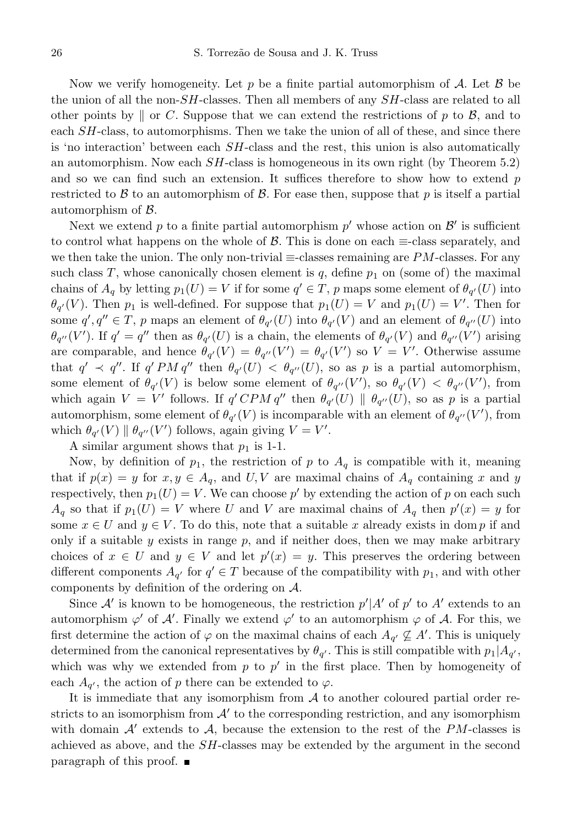Now we verify homogeneity. Let p be a finite partial automorphism of A. Let  $\beta$  be the union of all the non- $SH$ -classes. Then all members of any  $SH$ -class are related to all other points by  $\parallel$  or C. Suppose that we can extend the restrictions of p to B, and to each SH-class, to automorphisms. Then we take the union of all of these, and since there is 'no interaction' between each SH-class and the rest, this union is also automatically an automorphism. Now each  $SH$ -class is homogeneous in its own right (by Theorem 5.2) and so we can find such an extension. It suffices therefore to show how to extend  $p$ restricted to B to an automorphism of B. For ease then, suppose that p is itself a partial automorphism of B.

Next we extend p to a finite partial automorphism  $p'$  whose action on  $\mathcal{B}'$  is sufficient to control what happens on the whole of  $\mathcal{B}$ . This is done on each  $\equiv$ -class separately, and we then take the union. The only non-trivial  $\equiv$ -classes remaining are PM-classes. For any such class T, whose canonically chosen element is  $q$ , define  $p_1$  on (some of) the maximal chains of  $A_q$  by letting  $p_1(U) = V$  if for some  $q' \in T$ , p maps some element of  $\theta_{q'}(U)$  into  $\theta_{q'}(V)$ . Then  $p_1$  is well-defined. For suppose that  $p_1(U) = V$  and  $p_1(U) = V'$ . Then for some  $q', q'' \in T$ , p maps an element of  $\theta_{q'}(U)$  into  $\theta_{q'}(V)$  and an element of  $\theta_{q''}(U)$  into  $\theta_{q''}(V')$ . If  $q' = q''$  then as  $\theta_{q'}(U)$  is a chain, the elements of  $\theta_{q'}(V)$  and  $\theta_{q''}(V')$  arising are comparable, and hence  $\theta_{q'}(V) = \theta_{q''}(V') = \theta_{q'}(V')$  so  $V = V'$ . Otherwise assume that  $q' \prec q''$ . If  $q'PM q''$  then  $\theta_{q'}(U) < \theta_{q''}(U)$ , so as p is a partial automorphism, some element of  $\theta_{q'}(V)$  is below some element of  $\theta_{q''}(V')$ , so  $\theta_{q'}(V) < \theta_{q''}(V')$ , from which again  $V = V'$  follows. If  $q' CPM q''$  then  $\theta_{q'}(U) \parallel \theta_{q''}(U)$ , so as p is a partial automorphism, some element of  $\theta_{q'}(V)$  is incomparable with an element of  $\theta_{q''}(V')$ , from which  $\theta_{q'}(V) \parallel \theta_{q''}(V')$  follows, again giving  $V = V'$ .

A similar argument shows that  $p_1$  is 1-1.

Now, by definition of  $p_1$ , the restriction of p to  $A_q$  is compatible with it, meaning that if  $p(x) = y$  for  $x, y \in A_q$ , and U, V are maximal chains of  $A_q$  containing x and y respectively, then  $p_1(U) = V$ . We can choose p' by extending the action of p on each such  $A_q$  so that if  $p_1(U) = V$  where U and V are maximal chains of  $A_q$  then  $p'(x) = y$  for some  $x \in U$  and  $y \in V$ . To do this, note that a suitable x already exists in dom p if and only if a suitable  $y$  exists in range  $p$ , and if neither does, then we may make arbitrary choices of  $x \in U$  and  $y \in V$  and let  $p'(x) = y$ . This preserves the ordering between different components  $A_{q'}$  for  $q' \in T$  because of the compatibility with  $p_1$ , and with other components by definition of the ordering on A.

Since  $\mathcal{A}'$  is known to be homogeneous, the restriction  $p'|A'$  of  $p'$  to  $A'$  extends to an automorphism  $\varphi'$  of  $\mathcal{A}'$ . Finally we extend  $\varphi'$  to an automorphism  $\varphi$  of  $\mathcal{A}$ . For this, we first determine the action of  $\varphi$  on the maximal chains of each  $A_{q'} \nsubseteq A'$ . This is uniquely determined from the canonical representatives by  $\theta_{q'}$ . This is still compatible with  $p_1|A_{q'}$ , which was why we extended from  $p$  to  $p'$  in the first place. Then by homogeneity of each  $A_{q'}$ , the action of p there can be extended to  $\varphi$ .

It is immediate that any isomorphism from  $A$  to another coloured partial order restricts to an isomorphism from  $\mathcal{A}'$  to the corresponding restriction, and any isomorphism with domain  $A'$  extends to  $A$ , because the extension to the rest of the PM-classes is achieved as above, and the SH-classes may be extended by the argument in the second paragraph of this proof.  $\blacksquare$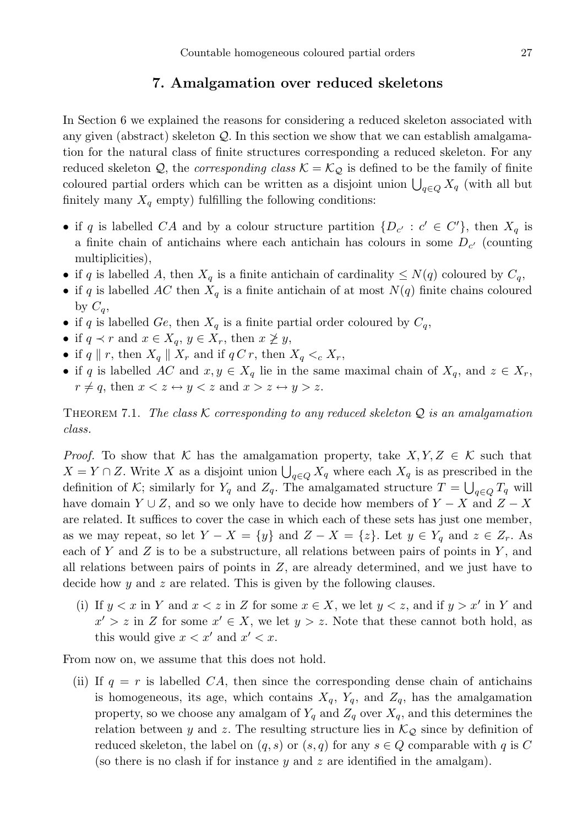## 7. Amalgamation over reduced skeletons

In Section 6 we explained the reasons for considering a reduced skeleton associated with any given (abstract) skeleton  $Q$ . In this section we show that we can establish amalgamation for the natural class of finite structures corresponding a reduced skeleton. For any reduced skeleton Q, the *corresponding class*  $\mathcal{K} = \mathcal{K}_{\mathcal{Q}}$  is defined to be the family of finite coloured partial orders which can be written as a disjoint union  $\bigcup_{q \in Q} X_q$  (with all but finitely many  $X_q$  empty) fulfilling the following conditions:

- if q is labelled CA and by a colour structure partition  $\{D_{c'} : c' \in C'\}$ , then  $X_q$  is a finite chain of antichains where each antichain has colours in some  $D_{c'}$  (counting multiplicities),
- if q is labelled A, then  $X_q$  is a finite antichain of cardinality  $\leq N(q)$  coloured by  $C_q$ ,
- if q is labelled AC then  $X_q$  is a finite antichain of at most  $N(q)$  finite chains coloured by  $C_q$ ,
- if q is labelled Ge, then  $X_q$  is a finite partial order coloured by  $C_q$ ,
- if  $q \prec r$  and  $x \in X_q$ ,  $y \in X_r$ , then  $x \not\geq y$ ,
- if  $q \parallel r$ , then  $X_q \parallel X_r$  and if  $q C r$ , then  $X_q \lt_c X_r$ ,
- if q is labelled AC and  $x, y \in X_q$  lie in the same maximal chain of  $X_q$ , and  $z \in X_r$ ,  $r \neq q$ , then  $x < z \leftrightarrow y < z$  and  $x > z \leftrightarrow y > z$ .

THEOREM 7.1. The class K corresponding to any reduced skeleton  $Q$  is an amalgamation class.

*Proof.* To show that K has the amalgamation property, take  $X, Y, Z \in \mathcal{K}$  such that  $X = Y \cap Z$ . Write X as a disjoint union  $\bigcup_{q \in Q} X_q$  where each  $X_q$  is as prescribed in the definition of K; similarly for  $Y_q$  and  $Z_q$ . The amalgamated structure  $T = \bigcup_{q \in Q} T_q$  will have domain  $Y \cup Z$ , and so we only have to decide how members of  $Y - X$  and  $Z - X$ are related. It suffices to cover the case in which each of these sets has just one member, as we may repeat, so let  $Y - X = \{y\}$  and  $Z - X = \{z\}$ . Let  $y \in Y_q$  and  $z \in Z_r$ . As each of Y and Z is to be a substructure, all relations between pairs of points in  $Y$ , and all relations between pairs of points in  $Z$ , are already determined, and we just have to decide how  $y$  and  $z$  are related. This is given by the following clauses.

(i) If  $y < x$  in Y and  $x < z$  in Z for some  $x \in X$ , we let  $y < z$ , and if  $y > x'$  in Y and  $x' > z$  in Z for some  $x' \in X$ , we let  $y > z$ . Note that these cannot both hold, as this would give  $x < x'$  and  $x' < x$ .

From now on, we assume that this does not hold.

(ii) If  $q = r$  is labelled CA, then since the corresponding dense chain of antichains is homogeneous, its age, which contains  $X_q$ ,  $Y_q$ , and  $Z_q$ , has the amalgamation property, so we choose any amalgam of  $Y_q$  and  $Z_q$  over  $X_q$ , and this determines the relation between y and z. The resulting structure lies in  $\mathcal{K}_{\mathcal{Q}}$  since by definition of reduced skeleton, the label on  $(q, s)$  or  $(s, q)$  for any  $s \in Q$  comparable with q is C (so there is no clash if for instance  $y$  and  $z$  are identified in the amalgam).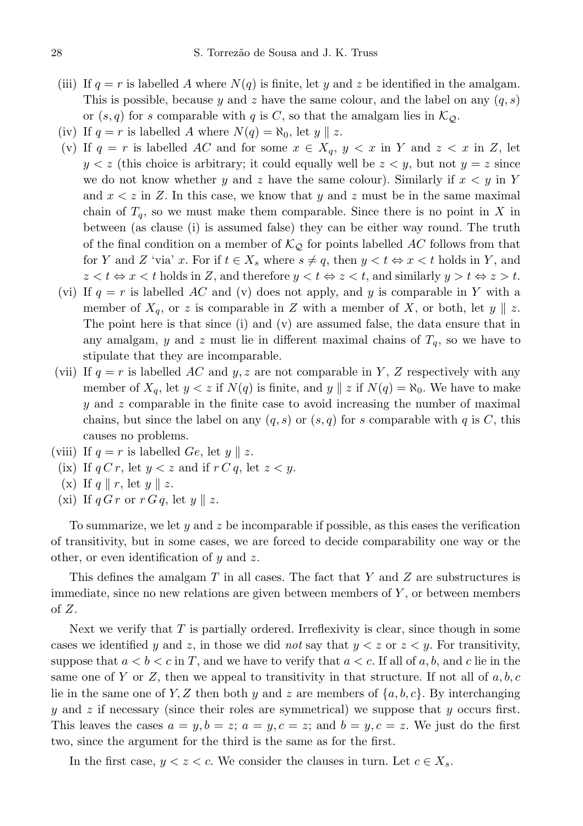- (iii) If  $q = r$  is labelled A where  $N(q)$  is finite, let y and z be identified in the amalgam. This is possible, because y and z have the same colour, and the label on any  $(q, s)$ or  $(s, q)$  for s comparable with q is C, so that the amalgam lies in  $\mathcal{K}_{\mathcal{Q}}$ .
- (iv) If  $q = r$  is labelled A where  $N(q) = \aleph_0$ , let  $y \parallel z$ .
- (v) If  $q = r$  is labelled AC and for some  $x \in X_q$ ,  $y < x$  in Y and  $z < x$  in Z, let  $y < z$  (this choice is arbitrary; it could equally well be  $z < y$ , but not  $y = z$  since we do not know whether y and z have the same colour). Similarly if  $x < y$  in Y and  $x < z$  in Z. In this case, we know that y and z must be in the same maximal chain of  $T_q$ , so we must make them comparable. Since there is no point in X in between (as clause (i) is assumed false) they can be either way round. The truth of the final condition on a member of  $\mathcal{K}_{\mathcal{Q}}$  for points labelled AC follows from that for Y and Z 'via' x. For if  $t \in X_s$  where  $s \neq q$ , then  $y < t \Leftrightarrow x < t$  holds in Y, and  $z < t \Leftrightarrow x < t$  holds in Z, and therefore  $y < t \Leftrightarrow z < t$ , and similarly  $y > t \Leftrightarrow z > t$ .
- (vi) If  $q = r$  is labelled AC and (v) does not apply, and y is comparable in Y with a member of  $X_q$ , or z is comparable in Z with a member of X, or both, let  $y \parallel z$ . The point here is that since (i) and (v) are assumed false, the data ensure that in any amalgam, y and z must lie in different maximal chains of  $T_q$ , so we have to stipulate that they are incomparable.
- (vii) If  $q = r$  is labelled AC and y, z are not comparable in Y, Z respectively with any member of  $X_q$ , let  $y < z$  if  $N(q)$  is finite, and  $y \mid z$  if  $N(q) = \aleph_0$ . We have to make y and z comparable in the finite case to avoid increasing the number of maximal chains, but since the label on any  $(q, s)$  or  $(s, q)$  for s comparable with q is C, this causes no problems.
- (viii) If  $q = r$  is labelled Ge, let  $y \parallel z$ .
	- (ix) If  $q C r$ , let  $y < z$  and if  $r C q$ , let  $z < y$ .
	- (x) If  $q \parallel r$ , let  $y \parallel z$ .
	- (xi) If  $q G r$  or  $r G q$ , let  $y || z$ .

To summarize, we let y and z be incomparable if possible, as this eases the verification of transitivity, but in some cases, we are forced to decide comparability one way or the other, or even identification of  $y$  and  $z$ .

This defines the amalgam  $T$  in all cases. The fact that  $Y$  and  $Z$  are substructures is immediate, since no new relations are given between members of  $Y$ , or between members of Z.

Next we verify that  $T$  is partially ordered. Irreflexivity is clear, since though in some cases we identified y and z, in those we did not say that  $y < z$  or  $z < y$ . For transitivity, suppose that  $a < b < c$  in T, and we have to verify that  $a < c$ . If all of a, b, and c lie in the same one of Y or Z, then we appeal to transitivity in that structure. If not all of  $a, b, c$ lie in the same one of Y, Z then both y and z are members of  $\{a, b, c\}$ . By interchanging  $y$  and z if necessary (since their roles are symmetrical) we suppose that  $y$  occurs first. This leaves the cases  $a = y, b = z$ ;  $a = y, c = z$ ; and  $b = y, c = z$ . We just do the first two, since the argument for the third is the same as for the first.

In the first case,  $y < z < c$ . We consider the clauses in turn. Let  $c \in X_s$ .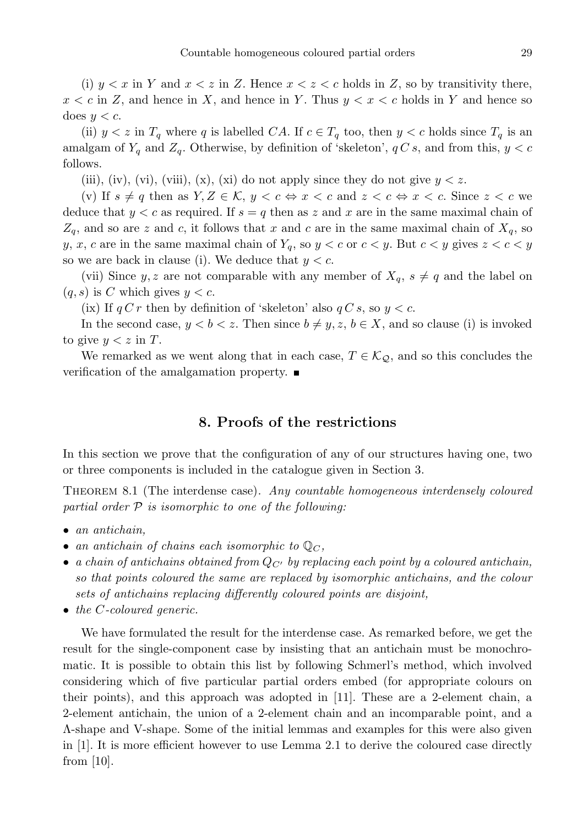(i)  $y < x$  in Y and  $x < z$  in Z. Hence  $x < z < c$  holds in Z, so by transitivity there,  $x < c$  in Z, and hence in X, and hence in Y. Thus  $y < x < c$  holds in Y and hence so does  $y < c$ .

(ii)  $y < z$  in  $T_q$  where q is labelled CA. If  $c \in T_q$  too, then  $y < c$  holds since  $T_q$  is an amalgam of  $Y_q$  and  $Z_q$ . Otherwise, by definition of 'skeleton',  $q C s$ , and from this,  $y < c$ follows.

(iii), (iv), (vi), (viii), (x), (xi) do not apply since they do not give  $y < z$ .

(v) If  $s \neq q$  then as  $Y, Z \in \mathcal{K}, y < c \Leftrightarrow x < c$  and  $z < c \Leftrightarrow x < c$ . Since  $z < c$  we deduce that  $y < c$  as required. If  $s = q$  then as z and x are in the same maximal chain of  $Z_q$ , and so are z and c, it follows that x and c are in the same maximal chain of  $X_q$ , so y, x, c are in the same maximal chain of  $Y_q$ , so  $y < c$  or  $c < y$ . But  $c < y$  gives  $z < c < y$ so we are back in clause (i). We deduce that  $y < c$ .

(vii) Since y, z are not comparable with any member of  $X_q$ ,  $s \neq q$  and the label on  $(q, s)$  is C which gives  $y < c$ .

(ix) If  $q C r$  then by definition of 'skeleton' also  $q C s$ , so  $y < c$ .

In the second case,  $y < b < z$ . Then since  $b \neq y, z, b \in X$ , and so clause (i) is invoked to give  $y < z$  in T.

We remarked as we went along that in each case,  $T \in \mathcal{K}_{\mathcal{Q}}$ , and so this concludes the verification of the amalgamation property.

## 8. Proofs of the restrictions

In this section we prove that the configuration of any of our structures having one, two or three components is included in the catalogue given in Section 3.

Theorem 8.1 (The interdense case). Any countable homogeneous interdensely coloured partial order  $P$  is isomorphic to one of the following:

- an antichain,
- an antichain of chains each isomorphic to  $\mathbb{Q}_C$ ,
- a chain of antichains obtained from  $Q_{C}$  by replacing each point by a coloured antichain, so that points coloured the same are replaced by isomorphic antichains, and the colour sets of antichains replacing differently coloured points are disjoint,
- the C-coloured generic.

We have formulated the result for the interdense case. As remarked before, we get the result for the single-component case by insisting that an antichain must be monochromatic. It is possible to obtain this list by following Schmerl's method, which involved considering which of five particular partial orders embed (for appropriate colours on their points), and this approach was adopted in [11]. These are a 2-element chain, a 2-element antichain, the union of a 2-element chain and an incomparable point, and a Λ-shape and V-shape. Some of the initial lemmas and examples for this were also given in [1]. It is more efficient however to use Lemma 2.1 to derive the coloured case directly from [10].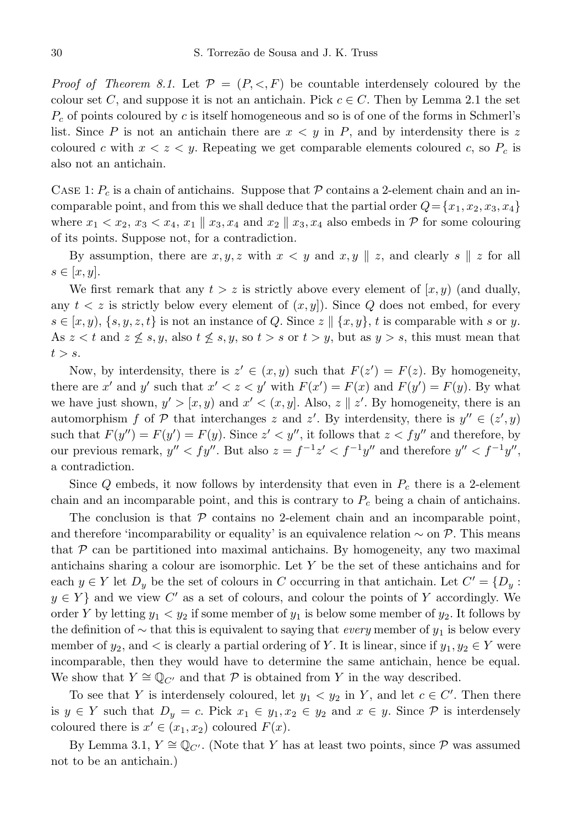*Proof of Theorem 8.1.* Let  $\mathcal{P} = (P, \leq, F)$  be countable interdensely coloured by the colour set C, and suppose it is not an antichain. Pick  $c \in C$ . Then by Lemma 2.1 the set  $P_c$  of points coloured by c is itself homogeneous and so is of one of the forms in Schmerl's list. Since P is not an antichain there are  $x < y$  in P, and by interdensity there is z coloured c with  $x < z < y$ . Repeating we get comparable elements coloured c, so  $P_c$  is also not an antichain.

CASE 1:  $P_c$  is a chain of antichains. Suppose that P contains a 2-element chain and an incomparable point, and from this we shall deduce that the partial order  $Q = \{x_1, x_2, x_3, x_4\}$ where  $x_1 < x_2$ ,  $x_3 < x_4$ ,  $x_1 \parallel x_3, x_4$  and  $x_2 \parallel x_3, x_4$  also embeds in P for some colouring of its points. Suppose not, for a contradiction.

By assumption, there are  $x, y, z$  with  $x < y$  and  $x, y \parallel z$ , and clearly  $s \parallel z$  for all  $s \in [x, y].$ 

We first remark that any  $t > z$  is strictly above every element of  $(x, y)$  (and dually, any  $t < z$  is strictly below every element of  $(x, y)$ . Since Q does not embed, for every  $s \in [x, y), \{s, y, z, t\}$  is not an instance of Q. Since  $z \parallel \{x, y\}, t$  is comparable with s or y. As  $z < t$  and  $z \nleq s, y$ , also  $t \nleq s, y$ , so  $t > s$  or  $t > y$ , but as  $y > s$ , this must mean that  $t > s$ .

Now, by interdensity, there is  $z' \in (x, y)$  such that  $F(z') = F(z)$ . By homogeneity, there are x' and y' such that  $x' < z < y'$  with  $F(x') = F(x)$  and  $F(y') = F(y)$ . By what we have just shown,  $y' > [x, y)$  and  $x' < (x, y]$ . Also,  $z \parallel z'$ . By homogeneity, there is an automorphism f of  $P$  that interchanges z and z'. By interdensity, there is  $y'' \in (z', y)$ such that  $F(y'') = F(y') = F(y)$ . Since  $z' < y''$ , it follows that  $z < fy''$  and therefore, by our previous remark,  $y'' < fy''$ . But also  $z = f^{-1}z' < f^{-1}y''$  and therefore  $y'' < f^{-1}y''$ , a contradiction.

Since Q embeds, it now follows by interdensity that even in  $P_c$  there is a 2-element chain and an incomparable point, and this is contrary to  $P_c$  being a chain of antichains.

The conclusion is that  $P$  contains no 2-element chain and an incomparable point, and therefore 'incomparability or equality' is an equivalence relation  $\sim$  on P. This means that  $P$  can be partitioned into maximal antichains. By homogeneity, any two maximal antichains sharing a colour are isomorphic. Let Y be the set of these antichains and for each  $y \in Y$  let  $D_y$  be the set of colours in C occurring in that antichain. Let  $C' = \{D_y :$  $y \in Y$  and we view C' as a set of colours, and colour the points of Y accordingly. We order Y by letting  $y_1 < y_2$  if some member of  $y_1$  is below some member of  $y_2$ . It follows by the definition of  $\sim$  that this is equivalent to saying that *every* member of  $y_1$  is below every member of  $y_2$ , and  $\lt$  is clearly a partial ordering of Y. It is linear, since if  $y_1, y_2 \in Y$  were incomparable, then they would have to determine the same antichain, hence be equal. We show that  $Y \cong \mathbb{Q}_{C'}$  and that P is obtained from Y in the way described.

To see that Y is interdensely coloured, let  $y_1 < y_2$  in Y, and let  $c \in C'$ . Then there is  $y \in Y$  such that  $D_y = c$ . Pick  $x_1 \in y_1, x_2 \in y_2$  and  $x \in y$ . Since  $\mathcal P$  is interdensely coloured there is  $x' \in (x_1, x_2)$  coloured  $F(x)$ .

By Lemma 3.1,  $Y \cong \mathbb{Q}_{C'}$ . (Note that Y has at least two points, since P was assumed not to be an antichain.)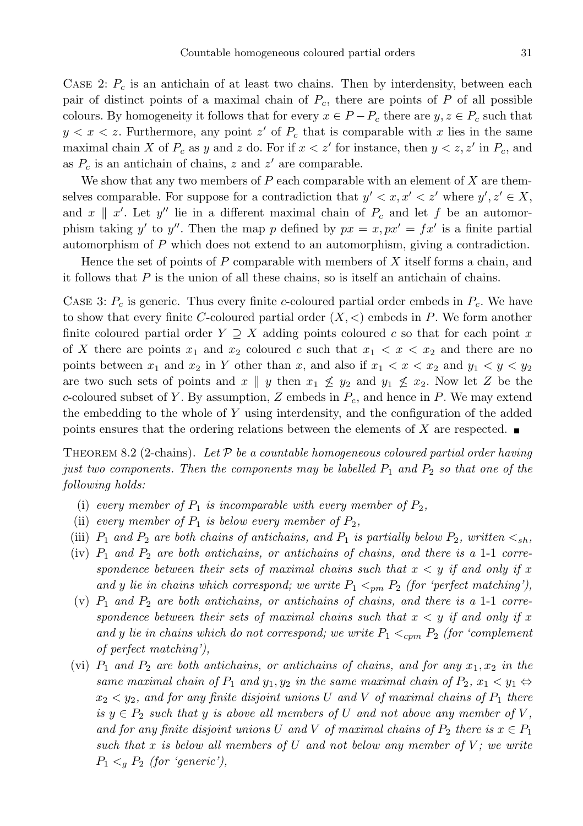CASE 2:  $P_c$  is an antichain of at least two chains. Then by interdensity, between each pair of distinct points of a maximal chain of  $P_c$ , there are points of P of all possible colours. By homogeneity it follows that for every  $x \in P - P_c$  there are  $y, z \in P_c$  such that  $y < x < z$ . Furthermore, any point z' of  $P_c$  that is comparable with x lies in the same maximal chain X of  $P_c$  as y and z do. For if  $x < z'$  for instance, then  $y < z, z'$  in  $P_c$ , and as  $P_c$  is an antichain of chains, z and z' are comparable.

We show that any two members of  $P$  each comparable with an element of  $X$  are themselves comparable. For suppose for a contradiction that  $y' < x, x' < z'$  where  $y', z' \in X$ , and  $x \parallel x'$ . Let  $y''$  lie in a different maximal chain of  $P_c$  and let f be an automorphism taking y' to y''. Then the map p defined by  $px = x, px' = fx'$  is a finite partial automorphism of P which does not extend to an automorphism, giving a contradiction.

Hence the set of points of  $P$  comparable with members of  $X$  itself forms a chain, and it follows that  $P$  is the union of all these chains, so is itself an antichain of chains.

CASE 3:  $P_c$  is generic. Thus every finite c-coloured partial order embeds in  $P_c$ . We have to show that every finite C-coloured partial order  $(X, \leq)$  embeds in P. We form another finite coloured partial order  $Y \supseteq X$  adding points coloured c so that for each point x of X there are points  $x_1$  and  $x_2$  coloured c such that  $x_1 < x < x_2$  and there are no points between  $x_1$  and  $x_2$  in Y other than x, and also if  $x_1 < x < x_2$  and  $y_1 < y < y_2$ are two such sets of points and x || y then  $x_1 \nleq y_2$  and  $y_1 \nleq x_2$ . Now let Z be the c-coloured subset of Y. By assumption, Z embeds in  $P_c$ , and hence in P. We may extend the embedding to the whole of Y using interdensity, and the configuration of the added points ensures that the ordering relations between the elements of X are respected.  $\blacksquare$ 

THEOREM 8.2 (2-chains). Let  $\mathcal P$  be a countable homogeneous coloured partial order having just two components. Then the components may be labelled  $P_1$  and  $P_2$  so that one of the following holds:

- (i) every member of  $P_1$  is incomparable with every member of  $P_2$ ,
- (ii) every member of  $P_1$  is below every member of  $P_2$ ,
- (iii)  $P_1$  and  $P_2$  are both chains of antichains, and  $P_1$  is partially below  $P_2$ , written  $\lt_{sh}$ ,
- (iv)  $P_1$  and  $P_2$  are both antichains, or antichains of chains, and there is a 1-1 correspondence between their sets of maximal chains such that  $x < y$  if and only if x and y lie in chains which correspond; we write  $P_1 \leq_{pm} P_2$  (for 'perfect matching'),
- (v)  $P_1$  and  $P_2$  are both antichains, or antichains of chains, and there is a 1-1 correspondence between their sets of maximal chains such that  $x < y$  if and only if x and y lie in chains which do not correspond; we write  $P_1 \leq_{cpm} P_2$  (for 'complement' of perfect matching'),
- (vi)  $P_1$  and  $P_2$  are both antichains, or antichains of chains, and for any  $x_1, x_2$  in the same maximal chain of  $P_1$  and  $y_1, y_2$  in the same maximal chain of  $P_2, x_1 \le y_1 \Leftrightarrow$  $x_2 < y_2$ , and for any finite disjoint unions U and V of maximal chains of  $P_1$  there is  $y \in P_2$  such that y is above all members of U and not above any member of V, and for any finite disjoint unions U and V of maximal chains of  $P_2$  there is  $x \in P_1$ such that x is below all members of U and not below any member of V; we write  $P_1 \lt_q P_2$  (for 'generic'),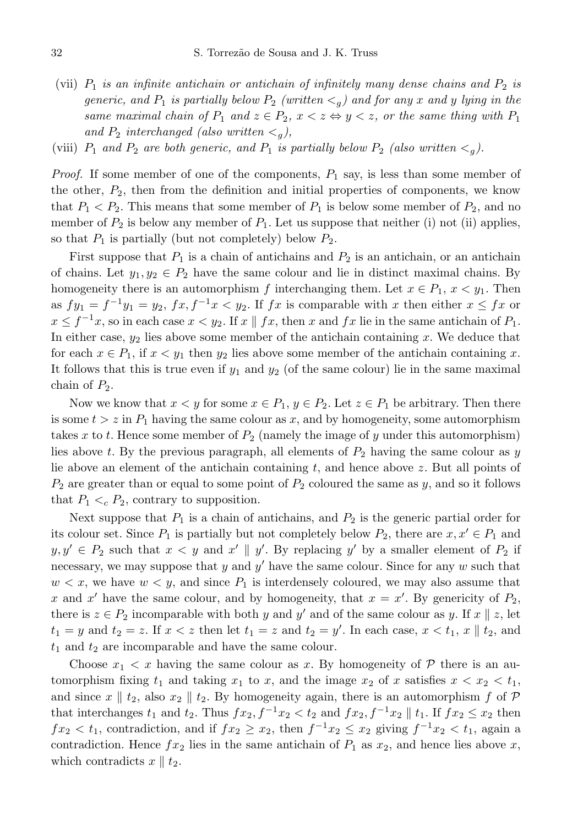- (vii)  $P_1$  is an infinite antichain or antichain of infinitely many dense chains and  $P_2$  is generic, and  $P_1$  is partially below  $P_2$  (written  $\lt q$ ) and for any x and y lying in the same maximal chain of  $P_1$  and  $z \in P_2$ ,  $x < z \Leftrightarrow y < z$ , or the same thing with  $P_1$ and  $P_2$  interchanged (also written  $\lt q$ ),
- (viii)  $P_1$  and  $P_2$  are both generic, and  $P_1$  is partially below  $P_2$  (also written  $\lt q$ ).

*Proof.* If some member of one of the components,  $P_1$  say, is less than some member of the other,  $P_2$ , then from the definition and initial properties of components, we know that  $P_1 < P_2$ . This means that some member of  $P_1$  is below some member of  $P_2$ , and no member of  $P_2$  is below any member of  $P_1$ . Let us suppose that neither (i) not (ii) applies, so that  $P_1$  is partially (but not completely) below  $P_2$ .

First suppose that  $P_1$  is a chain of antichains and  $P_2$  is an antichain, or an antichain of chains. Let  $y_1, y_2 \in P_2$  have the same colour and lie in distinct maximal chains. By homogeneity there is an automorphism f interchanging them. Let  $x \in P_1$ ,  $x < y_1$ . Then as  $fy_1 = f^{-1}y_1 = y_2$ ,  $fx, f^{-1}x < y_2$ . If  $fx$  is comparable with x then either  $x \leq fx$  or  $x \le f^{-1}x$ , so in each case  $x < y_2$ . If  $x \parallel fx$ , then  $x$  and  $fx$  lie in the same antichain of  $P_1$ . In either case,  $y_2$  lies above some member of the antichain containing x. We deduce that for each  $x \in P_1$ , if  $x < y_1$  then  $y_2$  lies above some member of the antichain containing x. It follows that this is true even if  $y_1$  and  $y_2$  (of the same colour) lie in the same maximal chain of  $P_2$ .

Now we know that  $x < y$  for some  $x \in P_1$ ,  $y \in P_2$ . Let  $z \in P_1$  be arbitrary. Then there is some  $t > z$  in  $P_1$  having the same colour as x, and by homogeneity, some automorphism takes x to t. Hence some member of  $P_2$  (namely the image of y under this automorphism) lies above t. By the previous paragraph, all elements of  $P_2$  having the same colour as y lie above an element of the antichain containing  $t$ , and hence above  $z$ . But all points of  $P_2$  are greater than or equal to some point of  $P_2$  coloured the same as y, and so it follows that  $P_1 \lt_c P_2$ , contrary to supposition.

Next suppose that  $P_1$  is a chain of antichains, and  $P_2$  is the generic partial order for its colour set. Since  $P_1$  is partially but not completely below  $P_2$ , there are  $x, x' \in P_1$  and  $y, y' \in P_2$  such that  $x < y$  and  $x' \parallel y'$ . By replacing  $y'$  by a smaller element of  $P_2$  if necessary, we may suppose that y and y' have the same colour. Since for any  $w$  such that  $w < x$ , we have  $w < y$ , and since  $P_1$  is interdensely coloured, we may also assume that x and x' have the same colour, and by homogeneity, that  $x = x'$ . By genericity of  $P_2$ , there is  $z \in P_2$  incomparable with both y and y' and of the same colour as y. If  $x \parallel z$ , let  $t_1 = y$  and  $t_2 = z$ . If  $x < z$  then let  $t_1 = z$  and  $t_2 = y'$ . In each case,  $x < t_1$ ,  $x \parallel t_2$ , and  $t_1$  and  $t_2$  are incomparable and have the same colour.

Choose  $x_1 < x$  having the same colour as x. By homogeneity of  $P$  there is an automorphism fixing  $t_1$  and taking  $x_1$  to  $x$ , and the image  $x_2$  of  $x$  satisfies  $x < x_2 < t_1$ , and since  $x \parallel t_2$ , also  $x_2 \parallel t_2$ . By homogeneity again, there is an automorphism f of P that interchanges  $t_1$  and  $t_2$ . Thus  $fx_2, f^{-1}x_2 < t_2$  and  $fx_2, f^{-1}x_2 \parallel t_1$ . If  $fx_2 \leq x_2$  then  $fx_2 < t_1$ , contradiction, and if  $fx_2 \ge x_2$ , then  $f^{-1}x_2 \le x_2$  giving  $f^{-1}x_2 < t_1$ , again a contradiction. Hence  $f(x_2)$  lies in the same antichain of  $P_1$  as  $x_2$ , and hence lies above x, which contradicts  $x \parallel t_2$ .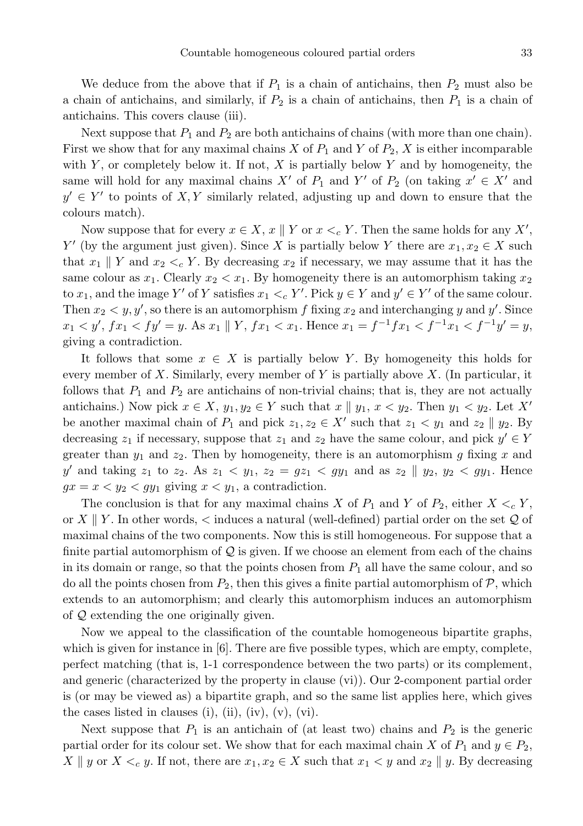We deduce from the above that if  $P_1$  is a chain of antichains, then  $P_2$  must also be a chain of antichains, and similarly, if  $P_2$  is a chain of antichains, then  $P_1$  is a chain of antichains. This covers clause (iii).

Next suppose that  $P_1$  and  $P_2$  are both antichains of chains (with more than one chain). First we show that for any maximal chains X of  $P_1$  and Y of  $P_2$ , X is either incomparable with Y, or completely below it. If not,  $X$  is partially below Y and by homogeneity, the same will hold for any maximal chains  $X'$  of  $P_1$  and  $Y'$  of  $P_2$  (on taking  $x' \in X'$  and  $y' \in Y'$  to points of X, Y similarly related, adjusting up and down to ensure that the colours match).

Now suppose that for every  $x \in X$ ,  $x \parallel Y$  or  $x <_c Y$ . Then the same holds for any  $X'$ , Y' (by the argument just given). Since X is partially below Y there are  $x_1, x_2 \in X$  such that  $x_1 \parallel Y$  and  $x_2 \lt_c Y$ . By decreasing  $x_2$  if necessary, we may assume that it has the same colour as  $x_1$ . Clearly  $x_2 < x_1$ . By homogeneity there is an automorphism taking  $x_2$ to  $x_1$ , and the image Y' of Y satisfies  $x_1 \lt_c Y'$ . Pick  $y \in Y$  and  $y' \in Y'$  of the same colour. Then  $x_2 \leq y, y'$ , so there is an automorphism f fixing  $x_2$  and interchanging y and y'. Since  $x_1 < y'$ ,  $fx_1 < fy' = y$ . As  $x_1 \parallel Y$ ,  $fx_1 < x_1$ . Hence  $x_1 = f^{-1}fx_1 < f^{-1}x_1 < f^{-1}y' = y$ , giving a contradiction.

It follows that some  $x \in X$  is partially below Y. By homogeneity this holds for every member of X. Similarly, every member of Y is partially above  $X$ . (In particular, it follows that  $P_1$  and  $P_2$  are antichains of non-trivial chains; that is, they are not actually antichains.) Now pick  $x \in X$ ,  $y_1, y_2 \in Y$  such that  $x \parallel y_1, x < y_2$ . Then  $y_1 < y_2$ . Let X' be another maximal chain of  $P_1$  and pick  $z_1, z_2 \in X'$  such that  $z_1 < y_1$  and  $z_2 \parallel y_2$ . By decreasing  $z_1$  if necessary, suppose that  $z_1$  and  $z_2$  have the same colour, and pick  $y' \in Y$ greater than  $y_1$  and  $z_2$ . Then by homogeneity, there is an automorphism g fixing x and y' and taking  $z_1$  to  $z_2$ . As  $z_1 < y_1$ ,  $z_2 = gz_1 < gy_1$  and as  $z_2 \parallel y_2$ ,  $y_2 < gy_1$ . Hence  $gx = x < y_2 < gy_1$  giving  $x < y_1$ , a contradiction.

The conclusion is that for any maximal chains X of  $P_1$  and Y of  $P_2$ , either  $X \leq_c Y$ , or X || Y. In other words,  $\lt$  induces a natural (well-defined) partial order on the set Q of maximal chains of the two components. Now this is still homogeneous. For suppose that a finite partial automorphism of  $\mathcal Q$  is given. If we choose an element from each of the chains in its domain or range, so that the points chosen from  $P_1$  all have the same colour, and so do all the points chosen from  $P_2$ , then this gives a finite partial automorphism of  $P$ , which extends to an automorphism; and clearly this automorphism induces an automorphism of Q extending the one originally given.

Now we appeal to the classification of the countable homogeneous bipartite graphs, which is given for instance in [6]. There are five possible types, which are empty, complete, perfect matching (that is, 1-1 correspondence between the two parts) or its complement, and generic (characterized by the property in clause (vi)). Our 2-component partial order is (or may be viewed as) a bipartite graph, and so the same list applies here, which gives the cases listed in clauses (i), (ii), (iv),  $(v)$ ,  $(vi)$ .

Next suppose that  $P_1$  is an antichain of (at least two) chains and  $P_2$  is the generic partial order for its colour set. We show that for each maximal chain X of  $P_1$  and  $y \in P_2$ ,  $X \parallel y$  or  $X \leq_c y$ . If not, there are  $x_1, x_2 \in X$  such that  $x_1 \leq y$  and  $x_2 \parallel y$ . By decreasing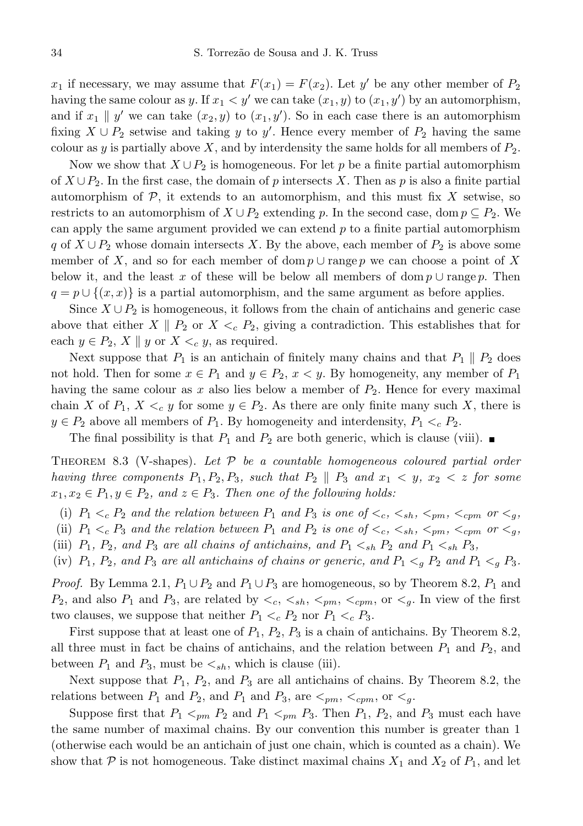$x_1$  if necessary, we may assume that  $F(x_1) = F(x_2)$ . Let  $y'$  be any other member of  $P_2$ having the same colour as y. If  $x_1 < y'$  we can take  $(x_1, y)$  to  $(x_1, y')$  by an automorphism, and if  $x_1 \parallel y'$  we can take  $(x_2, y)$  to  $(x_1, y')$ . So in each case there is an automorphism fixing  $X \cup P_2$  setwise and taking y to y'. Hence every member of  $P_2$  having the same colour as y is partially above  $X$ , and by interdensity the same holds for all members of  $P_2$ .

Now we show that  $X \cup P_2$  is homogeneous. For let p be a finite partial automorphism of  $X \cup P_2$ . In the first case, the domain of p intersects X. Then as p is also a finite partial automorphism of  $P$ , it extends to an automorphism, and this must fix X setwise, so restricts to an automorphism of  $X \cup P_2$  extending p. In the second case, dom  $p \subseteq P_2$ . We can apply the same argument provided we can extend p to a finite partial automorphism q of  $X \cup P_2$  whose domain intersects X. By the above, each member of  $P_2$  is above some member of X, and so for each member of dom  $p \cup \text{range } p$  we can choose a point of X below it, and the least x of these will be below all members of dom  $p \cup \text{range } p$ . Then  $q = p \cup \{(x, x)\}\$ is a partial automorphism, and the same argument as before applies.

Since  $X \cup P_2$  is homogeneous, it follows from the chain of antichains and generic case above that either  $X \parallel P_2$  or  $X \leq_c P_2$ , giving a contradiction. This establishes that for each  $y \in P_2$ ,  $X \parallel y$  or  $X \leq_c y$ , as required.

Next suppose that  $P_1$  is an antichain of finitely many chains and that  $P_1 \parallel P_2$  does not hold. Then for some  $x \in P_1$  and  $y \in P_2$ ,  $x < y$ . By homogeneity, any member of  $P_1$ having the same colour as x also lies below a member of  $P_2$ . Hence for every maximal chain X of  $P_1$ ,  $X \leq_c y$  for some  $y \in P_2$ . As there are only finite many such X, there is  $y \in P_2$  above all members of  $P_1$ . By homogeneity and interdensity,  $P_1 \lt_c P_2$ .

The final possibility is that  $P_1$  and  $P_2$  are both generic, which is clause (viii).

THEOREM 8.3 (V-shapes). Let  $P$  be a countable homogeneous coloured partial order having three components  $P_1, P_2, P_3$ , such that  $P_2 \parallel P_3$  and  $x_1 \lt y, x_2 \lt z$  for some  $x_1, x_2 \in P_1, y \in P_2$ , and  $z \in P_3$ . Then one of the following holds:

(i)  $P_1 \lt_c P_2$  and the relation between  $P_1$  and  $P_3$  is one of  $\lt_c$ ,  $\lt_{sh}$ ,  $\lt_{pm}$ ,  $\lt_{cm}$  or  $\lt_{q}$ , (ii)  $P_1 \lt_c P_3$  and the relation between  $P_1$  and  $P_2$  is one of  $\lt_c$ ,  $\lt_{sh}$ ,  $\lt_{pm}$ ,  $\lt_{cm}$  or  $\lt_{q}$ ,

- (iii)  $P_1$ ,  $P_2$ , and  $P_3$  are all chains of antichains, and  $P_1 \lt_{sh} P_2$  and  $P_1 \lt_{sh} P_3$ ,
- (iv)  $P_1$ ,  $P_2$ , and  $P_3$  are all antichains of chains or generic, and  $P_1 <_{q} P_2$  and  $P_1 <_{q} P_3$ .

*Proof.* By Lemma 2.1,  $P_1 \cup P_2$  and  $P_1 \cup P_3$  are homogeneous, so by Theorem 8.2,  $P_1$  and  $P_2$ , and also  $P_1$  and  $P_3$ , are related by  $\langle \xi_1, \xi_{pm}, \xi_{pm}, \xi_{pm} \rangle$ , or  $\langle \xi_2, \xi_3 \rangle$ . In view of the first two clauses, we suppose that neither  $P_1 \lt_c P_2$  nor  $P_1 \lt_c P_3$ .

First suppose that at least one of  $P_1$ ,  $P_2$ ,  $P_3$  is a chain of antichains. By Theorem 8.2, all three must in fact be chains of antichains, and the relation between  $P_1$  and  $P_2$ , and between  $P_1$  and  $P_3$ , must be  $\lt_{sh}$ , which is clause (iii).

Next suppose that  $P_1$ ,  $P_2$ , and  $P_3$  are all antichains of chains. By Theorem 8.2, the relations between  $P_1$  and  $P_2$ , and  $P_1$  and  $P_3$ , are  $\lt_{pm}$ ,  $\lt_{cpm}$ , or  $\lt_{g}$ .

Suppose first that  $P_1 \leq_{pm} P_2$  and  $P_1 \leq_{pm} P_3$ . Then  $P_1$ ,  $P_2$ , and  $P_3$  must each have the same number of maximal chains. By our convention this number is greater than 1 (otherwise each would be an antichain of just one chain, which is counted as a chain). We show that  $P$  is not homogeneous. Take distinct maximal chains  $X_1$  and  $X_2$  of  $P_1$ , and let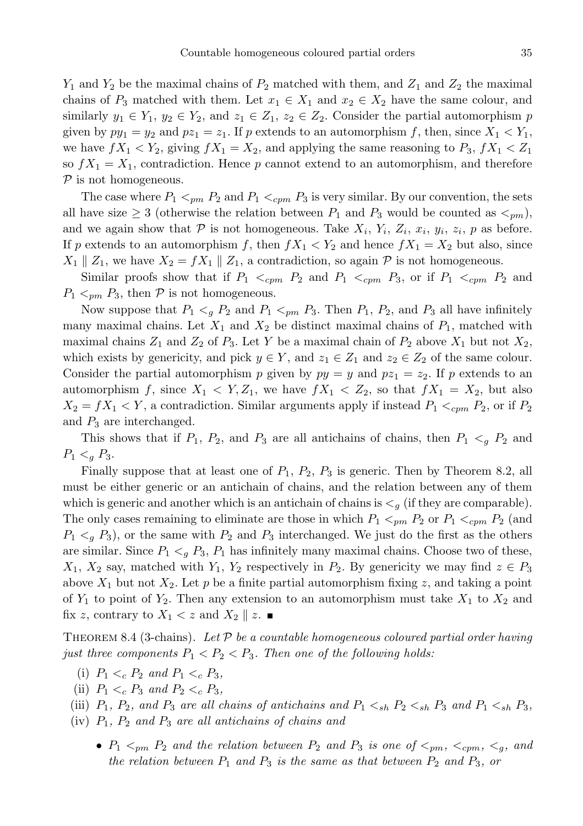$Y_1$  and  $Y_2$  be the maximal chains of  $P_2$  matched with them, and  $Z_1$  and  $Z_2$  the maximal chains of  $P_3$  matched with them. Let  $x_1 \in X_1$  and  $x_2 \in X_2$  have the same colour, and similarly  $y_1 \in Y_1$ ,  $y_2 \in Y_2$ , and  $z_1 \in Z_1$ ,  $z_2 \in Z_2$ . Consider the partial automorphism p given by  $py_1 = y_2$  and  $pz_1 = z_1$ . If p extends to an automorphism f, then, since  $X_1 < Y_1$ , we have  $fX_1 < Y_2$ , giving  $fX_1 = X_2$ , and applying the same reasoning to  $P_3$ ,  $fX_1 < Z_1$ so  $fX_1 = X_1$ , contradiction. Hence p cannot extend to an automorphism, and therefore  $P$  is not homogeneous.

The case where  $P_1 \le_{pm} P_2$  and  $P_1 \le_{cpm} P_3$  is very similar. By our convention, the sets all have size  $\geq 3$  (otherwise the relation between  $P_1$  and  $P_3$  would be counted as  $\lt_{pm}$ ), and we again show that  $P$  is not homogeneous. Take  $X_i$ ,  $Y_i$ ,  $Z_i$ ,  $x_i$ ,  $y_i$ ,  $z_i$ ,  $p$  as before. If p extends to an automorphism f, then  $fX_1 < Y_2$  and hence  $fX_1 = X_2$  but also, since  $X_1 \parallel Z_1$ , we have  $X_2 = fX_1 \parallel Z_1$ , a contradiction, so again  $P$  is not homogeneous.

Similar proofs show that if  $P_1 \leq_{cpm} P_2$  and  $P_1 \leq_{cpm} P_3$ , or if  $P_1 \leq_{cpm} P_2$  and  $P_1 \leq_{pm} P_3$ , then  $P$  is not homogeneous.

Now suppose that  $P_1 \nless P_2$  and  $P_1 \nless P_3$ . Then  $P_1$ ,  $P_2$ , and  $P_3$  all have infinitely many maximal chains. Let  $X_1$  and  $X_2$  be distinct maximal chains of  $P_1$ , matched with maximal chains  $Z_1$  and  $Z_2$  of  $P_3$ . Let Y be a maximal chain of  $P_2$  above  $X_1$  but not  $X_2$ , which exists by genericity, and pick  $y \in Y$ , and  $z_1 \in Z_1$  and  $z_2 \in Z_2$  of the same colour. Consider the partial automorphism p given by  $py = y$  and  $pz_1 = z_2$ . If p extends to an automorphism f, since  $X_1 \leq Y, Z_1$ , we have  $fX_1 \leq Z_2$ , so that  $fX_1 = X_2$ , but also  $X_2 = fX_1 < Y$ , a contradiction. Similar arguments apply if instead  $P_1 <_{cpm} P_2$ , or if  $P_2$ and  $P_3$  are interchanged.

This shows that if  $P_1$ ,  $P_2$ , and  $P_3$  are all antichains of chains, then  $P_1 \leq g P_2$  and  $P_1 <_{q} P_3.$ 

Finally suppose that at least one of  $P_1$ ,  $P_2$ ,  $P_3$  is generic. Then by Theorem 8.2, all must be either generic or an antichain of chains, and the relation between any of them which is generic and another which is an antichain of chains is  $\lt q$  (if they are comparable). The only cases remaining to eliminate are those in which  $P_1 <_{pm} P_2$  or  $P_1 <_{cpm} P_2$  (and  $P_1 \lt q P_3$ , or the same with  $P_2$  and  $P_3$  interchanged. We just do the first as the others are similar. Since  $P_1 \lt q P_3$ ,  $P_1$  has infinitely many maximal chains. Choose two of these,  $X_1, X_2$  say, matched with  $Y_1, Y_2$  respectively in  $P_2$ . By genericity we may find  $z \in P_3$ above  $X_1$  but not  $X_2$ . Let p be a finite partial automorphism fixing z, and taking a point of  $Y_1$  to point of  $Y_2$ . Then any extension to an automorphism must take  $X_1$  to  $X_2$  and fix z, contrary to  $X_1 < z$  and  $X_2 \parallel z$ .

THEOREM 8.4 (3-chains). Let  $\mathcal P$  be a countable homogeneous coloured partial order having just three components  $P_1 < P_2 < P_3$ . Then one of the following holds:

- (i)  $P_1 \lt_c P_2$  and  $P_1 \lt_c P_3$ ,
- (ii)  $P_1 \lt_c P_3$  and  $P_2 \lt_c P_3$ ,
- (iii)  $P_1$ ,  $P_2$ , and  $P_3$  are all chains of antichains and  $P_1 <_{sh} P_2 <_{sh} P_3$  and  $P_1 <_{sh} P_3$ ,
- $(iv)$   $P_1$ ,  $P_2$  and  $P_3$  are all antichains of chains and
	- $P_1 \leq_{pm} P_2$  and the relation between  $P_2$  and  $P_3$  is one of  $\leq_{pm}$ ,  $\leq_{cm}$ ,  $\leq_q$ , and the relation between  $P_1$  and  $P_3$  is the same as that between  $P_2$  and  $P_3$ , or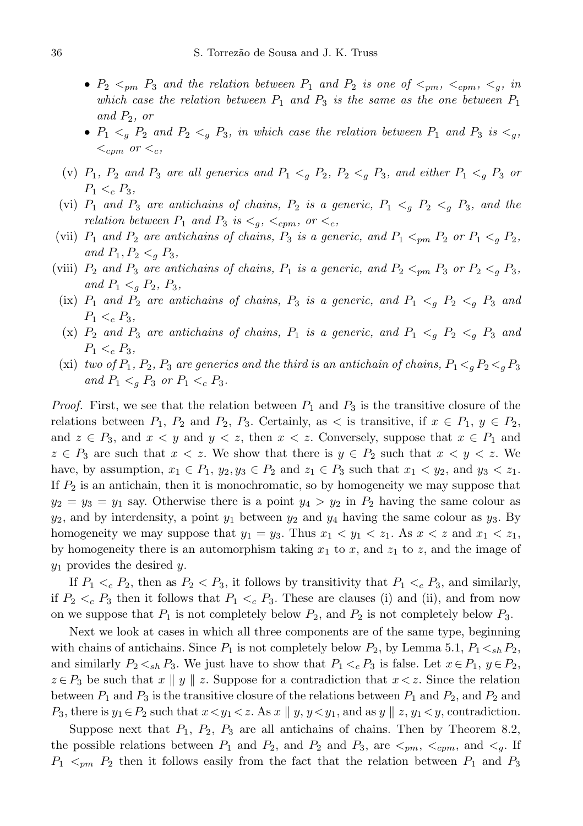- $P_2 \leq_{pm} P_3$  and the relation between  $P_1$  and  $P_2$  is one of  $\leq_{pm}$ ,  $\leq_{cpm}$ ,  $\leq_q$ , in which case the relation between  $P_1$  and  $P_3$  is the same as the one between  $P_1$ and  $P_2$ , or
- $P_1 \nless P_2$  and  $P_2 \nless Q_1$   $P_3$ , in which case the relation between  $P_1$  and  $P_3$  is  $\nless Q_1$ ,  $\lt_{cpm}$  or  $\lt_c$ ,
- (v)  $P_1$ ,  $P_2$  and  $P_3$  are all generics and  $P_1 \nless q$   $P_2$ ,  $P_2 \nless q$   $P_3$ , and either  $P_1 \nless q$   $P_3$  or  $P_1 <_c P_3$ ,
- (vi)  $P_1$  and  $P_3$  are antichains of chains,  $P_2$  is a generic,  $P_1 \lt q P_2 \lt q P_3$ , and the relation between  $P_1$  and  $P_3$  is  $\lt_{g}$ ,  $\lt_{cpm}$ , or  $\lt_{c}$ ,
- (vii)  $P_1$  and  $P_2$  are antichains of chains,  $P_3$  is a generic, and  $P_1 <_{pm} P_2$  or  $P_1 <_{q} P_2$ , and  $P_1, P_2 <_q P_3$ ,
- (viii)  $P_2$  and  $P_3$  are antichains of chains,  $P_1$  is a generic, and  $P_2 <_{pm} P_3$  or  $P_2 <_{g} P_3$ , and  $P_1 <_q P_2$ ,  $P_3$ ,
- (ix)  $P_1$  and  $P_2$  are antichains of chains,  $P_3$  is a generic, and  $P_1 < g P_2 < g P_3$  and  $P_1 <_c P_3$ ,
- (x)  $P_2$  and  $P_3$  are antichains of chains,  $P_1$  is a generic, and  $P_1 \nless_{g} P_2 \nless_{g} P_3$  and  $P_1 <_c P_3$ ,
- (xi) two of  $P_1$ ,  $P_2$ ,  $P_3$  are generics and the third is an antichain of chains,  $P_1 \leq_g P_2 \leq_g P_3$ and  $P_1 <_{q} P_3$  or  $P_1 <_{c} P_3$ .

*Proof.* First, we see that the relation between  $P_1$  and  $P_3$  is the transitive closure of the relations between  $P_1$ ,  $P_2$  and  $P_2$ ,  $P_3$ . Certainly, as  $\lt$  is transitive, if  $x \in P_1$ ,  $y \in P_2$ , and  $z \in P_3$ , and  $x \leq y$  and  $y \leq z$ , then  $x \leq z$ . Conversely, suppose that  $x \in P_1$  and  $z \in P_3$  are such that  $x < z$ . We show that there is  $y \in P_2$  such that  $x < y < z$ . We have, by assumption,  $x_1 \in P_1$ ,  $y_2, y_3 \in P_2$  and  $z_1 \in P_3$  such that  $x_1 < y_2$ , and  $y_3 < z_1$ . If  $P_2$  is an antichain, then it is monochromatic, so by homogeneity we may suppose that  $y_2 = y_3 = y_1$  say. Otherwise there is a point  $y_4 > y_2$  in  $P_2$  having the same colour as  $y_2$ , and by interdensity, a point  $y_1$  between  $y_2$  and  $y_4$  having the same colour as  $y_3$ . By homogeneity we may suppose that  $y_1 = y_3$ . Thus  $x_1 < y_1 < z_1$ . As  $x < z$  and  $x_1 < z_1$ , by homogeneity there is an automorphism taking  $x_1$  to  $x$ , and  $z_1$  to  $z$ , and the image of  $y_1$  provides the desired y.

If  $P_1 \lt_c P_2$ , then as  $P_2 \lt P_3$ , it follows by transitivity that  $P_1 \lt_c P_3$ , and similarly, if  $P_2 \lt c P_3$  then it follows that  $P_1 \lt c P_3$ . These are clauses (i) and (ii), and from now on we suppose that  $P_1$  is not completely below  $P_2$ , and  $P_2$  is not completely below  $P_3$ .

Next we look at cases in which all three components are of the same type, beginning with chains of antichains. Since  $P_1$  is not completely below  $P_2$ , by Lemma 5.1,  $P_1 \lt_{sh} P_2$ , and similarly  $P_2 \lt_{sh} P_3$ . We just have to show that  $P_1 \lt_{c} P_3$  is false. Let  $x \in P_1$ ,  $y \in P_2$ ,  $z \in P_3$  be such that  $x \parallel y \parallel z$ . Suppose for a contradiction that  $x \leq z$ . Since the relation between  $P_1$  and  $P_3$  is the transitive closure of the relations between  $P_1$  and  $P_2$ , and  $P_2$  and  $P_3$ , there is  $y_1 \in P_2$  such that  $x \lt y_1 \lt z$ . As  $x \parallel y$ ,  $y \lt y_1$ , and as  $y \parallel z$ ,  $y_1 \lt y$ , contradiction.

Suppose next that  $P_1$ ,  $P_2$ ,  $P_3$  are all antichains of chains. Then by Theorem 8.2, the possible relations between  $P_1$  and  $P_2$ , and  $P_3$  and  $P_3$ , are  $\leq_{pm}$ ,  $\leq_{cm}$ , and  $\leq_q$ . If  $P_1$   $\leq_{pm}$   $P_2$  then it follows easily from the fact that the relation between  $P_1$  and  $P_3$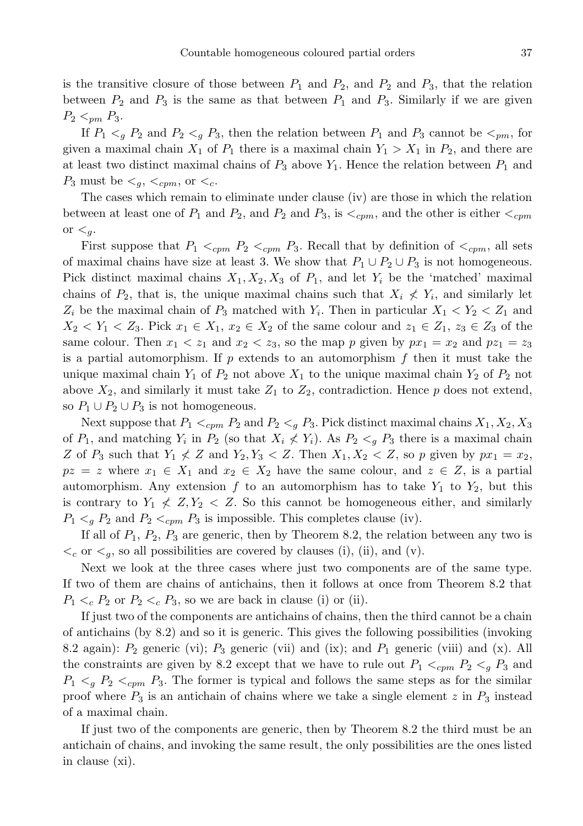is the transitive closure of those between  $P_1$  and  $P_2$ , and  $P_3$ , that the relation between  $P_2$  and  $P_3$  is the same as that between  $P_1$  and  $P_3$ . Similarly if we are given  $P_2 <_{pm} P_3$ .

If  $P_1 \lt q P_2$  and  $P_2 \lt q P_3$ , then the relation between  $P_1$  and  $P_3$  cannot be  $\lt_{pm}$ , for given a maximal chain  $X_1$  of  $P_1$  there is a maximal chain  $Y_1 > X_1$  in  $P_2$ , and there are at least two distinct maximal chains of  $P_3$  above  $Y_1$ . Hence the relation between  $P_1$  and  $P_3$  must be  $\lt_q$ ,  $\lt_{cpm}$ , or  $\lt_c$ .

The cases which remain to eliminate under clause (iv) are those in which the relation between at least one of  $P_1$  and  $P_2$ , and  $P_3$  and  $P_3$ , is  $\lt_{cpm}$ , and the other is either  $\lt_{cpm}$ or  $\leq_q$ .

First suppose that  $P_1 <_{cpm} P_2 <_{cpm} P_3$ . Recall that by definition of  $\langle c_{cm}$ , all sets of maximal chains have size at least 3. We show that  $P_1 \cup P_2 \cup P_3$  is not homogeneous. Pick distinct maximal chains  $X_1, X_2, X_3$  of  $P_1$ , and let  $Y_i$  be the 'matched' maximal chains of  $P_2$ , that is, the unique maximal chains such that  $X_i \nless Y_i$ , and similarly let  $Z_i$  be the maximal chain of  $P_3$  matched with  $Y_i$ . Then in particular  $X_1 < Y_2 < Z_1$  and  $X_2 < Y_1 < Z_3$ . Pick  $x_1 \in X_1$ ,  $x_2 \in X_2$  of the same colour and  $z_1 \in Z_1$ ,  $z_3 \in Z_3$  of the same colour. Then  $x_1 < z_1$  and  $x_2 < z_3$ , so the map p given by  $px_1 = x_2$  and  $pz_1 = z_3$ is a partial automorphism. If p extends to an automorphism f then it must take the unique maximal chain  $Y_1$  of  $P_2$  not above  $X_1$  to the unique maximal chain  $Y_2$  of  $P_2$  not above  $X_2$ , and similarly it must take  $Z_1$  to  $Z_2$ , contradiction. Hence p does not extend, so  $P_1 \cup P_2 \cup P_3$  is not homogeneous.

Next suppose that  $P_1 \le_{cpm} P_2$  and  $P_2 \leq_g P_3$ . Pick distinct maximal chains  $X_1, X_2, X_3$ of  $P_1$ , and matching  $Y_i$  in  $P_2$  (so that  $X_i \nless Y_i$ ). As  $P_2 \nless g$   $P_3$  there is a maximal chain Z of  $P_3$  such that  $Y_1 \nleq Z$  and  $Y_2, Y_3 \nleq Z$ . Then  $X_1, X_2 \nleq Z$ , so p given by  $px_1 = x_2$ ,  $pz = z$  where  $x_1 \in X_1$  and  $x_2 \in X_2$  have the same colour, and  $z \in Z$ , is a partial automorphism. Any extension f to an automorphism has to take  $Y_1$  to  $Y_2$ , but this is contrary to  $Y_1 \nleq Z, Y_2 \nleq Z$ . So this cannot be homogeneous either, and similarly  $P_1 \lt_{q} P_2$  and  $P_2 \lt_{cpm} P_3$  is impossible. This completes clause (iv).

If all of  $P_1$ ,  $P_2$ ,  $P_3$  are generic, then by Theorem 8.2, the relation between any two is  $\lt_c$  or  $\lt_g$ , so all possibilities are covered by clauses (i), (ii), and (v).

Next we look at the three cases where just two components are of the same type. If two of them are chains of antichains, then it follows at once from Theorem 8.2 that  $P_1 \lt_c P_2$  or  $P_2 \lt_c P_3$ , so we are back in clause (i) or (ii).

If just two of the components are antichains of chains, then the third cannot be a chain of antichains (by 8.2) and so it is generic. This gives the following possibilities (invoking 8.2 again):  $P_2$  generic (vi);  $P_3$  generic (vii) and (ix); and  $P_1$  generic (viii) and (x). All the constraints are given by 8.2 except that we have to rule out  $P_1 \lt_{cpm} P_2 \lt_{g} P_3$  and  $P_1 \lt q P_2 \lt_{cpm} P_3$ . The former is typical and follows the same steps as for the similar proof where  $P_3$  is an antichain of chains where we take a single element z in  $P_3$  instead of a maximal chain.

If just two of the components are generic, then by Theorem 8.2 the third must be an antichain of chains, and invoking the same result, the only possibilities are the ones listed in clause (xi).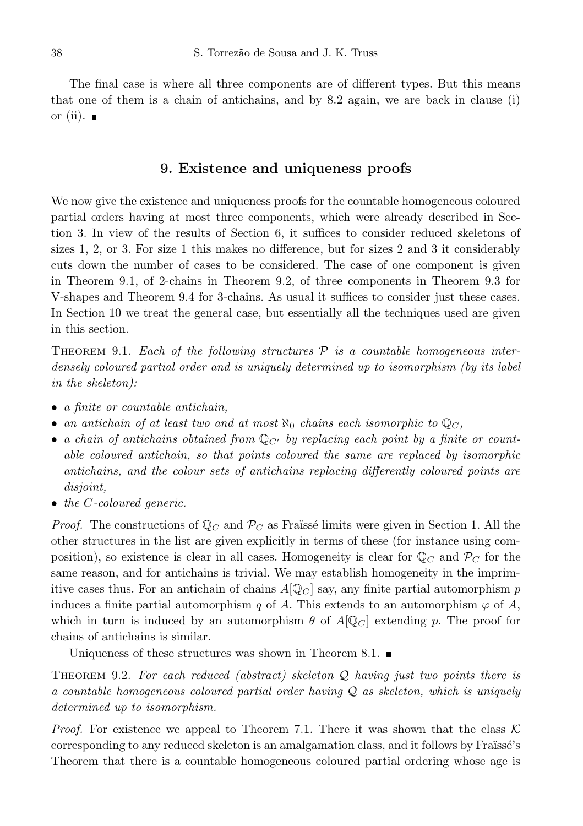The final case is where all three components are of different types. But this means that one of them is a chain of antichains, and by 8.2 again, we are back in clause (i) or (ii).  $\blacksquare$ 

#### 9. Existence and uniqueness proofs

We now give the existence and uniqueness proofs for the countable homogeneous coloured partial orders having at most three components, which were already described in Section 3. In view of the results of Section 6, it suffices to consider reduced skeletons of sizes 1, 2, or 3. For size 1 this makes no difference, but for sizes 2 and 3 it considerably cuts down the number of cases to be considered. The case of one component is given in Theorem 9.1, of 2-chains in Theorem 9.2, of three components in Theorem 9.3 for V-shapes and Theorem 9.4 for 3-chains. As usual it suffices to consider just these cases. In Section 10 we treat the general case, but essentially all the techniques used are given in this section.

THEOREM 9.1. Each of the following structures  $\mathcal P$  is a countable homogeneous interdensely coloured partial order and is uniquely determined up to isomorphism (by its label in the skeleton):

- a finite or countable antichain,
- an antichain of at least two and at most  $\aleph_0$  chains each isomorphic to  $\mathbb{Q}_C$ ,
- a chain of antichains obtained from  $\mathbb{Q}_{C}$  by replacing each point by a finite or countable coloured antichain, so that points coloured the same are replaced by isomorphic antichains, and the colour sets of antichains replacing differently coloured points are disjoint,
- the C-coloured generic.

*Proof.* The constructions of  $\mathbb{Q}_C$  and  $\mathcal{P}_C$  as Fraüssé limits were given in Section 1. All the other structures in the list are given explicitly in terms of these (for instance using composition), so existence is clear in all cases. Homogeneity is clear for  $\mathbb{Q}_C$  and  $\mathcal{P}_C$  for the same reason, and for antichains is trivial. We may establish homogeneity in the imprimitive cases thus. For an antichain of chains  $A[Q_C]$  say, any finite partial automorphism p induces a finite partial automorphism q of A. This extends to an automorphism  $\varphi$  of A, which in turn is induced by an automorphism  $\theta$  of  $A[\mathbb{Q}_C]$  extending p. The proof for chains of antichains is similar.

Uniqueness of these structures was shown in Theorem 8.1.  $\blacksquare$ 

THEOREM 9.2. For each reduced (abstract) skeleton  $Q$  having just two points there is a countable homogeneous coloured partial order having Q as skeleton, which is uniquely determined up to isomorphism.

*Proof.* For existence we appeal to Theorem 7.1. There it was shown that the class  $\mathcal{K}$ corresponding to any reduced skeleton is an amalgamation class, and it follows by Fraïssé's Theorem that there is a countable homogeneous coloured partial ordering whose age is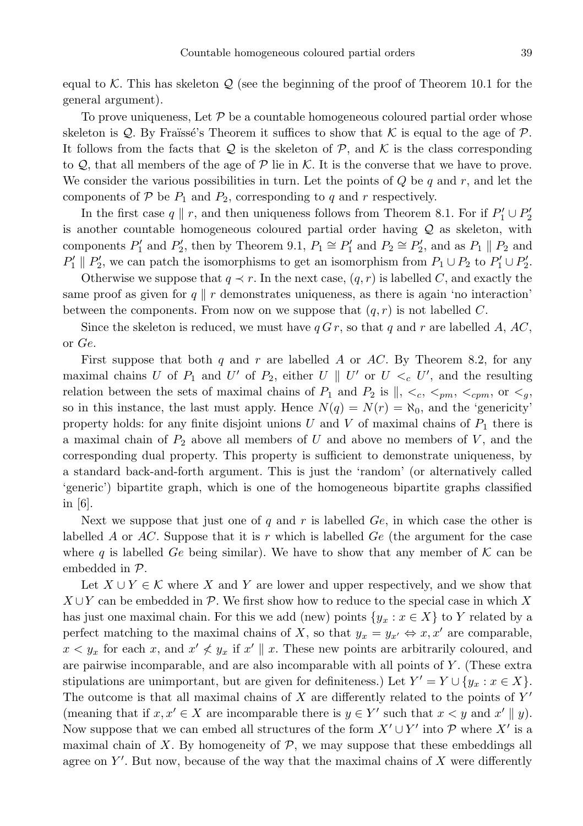equal to K. This has skeleton  $\mathcal Q$  (see the beginning of the proof of Theorem 10.1 for the general argument).

To prove uniqueness, Let  $P$  be a countable homogeneous coloured partial order whose skeleton is Q. By Fraïssé's Theorem it suffices to show that  $K$  is equal to the age of  $\mathcal{P}$ . It follows from the facts that  $Q$  is the skeleton of  $P$ , and  $K$  is the class corresponding to  $\mathcal{Q}$ , that all members of the age of  $\mathcal P$  lie in K. It is the converse that we have to prove. We consider the various possibilities in turn. Let the points of  $Q$  be  $q$  and  $r$ , and let the components of  $P$  be  $P_1$  and  $P_2$ , corresponding to q and r respectively.

In the first case  $q \parallel r$ , and then uniqueness follows from Theorem 8.1. For if  $P'_1 \cup P'_2$ is another countable homogeneous coloured partial order having Q as skeleton, with components  $P'_1$  and  $P'_2$ , then by Theorem 9.1,  $P_1 \cong P'_1$  and  $P_2 \cong P'_2$ , and as  $P_1 \parallel P_2$  and  $P'_1 \parallel P'_2$ , we can patch the isomorphisms to get an isomorphism from  $P_1 \cup P_2$  to  $P'_1 \cup P'_2$ .

Otherwise we suppose that  $q \prec r$ . In the next case,  $(q, r)$  is labelled C, and exactly the same proof as given for  $q \parallel r$  demonstrates uniqueness, as there is again 'no interaction' between the components. From now on we suppose that  $(q, r)$  is not labelled C.

Since the skeleton is reduced, we must have  $q G r$ , so that q and r are labelled A, AC, or Ge.

First suppose that both q and r are labelled A or AC. By Theorem 8.2, for any maximal chains U of  $P_1$  and U' of  $P_2$ , either U || U' or  $U \lt_c U'$ , and the resulting relation between the sets of maximal chains of  $P_1$  and  $P_2$  is  $\parallel$ ,  $\lt_c$ ,  $\lt_{pm}$ ,  $\lt_{cpm}$ , or  $\lt_{q}$ , so in this instance, the last must apply. Hence  $N(q) = N(r) = \aleph_0$ , and the 'genericity' property holds: for any finite disjoint unions U and V of maximal chains of  $P_1$  there is a maximal chain of  $P_2$  above all members of U and above no members of U, and the corresponding dual property. This property is sufficient to demonstrate uniqueness, by a standard back-and-forth argument. This is just the 'random' (or alternatively called 'generic') bipartite graph, which is one of the homogeneous bipartite graphs classified in [6].

Next we suppose that just one of q and r is labelled  $Ge$ , in which case the other is labelled A or  $AC$ . Suppose that it is r which is labelled  $Ge$  (the argument for the case where q is labelled Ge being similar). We have to show that any member of  $K$  can be embedded in P.

Let  $X \cup Y \in \mathcal{K}$  where X and Y are lower and upper respectively, and we show that  $X \cup Y$  can be embedded in P. We first show how to reduce to the special case in which X has just one maximal chain. For this we add (new) points  $\{y_x : x \in X\}$  to Y related by a perfect matching to the maximal chains of X, so that  $y_x = y_{x'} \Leftrightarrow x, x'$  are comparable,  $x < y_x$  for each x, and  $x' \nless y_x$  if  $x' \parallel x$ . These new points are arbitrarily coloured, and are pairwise incomparable, and are also incomparable with all points of Y . (These extra stipulations are unimportant, but are given for definiteness.) Let  $Y' = Y \cup \{y_x : x \in X\}$ . The outcome is that all maximal chains of X are differently related to the points of  $Y'$ (meaning that if  $x, x' \in X$  are incomparable there is  $y \in Y'$  such that  $x < y$  and  $x' \parallel y$ ). Now suppose that we can embed all structures of the form  $X' \cup Y'$  into P where  $X'$  is a maximal chain of X. By homogeneity of  $P$ , we may suppose that these embeddings all agree on  $Y'$ . But now, because of the way that the maximal chains of  $X$  were differently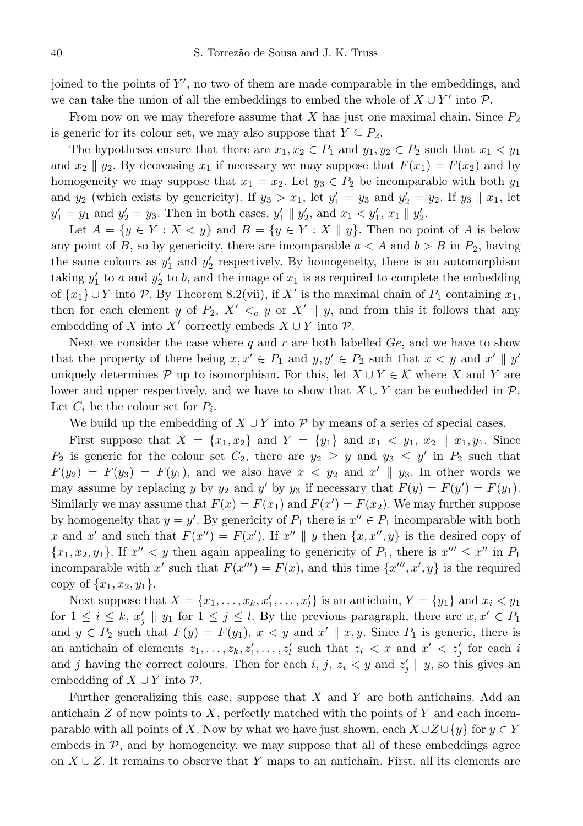joined to the points of Y', no two of them are made comparable in the embeddings, and we can take the union of all the embeddings to embed the whole of  $X \cup Y'$  into  $\mathcal{P}$ .

From now on we may therefore assume that X has just one maximal chain. Since  $P_2$ is generic for its colour set, we may also suppose that  $Y \subseteq P_2$ .

The hypotheses ensure that there are  $x_1, x_2 \in P_1$  and  $y_1, y_2 \in P_2$  such that  $x_1 < y_1$ and  $x_2 \parallel y_2$ . By decreasing  $x_1$  if necessary we may suppose that  $F(x_1) = F(x_2)$  and by homogeneity we may suppose that  $x_1 = x_2$ . Let  $y_3 \in P_2$  be incomparable with both  $y_1$ and  $y_2$  (which exists by genericity). If  $y_3 > x_1$ , let  $y_1' = y_3$  and  $y_2' = y_2$ . If  $y_3 \parallel x_1$ , let  $y'_1 = y_1$  and  $y'_2 = y_3$ . Then in both cases,  $y'_1 \parallel y'_2$ , and  $x_1 < y'_1$ ,  $x_1 \parallel y'_2$ .

Let  $A = \{y \in Y : X \le y\}$  and  $B = \{y \in Y : X \parallel y\}$ . Then no point of A is below any point of B, so by genericity, there are incomparable  $a < A$  and  $b > B$  in  $P_2$ , having the same colours as  $y_1'$  and  $y_2'$  respectively. By homogeneity, there is an automorphism taking  $y_1'$  to a and  $y_2'$  to b, and the image of  $x_1$  is as required to complete the embedding of  $\{x_1\} \cup Y$  into P. By Theorem 8.2(vii), if X' is the maximal chain of  $P_1$  containing  $x_1$ , then for each element y of  $P_2$ ,  $X' <_{c} y$  or  $X' \parallel y$ , and from this it follows that any embedding of X into X' correctly embeds  $X \cup Y$  into  $\mathcal{P}$ .

Next we consider the case where q and r are both labelled  $Ge$ , and we have to show that the property of there being  $x, x' \in P_1$  and  $y, y' \in P_2$  such that  $x < y$  and  $x' \parallel y'$ uniquely determines P up to isomorphism. For this, let  $X \cup Y \in \mathcal{K}$  where X and Y are lower and upper respectively, and we have to show that  $X \cup Y$  can be embedded in  $\mathcal{P}$ . Let  $C_i$  be the colour set for  $P_i$ .

We build up the embedding of  $X \cup Y$  into P by means of a series of special cases.

First suppose that  $X = \{x_1, x_2\}$  and  $Y = \{y_1\}$  and  $x_1 \leq y_1, x_2 \parallel x_1, y_1$ . Since  $P_2$  is generic for the colour set  $C_2$ , there are  $y_2 \geq y$  and  $y_3 \leq y'$  in  $P_2$  such that  $F(y_2) = F(y_3) = F(y_1)$ , and we also have  $x < y_2$  and  $x' \parallel y_3$ . In other words we may assume by replacing y by  $y_2$  and y' by  $y_3$  if necessary that  $F(y) = F(y') = F(y_1)$ . Similarly we may assume that  $F(x) = F(x_1)$  and  $F(x') = F(x_2)$ . We may further suppose by homogeneity that  $y = y'$ . By genericity of  $P_1$  there is  $x'' \in P_1$  incomparable with both x and x' and such that  $F(x'') = F(x')$ . If  $x'' \parallel y$  then  $\{x, x'', y\}$  is the desired copy of  $\{x_1, x_2, y_1\}$ . If  $x'' < y$  then again appealing to genericity of  $P_1$ , there is  $x''' \leq x''$  in  $P_1$ incomparable with x' such that  $F(x^{\prime\prime\prime}) = F(x)$ , and this time  $\{x^{\prime\prime\prime}, x^{\prime}, y\}$  is the required copy of  $\{x_1, x_2, y_1\}.$ 

Next suppose that  $X = \{x_1, \ldots, x_k, x'_1, \ldots, x'_l\}$  is an antichain,  $Y = \{y_1\}$  and  $x_i < y_1$ for  $1 \leq i \leq k$ ,  $x'_j \parallel y_1$  for  $1 \leq j \leq l$ . By the previous paragraph, there are  $x, x' \in P_1$ and  $y \in P_2$  such that  $F(y) = F(y_1)$ ,  $x < y$  and  $x' \parallel x, y$ . Since  $P_1$  is generic, there is an antichain of elements  $z_1, \ldots, z_k, z'_1, \ldots, z'_l$  such that  $z_i \lt x$  and  $x' \lt z'_j$  for each i and j having the correct colours. Then for each  $i, j, z_i < y$  and  $z'_j \parallel y$ , so this gives an embedding of  $X \cup Y$  into  $\mathcal{P}$ .

Further generalizing this case, suppose that  $X$  and  $Y$  are both antichains. Add an antichain  $Z$  of new points to  $X$ , perfectly matched with the points of  $Y$  and each incomparable with all points of X. Now by what we have just shown, each  $X \cup Z \cup \{y\}$  for  $y \in Y$ embeds in  $P$ , and by homogeneity, we may suppose that all of these embeddings agree on  $X \cup Z$ . It remains to observe that Y maps to an antichain. First, all its elements are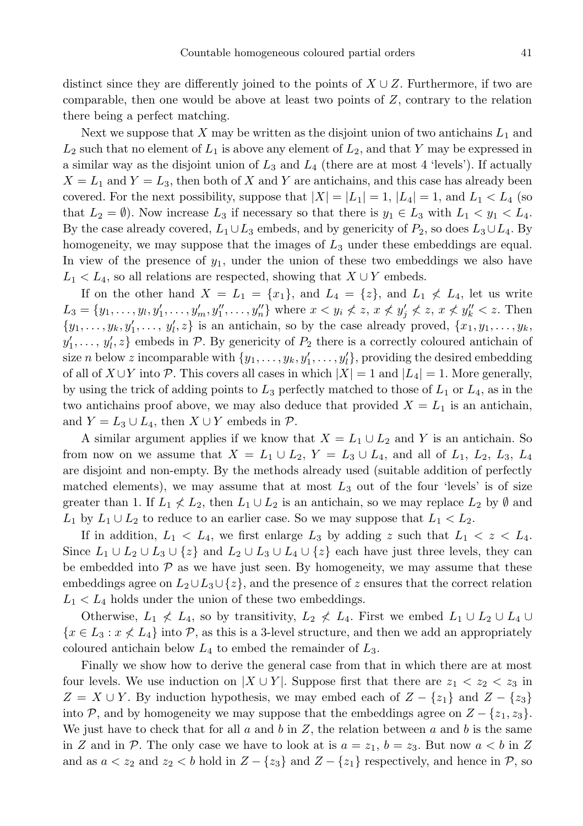distinct since they are differently joined to the points of  $X \cup Z$ . Furthermore, if two are comparable, then one would be above at least two points of  $Z$ , contrary to the relation there being a perfect matching.

Next we suppose that X may be written as the disjoint union of two antichains  $L_1$  and  $L_2$  such that no element of  $L_1$  is above any element of  $L_2$ , and that Y may be expressed in a similar way as the disjoint union of  $L_3$  and  $L_4$  (there are at most 4 'levels'). If actually  $X = L_1$  and  $Y = L_3$ , then both of X and Y are antichains, and this case has already been covered. For the next possibility, suppose that  $|X| = |L_1| = 1$ ,  $|L_4| = 1$ , and  $L_1 < L_4$  (so that  $L_2 = \emptyset$ ). Now increase  $L_3$  if necessary so that there is  $y_1 \in L_3$  with  $L_1 < y_1 < L_4$ . By the case already covered,  $L_1 \cup L_3$  embeds, and by genericity of  $P_2$ , so does  $L_3 \cup L_4$ . By homogeneity, we may suppose that the images of  $L_3$  under these embeddings are equal. In view of the presence of  $y_1$ , under the union of these two embeddings we also have  $L_1 < L_4$ , so all relations are respected, showing that  $X \cup Y$  embeds.

If on the other hand  $X = L_1 = \{x_1\}$ , and  $L_4 = \{z\}$ , and  $L_1 \nless L_4$ , let us write  $L_3 = \{y_1, \ldots, y_l, y'_1, \ldots, y'_m, y''_1, \ldots, y''_n\}$  where  $x < y_i \nless z, x \nless y'_j \nless z, x \nless y''_k < z$ . Then  $\{y_1, \ldots, y_k, y'_1, \ldots, y'_l, z\}$  is an antichain, so by the case already proved,  $\{x_1, y_1, \ldots, y_k,$  $y'_1, \ldots, y'_l, z$  embeds in P. By genericity of  $P_2$  there is a correctly coloured antichain of size *n* below *z* incomparable with  $\{y_1, \ldots, y_k, y'_1, \ldots, y'_l\}$ , providing the desired embedding of all of  $X \cup Y$  into P. This covers all cases in which  $|X| = 1$  and  $|L_4| = 1$ . More generally, by using the trick of adding points to  $L_3$  perfectly matched to those of  $L_1$  or  $L_4$ , as in the two antichains proof above, we may also deduce that provided  $X = L_1$  is an antichain, and  $Y = L_3 \cup L_4$ , then  $X \cup Y$  embeds in  $\mathcal{P}$ .

A similar argument applies if we know that  $X = L_1 \cup L_2$  and Y is an antichain. So from now on we assume that  $X = L_1 \cup L_2$ ,  $Y = L_3 \cup L_4$ , and all of  $L_1$ ,  $L_2$ ,  $L_3$ ,  $L_4$ are disjoint and non-empty. By the methods already used (suitable addition of perfectly matched elements), we may assume that at most  $L_3$  out of the four 'levels' is of size greater than 1. If  $L_1 \nless L_2$ , then  $L_1 \cup L_2$  is an antichain, so we may replace  $L_2$  by Ø and  $L_1$  by  $L_1 \cup L_2$  to reduce to an earlier case. So we may suppose that  $L_1 < L_2$ .

If in addition,  $L_1 < L_4$ , we first enlarge  $L_3$  by adding z such that  $L_1 < z < L_4$ . Since  $L_1 \cup L_2 \cup L_3 \cup \{z\}$  and  $L_2 \cup L_3 \cup L_4 \cup \{z\}$  each have just three levels, they can be embedded into  $P$  as we have just seen. By homogeneity, we may assume that these embeddings agree on  $L_2\cup L_3\cup \{z\}$ , and the presence of z ensures that the correct relation  $L_1 < L_4$  holds under the union of these two embeddings.

Otherwise,  $L_1 \nless L_4$ , so by transitivity,  $L_2 \nless L_4$ . First we embed  $L_1 \cup L_2 \cup L_4 \cup L_5$  $\{x \in L_3 : x \nless L_4\}$  into P, as this is a 3-level structure, and then we add an appropriately coloured antichain below  $L_4$  to embed the remainder of  $L_3$ .

Finally we show how to derive the general case from that in which there are at most four levels. We use induction on  $|X \cup Y|$ . Suppose first that there are  $z_1 < z_2 < z_3$  in  $Z = X \cup Y$ . By induction hypothesis, we may embed each of  $Z - \{z_1\}$  and  $Z - \{z_3\}$ into P, and by homogeneity we may suppose that the embeddings agree on  $Z - \{z_1, z_3\}$ . We just have to check that for all  $a$  and  $b$  in  $Z$ , the relation between  $a$  and  $b$  is the same in Z and in P. The only case we have to look at is  $a = z_1$ ,  $b = z_3$ . But now  $a < b$  in Z and as  $a < z_2$  and  $z_2 < b$  hold in  $Z - \{z_3\}$  and  $Z - \{z_1\}$  respectively, and hence in P, so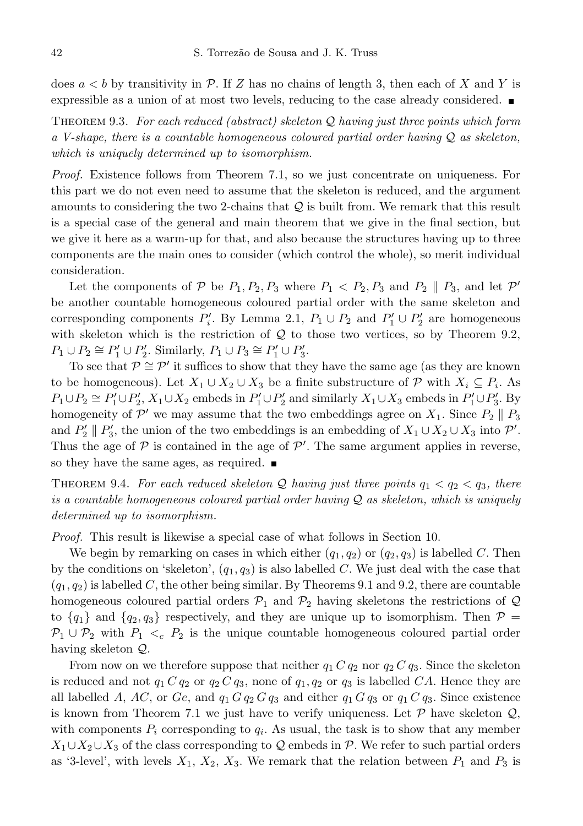does  $a < b$  by transitivity in P. If Z has no chains of length 3, then each of X and Y is expressible as a union of at most two levels, reducing to the case already considered.

THEOREM 9.3. For each reduced (abstract) skeleton  $\mathcal Q$  having just three points which form a V-shape, there is a countable homogeneous coloured partial order having  $Q$  as skeleton, which is uniquely determined up to isomorphism.

Proof. Existence follows from Theorem 7.1, so we just concentrate on uniqueness. For this part we do not even need to assume that the skeleton is reduced, and the argument amounts to considering the two 2-chains that  $Q$  is built from. We remark that this result is a special case of the general and main theorem that we give in the final section, but we give it here as a warm-up for that, and also because the structures having up to three components are the main ones to consider (which control the whole), so merit individual consideration.

Let the components of  $P$  be  $P_1, P_2, P_3$  where  $P_1 < P_2, P_3$  and  $P_2 \parallel P_3$ , and let  $P'$ be another countable homogeneous coloured partial order with the same skeleton and corresponding components  $P'_i$ . By Lemma 2.1,  $P_1 \cup P_2$  and  $P'_1 \cup P'_2$  are homogeneous with skeleton which is the restriction of  $Q$  to those two vertices, so by Theorem 9.2,  $P_1 \cup P_2 \cong P'_1 \cup P'_2$ . Similarly,  $P_1 \cup P_3 \cong P'_1 \cup P'_3$ .

To see that  $\mathcal{P} \cong \mathcal{P}'$  it suffices to show that they have the same age (as they are known to be homogeneous). Let  $X_1 \cup X_2 \cup X_3$  be a finite substructure of  $\mathcal P$  with  $X_i \subseteq P_i$ . As  $P_1 \cup P_2 \cong P'_1 \cup P'_2$ ,  $X_1 \cup X_2$  embeds in  $P'_1 \cup P'_2$  and similarly  $X_1 \cup X_3$  embeds in  $P'_1 \cup P'_3$ . By homogeneity of  $\mathcal{P}'$  we may assume that the two embeddings agree on  $X_1$ . Since  $P_2 \parallel P_3$ and  $P'_2 \parallel P'_3$ , the union of the two embeddings is an embedding of  $X_1 \cup X_2 \cup X_3$  into  $\mathcal{P}'$ . Thus the age of  $P$  is contained in the age of  $P'$ . The same argument applies in reverse, so they have the same ages, as required.

THEOREM 9.4. For each reduced skeleton Q having just three points  $q_1 < q_2 < q_3$ , there is a countable homogeneous coloured partial order having  $\mathcal Q$  as skeleton, which is uniquely determined up to isomorphism.

Proof. This result is likewise a special case of what follows in Section 10.

We begin by remarking on cases in which either  $(q_1, q_2)$  or  $(q_2, q_3)$  is labelled C. Then by the conditions on 'skeleton',  $(q_1, q_3)$  is also labelled C. We just deal with the case that  $(q_1, q_2)$  is labelled C, the other being similar. By Theorems 9.1 and 9.2, there are countable homogeneous coloured partial orders  $P_1$  and  $P_2$  having skeletons the restrictions of Q to  ${q_1}$  and  ${q_2, q_3}$  respectively, and they are unique up to isomorphism. Then  $P =$  $P_1 \cup P_2$  with  $P_1 \lt_c P_2$  is the unique countable homogeneous coloured partial order having skeleton Q.

From now on we therefore suppose that neither  $q_1 C q_2$  nor  $q_2 C q_3$ . Since the skeleton is reduced and not  $q_1 C q_2$  or  $q_2 C q_3$ , none of  $q_1, q_2$  or  $q_3$  is labelled CA. Hence they are all labelled A, AC, or Ge, and  $q_1 G q_2 G q_3$  and either  $q_1 G q_3$  or  $q_1 C q_3$ . Since existence is known from Theorem 7.1 we just have to verify uniqueness. Let  $P$  have skeleton  $Q$ , with components  $P_i$  corresponding to  $q_i$ . As usual, the task is to show that any member  $X_1 \cup X_2 \cup X_3$  of the class corresponding to Q embeds in P. We refer to such partial orders as '3-level', with levels  $X_1, X_2, X_3$ . We remark that the relation between  $P_1$  and  $P_3$  is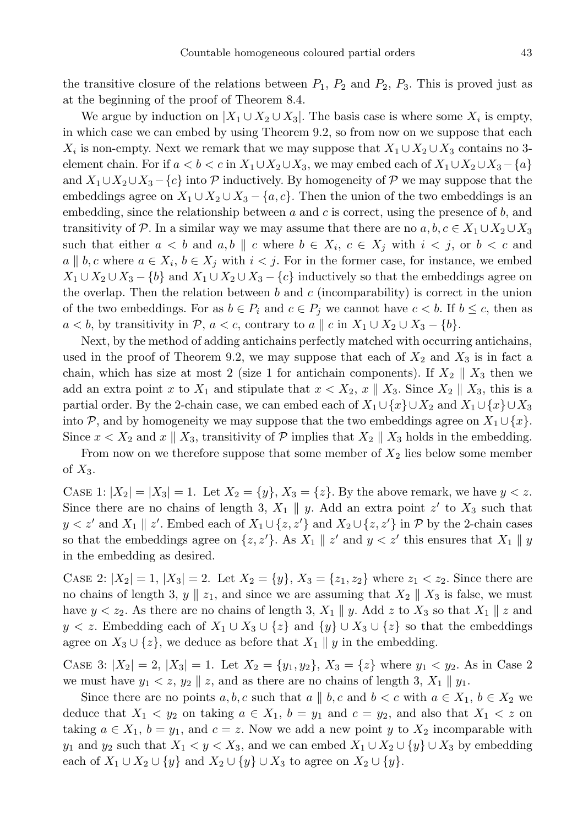the transitive closure of the relations between  $P_1$ ,  $P_2$  and  $P_2$ ,  $P_3$ . This is proved just as at the beginning of the proof of Theorem 8.4.

We argue by induction on  $|X_1 \cup X_2 \cup X_3|$ . The basis case is where some  $X_i$  is empty, in which case we can embed by using Theorem 9.2, so from now on we suppose that each  $X_i$  is non-empty. Next we remark that we may suppose that  $X_1 \cup X_2 \cup X_3$  contains no 3element chain. For if  $a < b < c$  in  $X_1 \cup X_2 \cup X_3$ , we may embed each of  $X_1 \cup X_2 \cup X_3 - \{a\}$ and  $X_1 \cup X_2 \cup X_3 - \{c\}$  into P inductively. By homogeneity of P we may suppose that the embeddings agree on  $X_1 \cup X_2 \cup X_3 - \{a, c\}$ . Then the union of the two embeddings is an embedding, since the relationship between  $a$  and  $c$  is correct, using the presence of  $b$ , and transitivity of P. In a similar way we may assume that there are no  $a, b, c \in X_1 \cup X_2 \cup X_3$ such that either  $a < b$  and  $a, b \parallel c$  where  $b \in X_i$ ,  $c \in X_j$  with  $i < j$ , or  $b < c$  and  $a \parallel b, c$  where  $a \in X_i, b \in X_j$  with  $i < j$ . For in the former case, for instance, we embed  $X_1 \cup X_2 \cup X_3 - \{b\}$  and  $X_1 \cup X_2 \cup X_3 - \{c\}$  inductively so that the embeddings agree on the overlap. Then the relation between b and c (incomparability) is correct in the union of the two embeddings. For as  $b \in P_i$  and  $c \in P_j$  we cannot have  $c < b$ . If  $b \leq c$ , then as  $a < b$ , by transitivity in P,  $a < c$ , contrary to  $a \parallel c$  in  $X_1 \cup X_2 \cup X_3 - \{b\}$ .

Next, by the method of adding antichains perfectly matched with occurring antichains, used in the proof of Theorem 9.2, we may suppose that each of  $X_2$  and  $X_3$  is in fact a chain, which has size at most 2 (size 1 for antichain components). If  $X_2 \parallel X_3$  then we add an extra point x to  $X_1$  and stipulate that  $x < X_2$ ,  $x \parallel X_3$ . Since  $X_2 \parallel X_3$ , this is a partial order. By the 2-chain case, we can embed each of  $X_1 \cup \{x\} \cup X_2$  and  $X_1 \cup \{x\} \cup X_3$ into P, and by homogeneity we may suppose that the two embeddings agree on  $X_1 \cup \{x\}$ . Since  $x < X_2$  and  $x \parallel X_3$ , transitivity of P implies that  $X_2 \parallel X_3$  holds in the embedding.

From now on we therefore suppose that some member of  $X_2$  lies below some member of  $X_3$ .

CASE 1:  $|X_2| = |X_3| = 1$ . Let  $X_2 = \{y\}, X_3 = \{z\}$ . By the above remark, we have  $y < z$ . Since there are no chains of length 3,  $X_1 \parallel y$ . Add an extra point z' to  $X_3$  such that  $y < z'$  and  $X_1 \parallel z'$ . Embed each of  $X_1 \cup \{z, z'\}$  and  $X_2 \cup \{z, z'\}$  in  $\mathcal{P}$  by the 2-chain cases so that the embeddings agree on  $\{z, z'\}$ . As  $X_1 \parallel z'$  and  $y < z'$  this ensures that  $X_1 \parallel y$ in the embedding as desired.

CASE 2:  $|X_2| = 1, |X_3| = 2$ . Let  $X_2 = \{y\}, X_3 = \{z_1, z_2\}$  where  $z_1 < z_2$ . Since there are no chains of length 3,  $y \parallel z_1$ , and since we are assuming that  $X_2 \parallel X_3$  is false, we must have  $y < z_2$ . As there are no chains of length 3,  $X_1 \parallel y$ . Add z to  $X_3$  so that  $X_1 \parallel z$  and  $y < z$ . Embedding each of  $X_1 \cup X_3 \cup \{z\}$  and  $\{y\} \cup X_3 \cup \{z\}$  so that the embeddings agree on  $X_3 \cup \{z\}$ , we deduce as before that  $X_1 \parallel y$  in the embedding.

CASE 3:  $|X_2| = 2$ ,  $|X_3| = 1$ . Let  $X_2 = \{y_1, y_2\}$ ,  $X_3 = \{z\}$  where  $y_1 < y_2$ . As in Case 2 we must have  $y_1 < z$ ,  $y_2 \parallel z$ , and as there are no chains of length 3,  $X_1 \parallel y_1$ .

Since there are no points  $a, b, c$  such that  $a \parallel b, c$  and  $b < c$  with  $a \in X_1, b \in X_2$  we deduce that  $X_1 < y_2$  on taking  $a \in X_1$ ,  $b = y_1$  and  $c = y_2$ , and also that  $X_1 < z$  on taking  $a \in X_1$ ,  $b = y_1$ , and  $c = z$ . Now we add a new point y to  $X_2$  incomparable with  $y_1$  and  $y_2$  such that  $X_1 < y < X_3$ , and we can embed  $X_1 \cup X_2 \cup \{y\} \cup X_3$  by embedding each of  $X_1 \cup X_2 \cup \{y\}$  and  $X_2 \cup \{y\} \cup X_3$  to agree on  $X_2 \cup \{y\}$ .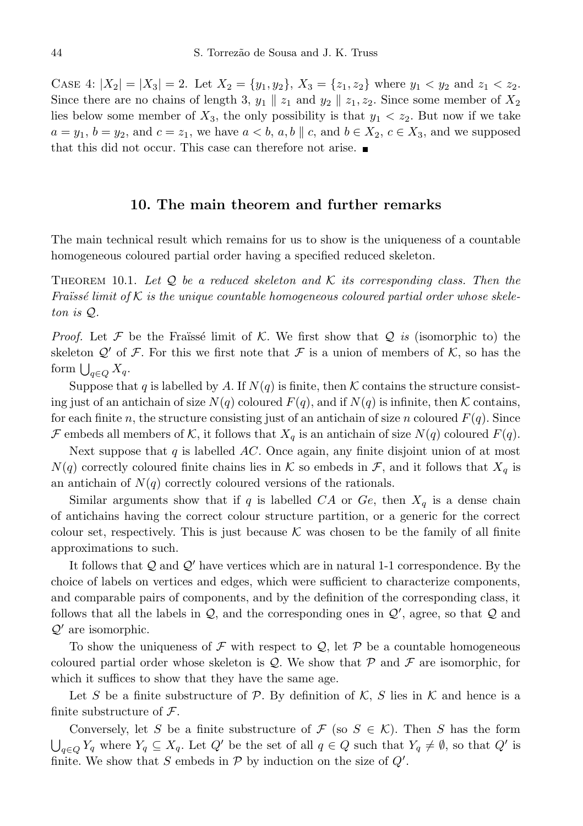CASE 4:  $|X_2| = |X_3| = 2$ . Let  $X_2 = \{y_1, y_2\}$ ,  $X_3 = \{z_1, z_2\}$  where  $y_1 < y_2$  and  $z_1 < z_2$ . Since there are no chains of length 3,  $y_1 \parallel z_1$  and  $y_2 \parallel z_1, z_2$ . Since some member of  $X_2$ lies below some member of  $X_3$ , the only possibility is that  $y_1 < z_2$ . But now if we take  $a = y_1, b = y_2,$  and  $c = z_1$ , we have  $a < b, a, b \parallel c$ , and  $b \in X_2, c \in X_3$ , and we supposed that this did not occur. This case can therefore not arise.  $\blacksquare$ 

### 10. The main theorem and further remarks

The main technical result which remains for us to show is the uniqueness of a countable homogeneous coloured partial order having a specified reduced skeleton.

THEOREM 10.1. Let Q be a reduced skeleton and K its corresponding class. Then the Fraïssé limit of K is the unique countable homogeneous coloured partial order whose skeleton is Q.

*Proof.* Let F be the Fraüssé limit of K. We first show that Q is (isomorphic to) the skeleton  $\mathcal{Q}'$  of F. For this we first note that F is a union of members of K, so has the form  $\bigcup_{q\in Q} X_q$ .

Suppose that q is labelled by A. If  $N(q)$  is finite, then K contains the structure consisting just of an antichain of size  $N(q)$  coloured  $F(q)$ , and if  $N(q)$  is infinite, then K contains, for each finite n, the structure consisting just of an antichain of size n coloured  $F(q)$ . Since F embeds all members of K, it follows that  $X_q$  is an antichain of size  $N(q)$  coloured  $F(q)$ .

Next suppose that  $q$  is labelled  $AC$ . Once again, any finite disjoint union of at most  $N(q)$  correctly coloured finite chains lies in K so embeds in F, and it follows that  $X_q$  is an antichain of  $N(q)$  correctly coloured versions of the rationals.

Similar arguments show that if q is labelled  $CA$  or  $Ge$ , then  $X_q$  is a dense chain of antichains having the correct colour structure partition, or a generic for the correct colour set, respectively. This is just because  $K$  was chosen to be the family of all finite approximations to such.

It follows that  $\mathcal Q$  and  $\mathcal Q'$  have vertices which are in natural 1-1 correspondence. By the choice of labels on vertices and edges, which were sufficient to characterize components, and comparable pairs of components, and by the definition of the corresponding class, it follows that all the labels in  $Q$ , and the corresponding ones in  $Q'$ , agree, so that  $Q$  and  $\mathcal{Q}'$  are isomorphic.

To show the uniqueness of  $\mathcal F$  with respect to  $\mathcal Q$ , let  $\mathcal P$  be a countable homogeneous coloured partial order whose skeleton is  $Q$ . We show that  $P$  and  $\mathcal F$  are isomorphic, for which it suffices to show that they have the same age.

Let S be a finite substructure of P. By definition of K, S lies in K and hence is a finite substructure of  $\mathcal{F}$ .

Conversely, let S be a finite substructure of  $\mathcal F$  (so  $S \in \mathcal K$ ). Then S has the form  $\bigcup_{q \in Q} Y_q$  where  $Y_q \subseteq X_q$ . Let  $Q'$  be the set of all  $q \in Q$  such that  $Y_q \neq \emptyset$ , so that  $Q'$  is finite. We show that S embeds in  $P$  by induction on the size of  $Q'$ .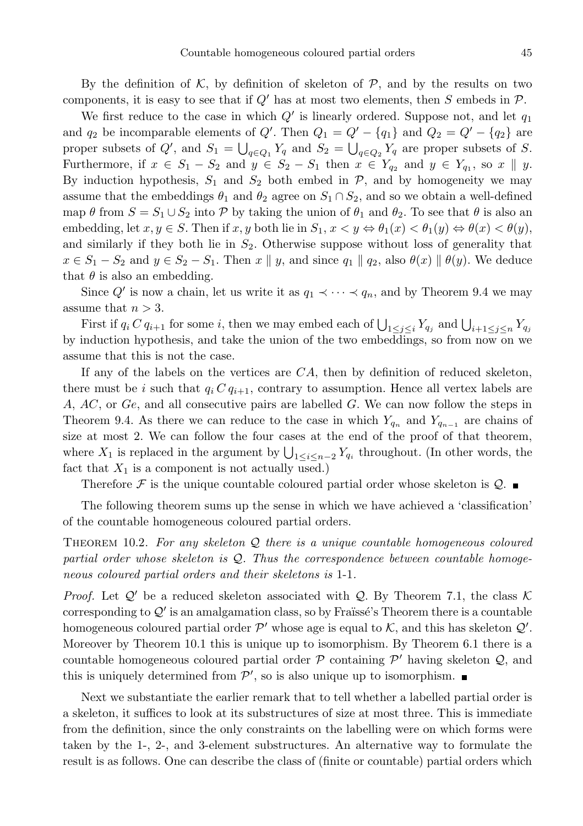By the definition of  $K$ , by definition of skeleton of  $P$ , and by the results on two components, it is easy to see that if  $Q'$  has at most two elements, then S embeds in  $\mathcal{P}$ .

We first reduce to the case in which  $Q'$  is linearly ordered. Suppose not, and let  $q_1$ and  $q_2$  be incomparable elements of  $Q'$ . Then  $Q_1 = Q' - \{q_1\}$  and  $Q_2 = Q' - \{q_2\}$  are proper subsets of Q', and  $S_1 = \bigcup_{q \in Q_1} Y_q$  and  $S_2 = \bigcup_{q \in Q_2} Y_q$  are proper subsets of S. Furthermore, if  $x \in S_1 - S_2$  and  $y \in S_2 - S_1$  then  $x \in Y_{q_2}$  and  $y \in Y_{q_1}$ , so  $x \parallel y$ . By induction hypothesis,  $S_1$  and  $S_2$  both embed in  $P$ , and by homogeneity we may assume that the embeddings  $\theta_1$  and  $\theta_2$  agree on  $S_1 \cap S_2$ , and so we obtain a well-defined map  $\theta$  from  $S = S_1 \cup S_2$  into  $\mathcal P$  by taking the union of  $\theta_1$  and  $\theta_2$ . To see that  $\theta$  is also an embedding, let  $x, y \in S$ . Then if  $x, y$  both lie in  $S_1, x < y \Leftrightarrow \theta_1(x) < \theta_1(y) \Leftrightarrow \theta(x) < \theta(y)$ , and similarly if they both lie in  $S_2$ . Otherwise suppose without loss of generality that  $x \in S_1 - S_2$  and  $y \in S_2 - S_1$ . Then  $x \parallel y$ , and since  $q_1 \parallel q_2$ , also  $\theta(x) \parallel \theta(y)$ . We deduce that  $\theta$  is also an embedding.

Since  $Q'$  is now a chain, let us write it as  $q_1 \prec \cdots \prec q_n$ , and by Theorem 9.4 we may assume that  $n > 3$ .

First if  $q_i C q_{i+1}$  for some i, then we may embed each of  $\bigcup_{1 \leq j \leq i} Y_{q_j}$  and  $\bigcup_{i+1 \leq j \leq n} Y_{q_j}$ by induction hypothesis, and take the union of the two embeddings, so from now on we assume that this is not the case.

If any of the labels on the vertices are  $CA$ , then by definition of reduced skeleton, there must be i such that  $q_i C q_{i+1}$ , contrary to assumption. Hence all vertex labels are A, AC, or Ge, and all consecutive pairs are labelled G. We can now follow the steps in Theorem 9.4. As there we can reduce to the case in which  $Y_{q_n}$  and  $Y_{q_{n-1}}$  are chains of size at most 2. We can follow the four cases at the end of the proof of that theorem, where  $X_1$  is replaced in the argument by  $\bigcup_{1 \leq i \leq n-2} Y_{q_i}$  throughout. (In other words, the fact that  $X_1$  is a component is not actually used.)

Therefore  $\mathcal F$  is the unique countable coloured partial order whose skeleton is  $\mathcal Q$ .

The following theorem sums up the sense in which we have achieved a 'classification' of the countable homogeneous coloured partial orders.

THEOREM 10.2. For any skeleton  $Q$  there is a unique countable homogeneous coloured partial order whose skeleton is  $Q$ . Thus the correspondence between countable homogeneous coloured partial orders and their skeletons is 1-1.

*Proof.* Let  $Q'$  be a reduced skeleton associated with Q. By Theorem 7.1, the class  $K$ corresponding to  $\mathcal{Q}'$  is an amalgamation class, so by Fraïssé's Theorem there is a countable homogeneous coloured partial order  $\mathcal{P}'$  whose age is equal to  $\mathcal{K}$ , and this has skeleton  $\mathcal{Q}'$ . Moreover by Theorem 10.1 this is unique up to isomorphism. By Theorem 6.1 there is a countable homogeneous coloured partial order  $P$  containing  $P'$  having skeleton  $Q$ , and this is uniquely determined from  $\mathcal{P}'$ , so is also unique up to isomorphism.

Next we substantiate the earlier remark that to tell whether a labelled partial order is a skeleton, it suffices to look at its substructures of size at most three. This is immediate from the definition, since the only constraints on the labelling were on which forms were taken by the 1-, 2-, and 3-element substructures. An alternative way to formulate the result is as follows. One can describe the class of (finite or countable) partial orders which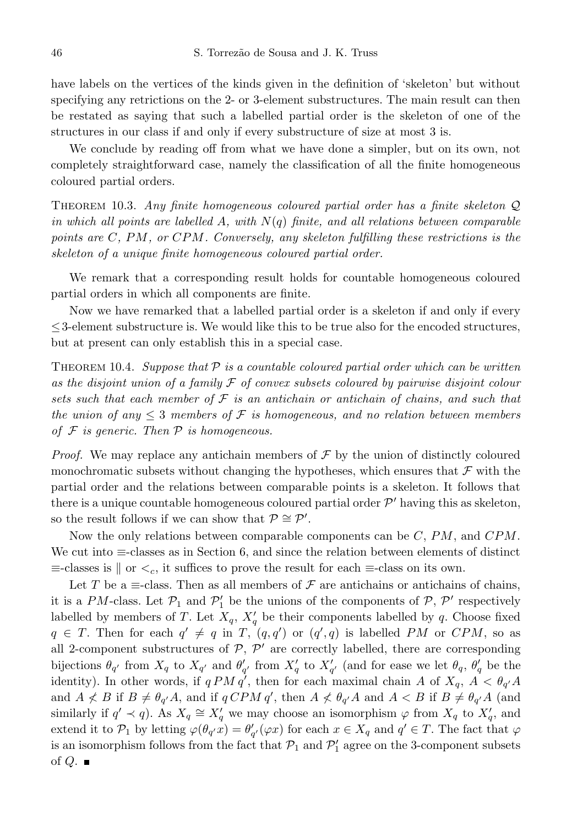have labels on the vertices of the kinds given in the definition of 'skeleton' but without specifying any retrictions on the 2- or 3-element substructures. The main result can then be restated as saying that such a labelled partial order is the skeleton of one of the structures in our class if and only if every substructure of size at most 3 is.

We conclude by reading off from what we have done a simpler, but on its own, not completely straightforward case, namely the classification of all the finite homogeneous coloured partial orders.

THEOREM 10.3. Any finite homogeneous coloured partial order has a finite skeleton  $\mathcal{Q}$ in which all points are labelled A, with  $N(q)$  finite, and all relations between comparable points are  $C$ , PM, or  $CPM$ . Conversely, any skeleton fulfilling these restrictions is the skeleton of a unique finite homogeneous coloured partial order.

We remark that a corresponding result holds for countable homogeneous coloured partial orders in which all components are finite.

Now we have remarked that a labelled partial order is a skeleton if and only if every  $\leq$ 3-element substructure is. We would like this to be true also for the encoded structures, but at present can only establish this in a special case.

THEOREM 10.4. Suppose that  $\mathcal P$  is a countable coloured partial order which can be written as the disjoint union of a family  $\mathcal F$  of convex subsets coloured by pairwise disjoint colour sets such that each member of  $\mathcal F$  is an antichain or antichain of chains, and such that the union of any  $\leq 3$  members of F is homogeneous, and no relation between members of  $F$  is generic. Then  $P$  is homogeneous.

*Proof.* We may replace any antichain members of  $\mathcal F$  by the union of distinctly coloured monochromatic subsets without changing the hypotheses, which ensures that  $\mathcal F$  with the partial order and the relations between comparable points is a skeleton. It follows that there is a unique countable homogeneous coloured partial order  $\mathcal{P}'$  having this as skeleton, so the result follows if we can show that  $\mathcal{P} \cong \mathcal{P}'$ .

Now the only relations between comparable components can be  $C, PM$ , and  $CPM$ . We cut into ≡-classes as in Section 6, and since the relation between elements of distinct  $\equiv$ -classes is  $\parallel$  or  $\lt_c$ , it suffices to prove the result for each  $\equiv$ -class on its own.

Let T be a  $\equiv$ -class. Then as all members of  $\mathcal F$  are antichains or antichains of chains, it is a PM-class. Let  $\mathcal{P}_1$  and  $\mathcal{P}'_1$  be the unions of the components of  $\mathcal{P}, \mathcal{P}'$  respectively labelled by members of T. Let  $X_q$ ,  $X'_q$  be their components labelled by q. Choose fixed  $q \in T$ . Then for each  $q' \neq q$  in T,  $(q, q')$  or  $(q', q)$  is labelled PM or CPM, so as all 2-component substructures of  $P$ ,  $P'$  are correctly labelled, there are corresponding bijections  $\theta_{q'}$  from  $X_q$  to  $X_{q'}$  and  $\theta'_{q'}$  from  $X'_q$  to  $X'_{q'}$  (and for ease we let  $\theta_q$ ,  $\theta'_q$  be the identity). In other words, if  $qPMq'$ , then for each maximal chain A of  $X_q$ ,  $A < \theta_{q'}A$ and  $A \nless B$  if  $B \neq \theta_{q'}A$ , and if  $q CPM q'$ , then  $A \nless \theta_{q'}A$  and  $A \nless B$  if  $B \neq \theta_{q'}A$  (and similarly if  $q' \prec q$ ). As  $X_q \cong X'_q$  we may choose an isomorphism  $\varphi$  from  $X_q$  to  $X'_q$ , and extend it to  $\mathcal{P}_1$  by letting  $\varphi(\theta_{q'}x) = \theta'_{q'}(\varphi x)$  for each  $x \in X_q$  and  $q' \in T$ . The fact that  $\varphi$ is an isomorphism follows from the fact that  $\mathcal{P}_1$  and  $\mathcal{P}'_1$  agree on the 3-component subsets of  $Q$ .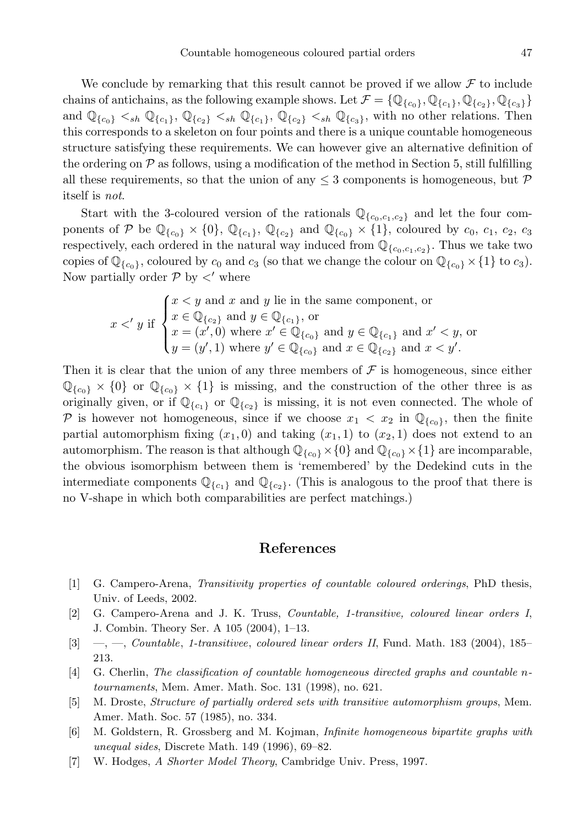We conclude by remarking that this result cannot be proved if we allow  $\mathcal F$  to include chains of antichains, as the following example shows. Let  $\mathcal{F} = \{ \mathbb{Q}_{\{c_0\}}, \mathbb{Q}_{\{c_1\}}, \mathbb{Q}_{\{c_2\}}, \mathbb{Q}_{\{c_3\}}\}$ and  $\mathbb{Q}_{\{c_0\}} \leq_{sh} \mathbb{Q}_{\{c_1\}}, \mathbb{Q}_{\{c_2\}} \leq_{sh} \mathbb{Q}_{\{c_1\}}, \mathbb{Q}_{\{c_2\}} \leq_{sh} \mathbb{Q}_{\{c_3\}},$  with no other relations. Then this corresponds to a skeleton on four points and there is a unique countable homogeneous structure satisfying these requirements. We can however give an alternative definition of the ordering on  $P$  as follows, using a modification of the method in Section 5, still fulfilling all these requirements, so that the union of any  $\leq$  3 components is homogeneous, but  $\mathcal P$ itself is not.

Start with the 3-coloured version of the rationals  $\mathbb{Q}_{\{c_0,c_1,c_2\}}$  and let the four components of P be  $\mathbb{Q}_{\{c_0\}} \times \{0\}$ ,  $\mathbb{Q}_{\{c_1\}}$ ,  $\mathbb{Q}_{\{c_2\}}$  and  $\mathbb{Q}_{\{c_0\}} \times \{1\}$ , coloured by  $c_0$ ,  $c_1$ ,  $c_2$ ,  $c_3$ respectively, each ordered in the natural way induced from  $\mathbb{Q}_{\{c_0,c_1,c_2\}}$ . Thus we take two copies of  $\mathbb{Q}_{\{c_0\}}$ , coloured by  $c_0$  and  $c_3$  (so that we change the colour on  $\mathbb{Q}_{\{c_0\}} \times \{1\}$  to  $c_3$ ). Now partially order  $P$  by  $\lt'$  where

$$
x \lt' y \text{ if } \begin{cases} x \lt y \text{ and } x \text{ and } y \text{ lie in the same component, or} \\ x \in \mathbb{Q}_{\{c_2\}} \text{ and } y \in \mathbb{Q}_{\{c_1\}}, \text{ or} \\ x = (x', 0) \text{ where } x' \in \mathbb{Q}_{\{c_0\}} \text{ and } y \in \mathbb{Q}_{\{c_1\}} \text{ and } x' \lt y, \text{ or} \\ y = (y', 1) \text{ where } y' \in \mathbb{Q}_{\{c_0\}} \text{ and } x \in \mathbb{Q}_{\{c_2\}} \text{ and } x < y'. \end{cases}
$$

Then it is clear that the union of any three members of  $\mathcal F$  is homogeneous, since either  $\mathbb{Q}_{\{c_0\}} \times \{0\}$  or  $\mathbb{Q}_{\{c_0\}} \times \{1\}$  is missing, and the construction of the other three is as originally given, or if  $\mathbb{Q}_{\{c_1\}}$  or  $\mathbb{Q}_{\{c_2\}}$  is missing, it is not even connected. The whole of P is however not homogeneous, since if we choose  $x_1 < x_2$  in  $\mathbb{Q}_{\{\varepsilon_0\}}$ , then the finite partial automorphism fixing  $(x_1, 0)$  and taking  $(x_1, 1)$  to  $(x_2, 1)$  does not extend to an automorphism. The reason is that although  $\mathbb{Q}_{\{c_0\}} \times \{0\}$  and  $\mathbb{Q}_{\{c_0\}} \times \{1\}$  are incomparable, the obvious isomorphism between them is 'remembered' by the Dedekind cuts in the intermediate components  $\mathbb{Q}_{\{c_1\}}$  and  $\mathbb{Q}_{\{c_2\}}$ . (This is analogous to the proof that there is no V-shape in which both comparabilities are perfect matchings.)

## References

- [1] G. Campero-Arena, Transitivity properties of countable coloured orderings, PhD thesis, Univ. of Leeds, 2002.
- [2] G. Campero-Arena and J. K. Truss, Countable, 1-transitive, coloured linear orders I, J. Combin. Theory Ser. A 105 (2004), 1–13.
- $[3] \quad -$ ,  $\quad$ ,  $Countable$ , 1-transitivee, coloured linear orders II, Fund. Math. 183 (2004), 185– 213.
- [4] G. Cherlin, The classification of countable homogeneous directed graphs and countable ntournaments, Mem. Amer. Math. Soc. 131 (1998), no. 621.
- [5] M. Droste, Structure of partially ordered sets with transitive automorphism groups, Mem. Amer. Math. Soc. 57 (1985), no. 334.
- [6] M. Goldstern, R. Grossberg and M. Kojman, Infinite homogeneous bipartite graphs with unequal sides, Discrete Math. 149 (1996), 69–82.
- [7] W. Hodges, A Shorter Model Theory, Cambridge Univ. Press, 1997.